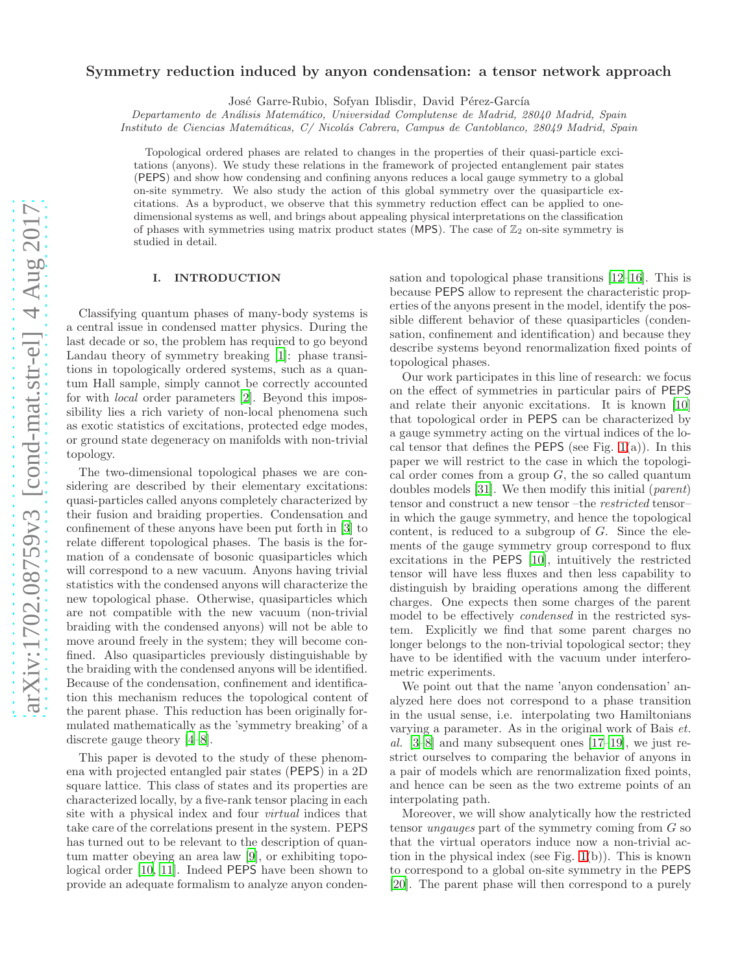# $arXiv:1702.08759v3$  [cond-mat.str-el] 4 Aug 2017 [arXiv:1702.08759v3 \[cond-mat.str-el\] 4 Aug 2017](http://arxiv.org/abs/1702.08759v3)

# Symmetry reduction induced by anyon condensation: a tensor network approach

José Garre-Rubio, Sofyan Iblisdir, David Pérez-García

*Departamento de An´alisis Matem´atico, Universidad Complutense de Madrid, 28040 Madrid, Spain*

*Instituto de Ciencias Matem´aticas, C/ Nicol´as Cabrera, Campus de Cantoblanco, 28049 Madrid, Spain*

Topological ordered phases are related to changes in the properties of their quasi-particle excitations (anyons). We study these relations in the framework of projected entanglement pair states (PEPS) and show how condensing and confining anyons reduces a local gauge symmetry to a global on-site symmetry. We also study the action of this global symmetry over the quasiparticle excitations. As a byproduct, we observe that this symmetry reduction effect can be applied to onedimensional systems as well, and brings about appealing physical interpretations on the classification of phases with symmetries using matrix product states (MPS). The case of  $\mathbb{Z}_2$  on-site symmetry is studied in detail.

# I. INTRODUCTION

Classifying quantum phases of many-body systems is a central issue in condensed matter physics. During the last decade or so, the problem has required to go beyond Landau theory of symmetry breaking [\[1](#page-24-0)]: phase transitions in topologically ordered systems, such as a quantum Hall sample, simply cannot be correctly accounted for with local order parameters [\[2\]](#page-24-1). Beyond this impossibility lies a rich variety of non-local phenomena such as exotic statistics of excitations, protected edge modes, or ground state degeneracy on manifolds with non-trivial topology.

The two-dimensional topological phases we are considering are described by their elementary excitations: quasi-particles called anyons completely characterized by their fusion and braiding properties. Condensation and confinement of these anyons have been put forth in [\[3\]](#page-24-2) to relate different topological phases. The basis is the formation of a condensate of bosonic quasiparticles which will correspond to a new vacuum. Anyons having trivial statistics with the condensed anyons will characterize the new topological phase. Otherwise, quasiparticles which are not compatible with the new vacuum (non-trivial braiding with the condensed anyons) will not be able to move around freely in the system; they will become confined. Also quasiparticles previously distinguishable by the braiding with the condensed anyons will be identified. Because of the condensation, confinement and identification this mechanism reduces the topological content of the parent phase. This reduction has been originally formulated mathematically as the 'symmetry breaking' of a discrete gauge theory [\[4](#page-24-3)[–8\]](#page-24-4).

This paper is devoted to the study of these phenomena with projected entangled pair states (PEPS) in a 2D square lattice. This class of states and its properties are characterized locally, by a five-rank tensor placing in each site with a physical index and four virtual indices that take care of the correlations present in the system. PEPS has turned out to be relevant to the description of quantum matter obeying an area law [\[9](#page-24-5)], or exhibiting topological order [\[10,](#page-24-6) [11\]](#page-24-7). Indeed PEPS have been shown to provide an adequate formalism to analyze anyon conden-

sation and topological phase transitions [\[12](#page-24-8)[–16\]](#page-24-9). This is because PEPS allow to represent the characteristic properties of the anyons present in the model, identify the possible different behavior of these quasiparticles (condensation, confinement and identification) and because they describe systems beyond renormalization fixed points of topological phases.

Our work participates in this line of research: we focus on the effect of symmetries in particular pairs of PEPS and relate their anyonic excitations. It is known [\[10](#page-24-6)] that topological order in PEPS can be characterized by a gauge symmetry acting on the virtual indices of the local tensor that defines the **PEPS** (see Fig.  $1(a)$  $1(a)$ ). In this paper we will restrict to the case in which the topological order comes from a group  $G$ , the so called quantum doubles models [\[31\]](#page-24-10). We then modify this initial (parent) tensor and construct a new tensor-the *restricted* tensorin which the gauge symmetry, and hence the topological content, is reduced to a subgroup of G. Since the elements of the gauge symmetry group correspond to flux excitations in the PEPS [\[10](#page-24-6)], intuitively the restricted tensor will have less fluxes and then less capability to distinguish by braiding operations among the different charges. One expects then some charges of the parent model to be effectively condensed in the restricted system. Explicitly we find that some parent charges no longer belongs to the non-trivial topological sector; they have to be identified with the vacuum under interferometric experiments.

We point out that the name 'anyon condensation' analyzed here does not correspond to a phase transition in the usual sense, i.e. interpolating two Hamiltonians varying a parameter. As in the original work of Bais et. al.  $[3-8]$  $[3-8]$  and many subsequent ones  $[17-19]$ , we just restrict ourselves to comparing the behavior of anyons in a pair of models which are renormalization fixed points, and hence can be seen as the two extreme points of an interpolating path.

Moreover, we will show analytically how the restricted tensor *ungauges* part of the symmetry coming from  $G$  so that the virtual operators induce now a non-trivial action in the physical index (see Fig. [1\(](#page-1-0)b)). This is known to correspond to a global on-site symmetry in the PEPS [\[20\]](#page-24-13). The parent phase will then correspond to a purely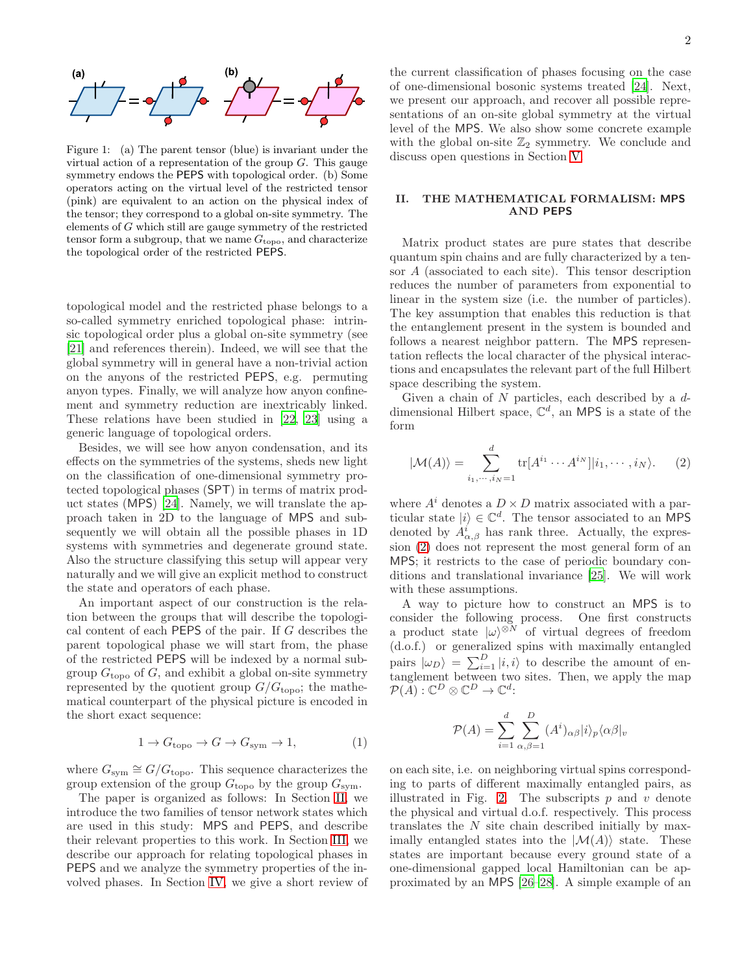

<span id="page-1-0"></span>Figure 1: (a) The parent tensor (blue) is invariant under the virtual action of a representation of the group  $G$ . This gauge symmetry endows the PEPS with topological order. (b) Some operators acting on the virtual level of the restricted tensor (pink) are equivalent to an action on the physical index of the tensor; they correspond to a global on-site symmetry. The elements of G which still are gauge symmetry of the restricted tensor form a subgroup, that we name  $G_{\text{topo}}$ , and characterize the topological order of the restricted PEPS.

topological model and the restricted phase belongs to a so-called symmetry enriched topological phase: intrinsic topological order plus a global on-site symmetry (see [\[21\]](#page-24-14) and references therein). Indeed, we will see that the global symmetry will in general have a non-trivial action on the anyons of the restricted PEPS, e.g. permuting anyon types. Finally, we will analyze how anyon confinement and symmetry reduction are inextricably linked. These relations have been studied in [\[22](#page-24-15), [23](#page-24-16)] using a generic language of topological orders.

Besides, we will see how anyon condensation, and its effects on the symmetries of the systems, sheds new light on the classification of one-dimensional symmetry protected topological phases (SPT) in terms of matrix product states (MPS) [\[24](#page-24-17)]. Namely, we will translate the approach taken in 2D to the language of MPS and subsequently we will obtain all the possible phases in 1D systems with symmetries and degenerate ground state. Also the structure classifying this setup will appear very naturally and we will give an explicit method to construct the state and operators of each phase.

An important aspect of our construction is the relation between the groups that will describe the topological content of each PEPS of the pair. If G describes the parent topological phase we will start from, the phase of the restricted PEPS will be indexed by a normal subgroup  $G_{\text{topo}}$  of G, and exhibit a global on-site symmetry represented by the quotient group  $G/G_{\text{topo}}$ ; the mathematical counterpart of the physical picture is encoded in the short exact sequence:

<span id="page-1-3"></span>
$$
1 \to G_{\text{topo}} \to G \to G_{\text{sym}} \to 1,\tag{1}
$$

where  $G_{sym} \cong G/G_{topo}$ . This sequence characterizes the group extension of the group  $G_{\text{topo}}$  by the group  $G_{\text{sym}}$ .

The paper is organized as follows: In Section [II,](#page-1-1) we introduce the two families of tensor network states which are used in this study: MPS and PEPS, and describe their relevant properties to this work. In Section [III,](#page-3-0) we describe our approach for relating topological phases in PEPS and we analyze the symmetry properties of the involved phases. In Section [IV,](#page-11-0) we give a short review of

the current classification of phases focusing on the case of one-dimensional bosonic systems treated [\[24\]](#page-24-17). Next, we present our approach, and recover all possible representations of an on-site global symmetry at the virtual level of the MPS. We also show some concrete example with the global on-site  $\mathbb{Z}_2$  symmetry. We conclude and discuss open questions in Section [V.](#page-18-0)

# <span id="page-1-1"></span>II. THE MATHEMATICAL FORMALISM: MPS AND PEPS

Matrix product states are pure states that describe quantum spin chains and are fully characterized by a tensor A (associated to each site). This tensor description reduces the number of parameters from exponential to linear in the system size (i.e. the number of particles). The key assumption that enables this reduction is that the entanglement present in the system is bounded and follows a nearest neighbor pattern. The MPS representation reflects the local character of the physical interactions and encapsulates the relevant part of the full Hilbert space describing the system.

Given a chain of  $N$  particles, each described by a  $d$ dimensional Hilbert space,  $\mathbb{C}^d$ , an MPS is a state of the form

<span id="page-1-2"></span>
$$
|\mathcal{M}(A)\rangle = \sum_{i_1,\cdots,i_N=1}^d \text{tr}[A^{i_1}\cdots A^{i_N}]|i_1,\cdots,i_N\rangle.
$$
 (2)

where  $A^i$  denotes a  $D \times D$  matrix associated with a particular state  $|i\rangle \in \mathbb{C}^d$ . The tensor associated to an MPS denoted by  $A^i_{\alpha,\beta}$  has rank three. Actually, the expression [\(2\)](#page-1-2) does not represent the most general form of an MPS; it restricts to the case of periodic boundary conditions and translational invariance [\[25\]](#page-24-18). We will work with these assumptions.

A way to picture how to construct an MPS is to consider the following process. One first constructs a product state  $|\omega\rangle^{\otimes N}$  of virtual degrees of freedom (d.o.f.) or generalized spins with maximally entangled pairs  $|\omega_D\rangle = \sum_{i=1}^D |i, i\rangle$  to describe the amount of entanglement between two sites. Then, we apply the map  $\mathcal{P}(A): \mathbb{C}^D \otimes \mathbb{C}^D \to \mathbb{C}^d$ :

$$
\mathcal{P}(A) = \sum_{i=1}^{d} \sum_{\alpha,\beta=1}^{D} (A^i)_{\alpha\beta} |i\rangle_p \langle \alpha\beta|_v
$$

on each site, i.e. on neighboring virtual spins corresponding to parts of different maximally entangled pairs, as illustrated in Fig. [2.](#page-2-0) The subscripts  $p$  and  $v$  denote the physical and virtual d.o.f. respectively. This process translates the N site chain described initially by maximally entangled states into the  $|\mathcal{M}(A)\rangle$  state. These states are important because every ground state of a one-dimensional gapped local Hamiltonian can be approximated by an MPS [\[26](#page-24-19)[–28](#page-24-20)]. A simple example of an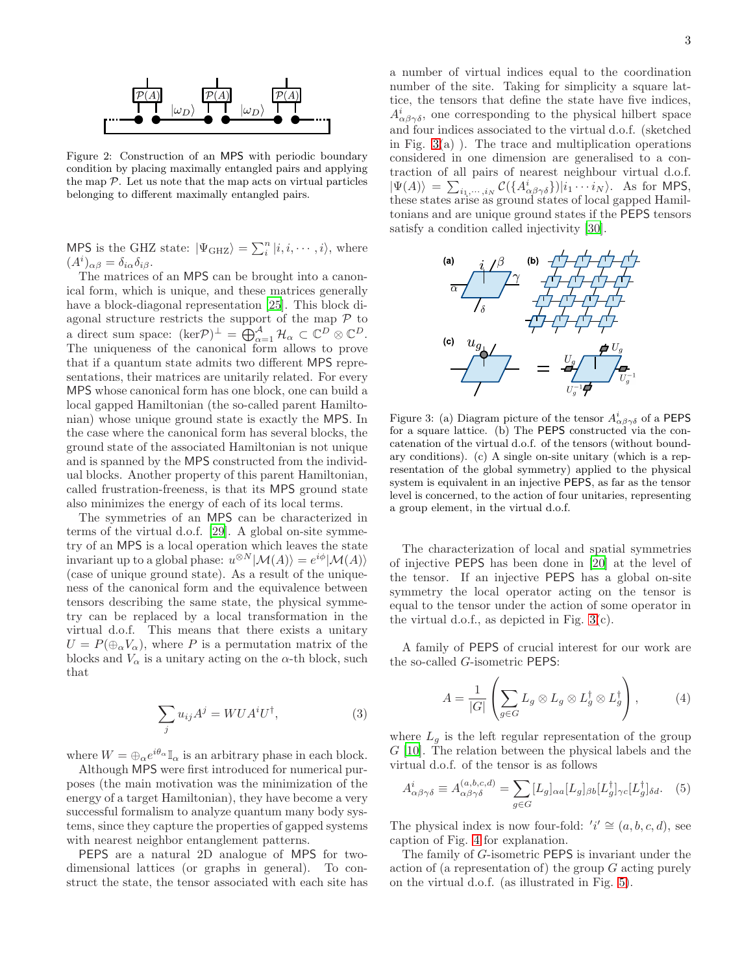

<span id="page-2-0"></span>Figure 2: Construction of an MPS with periodic boundary condition by placing maximally entangled pairs and applying the map  $\mathcal P$ . Let us note that the map acts on virtual particles belonging to different maximally entangled pairs.

MPS is the GHZ state:  $|\Psi_{\text{GHZ}}\rangle = \sum_{i}^{n} |i, i, \dots, i\rangle$ , where  $(A^i)_{\alpha\beta} = \delta_{i\alpha}\delta_{i\beta}.$ 

The matrices of an MPS can be brought into a canonical form, which is unique, and these matrices generally have a block-diagonal representation [\[25\]](#page-24-18). This block diagonal structure restricts the support of the map  $\mathcal P$  to a direct sum space:  $(\text{ker}\mathcal{P})^{\perp} = \bigoplus_{\alpha=1}^{\mathcal{A}} \mathcal{H}_{\alpha} \subset \mathbb{C}^{D} \otimes \mathbb{C}^{D}.$ The uniqueness of the canonical form allows to prove that if a quantum state admits two different MPS representations, their matrices are unitarily related. For every MPS whose canonical form has one block, one can build a local gapped Hamiltonian (the so-called parent Hamiltonian) whose unique ground state is exactly the MPS. In the case where the canonical form has several blocks, the ground state of the associated Hamiltonian is not unique and is spanned by the MPS constructed from the individual blocks. Another property of this parent Hamiltonian, called frustration-freeness, is that its MPS ground state also minimizes the energy of each of its local terms.

The symmetries of an MPS can be characterized in terms of the virtual d.o.f. [\[29\]](#page-24-21). A global on-site symmetry of an MPS is a local operation which leaves the state invariant up to a global phase:  $u^{\otimes N}|\mathcal{M}(A)\rangle = e^{i\phi}|\mathcal{M}(A)\rangle$ (case of unique ground state). As a result of the uniqueness of the canonical form and the equivalence between tensors describing the same state, the physical symmetry can be replaced by a local transformation in the virtual d.o.f. This means that there exists a unitary  $U = P(\bigoplus_{\alpha} V_{\alpha})$ , where P is a permutation matrix of the blocks and  $V_{\alpha}$  is a unitary acting on the  $\alpha$ -th block, such that

<span id="page-2-4"></span>
$$
\sum_{j} u_{ij} A^{j} = WUA^{i}U^{\dagger}, \qquad (3)
$$

where  $W = \bigoplus_{\alpha} e^{i\theta_{\alpha}} \mathbb{I}_{\alpha}$  is an arbitrary phase in each block.

Although MPS were first introduced for numerical purposes (the main motivation was the minimization of the energy of a target Hamiltonian), they have become a very successful formalism to analyze quantum many body systems, since they capture the properties of gapped systems with nearest neighbor entanglement patterns.

PEPS are a natural 2D analogue of MPS for twodimensional lattices (or graphs in general). To construct the state, the tensor associated with each site has a number of virtual indices equal to the coordination number of the site. Taking for simplicity a square lattice, the tensors that define the state have five indices,  $A^i_{\alpha\beta\gamma\delta}$ , one corresponding to the physical hilbert space and four indices associated to the virtual d.o.f. (sketched in Fig.  $3(a)$  $3(a)$ ). The trace and multiplication operations considered in one dimension are generalised to a contraction of all pairs of nearest neighbour virtual d.o.f.  $|\Psi(A)\rangle = \sum_{i_1,\dots,i_N} C(\lbrace A^i_{\alpha\beta\gamma\delta}\rbrace)|i_1\cdots i_N\rangle$ . As for MPS, these states arise as ground states of local gapped Hamiltonians and are unique ground states if the PEPS tensors satisfy a condition called injectivity [\[30](#page-24-22)].



<span id="page-2-1"></span>Figure 3: (a) Diagram picture of the tensor  $A^i_{\alpha\beta\gamma\delta}$  of a PEPS for a square lattice. (b) The PEPS constructed via the concatenation of the virtual d.o.f. of the tensors (without boundary conditions). (c) A single on-site unitary (which is a representation of the global symmetry) applied to the physical system is equivalent in an injective PEPS, as far as the tensor level is concerned, to the action of four unitaries, representing a group element, in the virtual d.o.f.

The characterization of local and spatial symmetries of injective PEPS has been done in [\[20\]](#page-24-13) at the level of the tensor. If an injective PEPS has a global on-site symmetry the local operator acting on the tensor is equal to the tensor under the action of some operator in the virtual d.o.f., as depicted in Fig. [3\(](#page-2-1)c).

A family of PEPS of crucial interest for our work are the so-called G-isometric PEPS:

<span id="page-2-2"></span>
$$
A = \frac{1}{|G|} \left( \sum_{g \in G} L_g \otimes L_g \otimes L_g^{\dagger} \otimes L_g^{\dagger} \right), \tag{4}
$$

where  $L_g$  is the left regular representation of the group  $G$  [\[10\]](#page-24-6). The relation between the physical labels and the virtual d.o.f. of the tensor is as follows

<span id="page-2-3"></span>
$$
A^i_{\alpha\beta\gamma\delta} \equiv A^{(a,b,c,d)}_{\alpha\beta\gamma\delta} = \sum_{g \in G} [L_g]_{\alpha a} [L_g]_{\beta b} [L_g^{\dagger}]_{\gamma c} [L_g^{\dagger}]_{\delta d}.
$$
 (5)

The physical index is now four-fold:  $'i' \cong (a, b, c, d)$ , see caption of Fig. [4](#page-3-1) for explanation.

The family of G-isometric PEPS is invariant under the action of (a representation of) the group G acting purely on the virtual d.o.f. (as illustrated in Fig. [5\)](#page-3-2).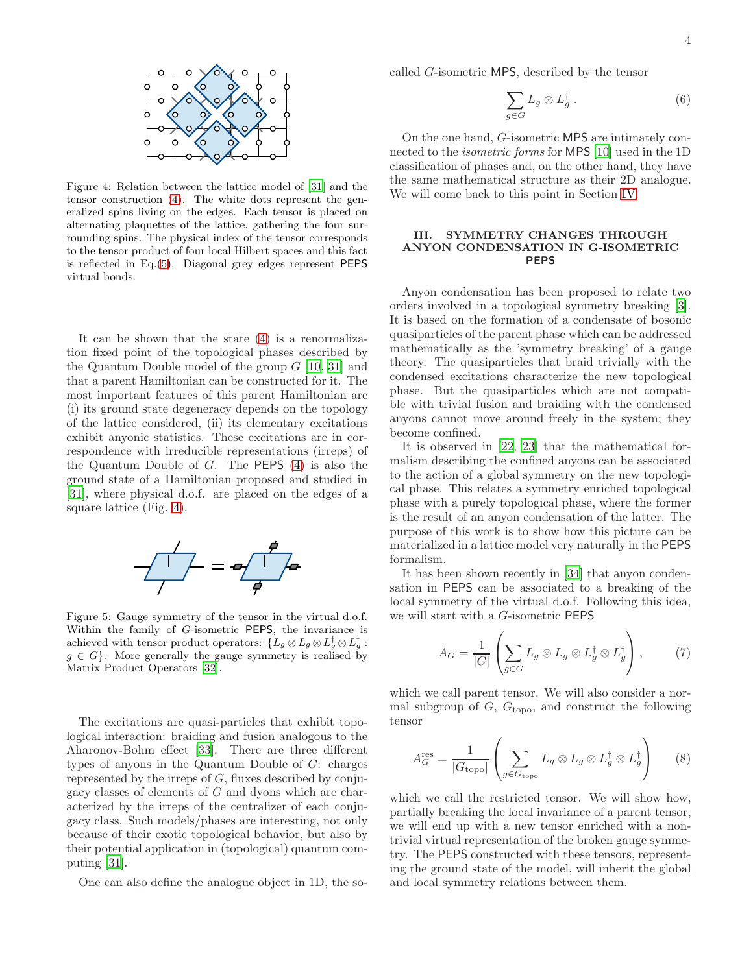

<span id="page-3-1"></span>Figure 4: Relation between the lattice model of [\[31](#page-24-10)] and the tensor construction [\(4\)](#page-2-2). The white dots represent the generalized spins living on the edges. Each tensor is placed on alternating plaquettes of the lattice, gathering the four surrounding spins. The physical index of the tensor corresponds to the tensor product of four local Hilbert spaces and this fact is reflected in Eq.[\(5\)](#page-2-3). Diagonal grey edges represent PEPS virtual bonds.

It can be shown that the state [\(4\)](#page-2-2) is a renormalization fixed point of the topological phases described by the Quantum Double model of the group  $G$  [\[10,](#page-24-6) [31\]](#page-24-10) and that a parent Hamiltonian can be constructed for it. The most important features of this parent Hamiltonian are (i) its ground state degeneracy depends on the topology of the lattice considered, (ii) its elementary excitations exhibit anyonic statistics. These excitations are in correspondence with irreducible representations (irreps) of the Quantum Double of  $G$ . The **PEPS**  $(4)$  is also the ground state of a Hamiltonian proposed and studied in [\[31\]](#page-24-10), where physical d.o.f. are placed on the edges of a square lattice (Fig. [4\)](#page-3-1).



<span id="page-3-2"></span>Figure 5: Gauge symmetry of the tensor in the virtual d.o.f. Within the family of G-isometric PEPS, the invariance is achieved with tensor product operators:  $\{L_g \otimes L_g \otimes L_g^{\dagger} \otimes L_g^{\dagger} : g \in L_g \}$  $g \in G$ . More generally the gauge symmetry is realised by Matrix Product Operators [\[32](#page-24-23)].

The excitations are quasi-particles that exhibit topological interaction: braiding and fusion analogous to the Aharonov-Bohm effect [\[33\]](#page-24-24). There are three different types of anyons in the Quantum Double of G: charges represented by the irreps of  $G$ , fluxes described by conjugacy classes of elements of G and dyons which are characterized by the irreps of the centralizer of each conjugacy class. Such models/phases are interesting, not only because of their exotic topological behavior, but also by their potential application in (topological) quantum computing [\[31](#page-24-10)].

One can also define the analogue object in 1D, the so-

called G-isometric MPS, described by the tensor

$$
\sum_{g\in G} L_g\otimes L_g^{\dagger} . \tag{6}
$$

On the one hand, G-isometric MPS are intimately connected to the isometric forms for MPS [\[10](#page-24-6)] used in the 1D classification of phases and, on the other hand, they have the same mathematical structure as their 2D analogue. We will come back to this point in Section [IV.](#page-11-0)

# <span id="page-3-0"></span>III. SYMMETRY CHANGES THROUGH ANYON CONDENSATION IN G-ISOMETRIC PEPS

Anyon condensation has been proposed to relate two orders involved in a topological symmetry breaking [\[3\]](#page-24-2). It is based on the formation of a condensate of bosonic quasiparticles of the parent phase which can be addressed mathematically as the 'symmetry breaking' of a gauge theory. The quasiparticles that braid trivially with the condensed excitations characterize the new topological phase. But the quasiparticles which are not compatible with trivial fusion and braiding with the condensed anyons cannot move around freely in the system; they become confined.

It is observed in [\[22,](#page-24-15) [23\]](#page-24-16) that the mathematical formalism describing the confined anyons can be associated to the action of a global symmetry on the new topological phase. This relates a symmetry enriched topological phase with a purely topological phase, where the former is the result of an anyon condensation of the latter. The purpose of this work is to show how this picture can be materialized in a lattice model very naturally in the PEPS formalism.

It has been shown recently in [\[34\]](#page-24-25) that anyon condensation in PEPS can be associated to a breaking of the local symmetry of the virtual d.o.f. Following this idea, we will start with a G-isometric PEPS

<span id="page-3-3"></span>
$$
A_G = \frac{1}{|G|} \left( \sum_{g \in G} L_g \otimes L_g \otimes L_g^{\dagger} \otimes L_g^{\dagger} \right), \tag{7}
$$

which we call parent tensor. We will also consider a normal subgroup of  $G$ ,  $G_{\text{topo}}$ , and construct the following tensor

<span id="page-3-4"></span>
$$
A_G^{\text{res}} = \frac{1}{|G_{\text{topo}}|} \left( \sum_{g \in G_{\text{topo}}} L_g \otimes L_g \otimes L_g^{\dagger} \otimes L_g^{\dagger} \right) \tag{8}
$$

which we call the restricted tensor. We will show how, partially breaking the local invariance of a parent tensor, we will end up with a new tensor enriched with a nontrivial virtual representation of the broken gauge symmetry. The PEPS constructed with these tensors, representing the ground state of the model, will inherit the global and local symmetry relations between them.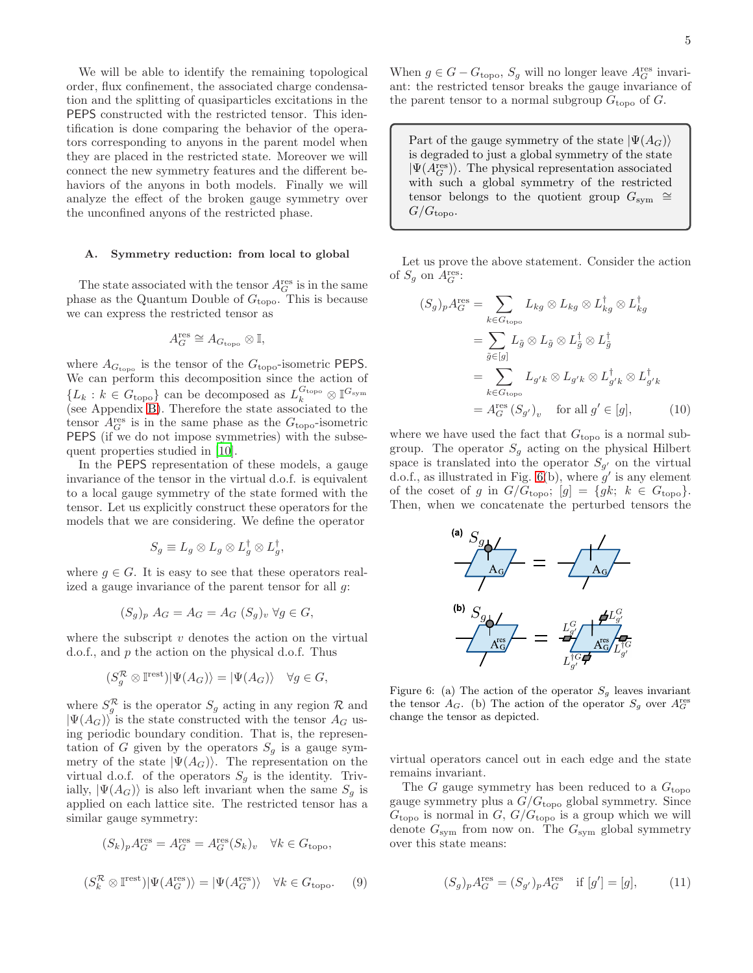We will be able to identify the remaining topological order, flux confinement, the associated charge condensation and the splitting of quasiparticles excitations in the PEPS constructed with the restricted tensor. This identification is done comparing the behavior of the operators corresponding to anyons in the parent model when they are placed in the restricted state. Moreover we will connect the new symmetry features and the different behaviors of the anyons in both models. Finally we will analyze the effect of the broken gauge symmetry over the unconfined anyons of the restricted phase.

### A. Symmetry reduction: from local to global

The state associated with the tensor  $A_G^{\text{res}}$  is in the same phase as the Quantum Double of  $G_{\text{topo}}$ . This is because we can express the restricted tensor as

$$
A_G^{\text{res}} \cong A_{G_{\text{topo}}} \otimes \mathbb{I},
$$

where  $A_{G_{\text{topo}}}$  is the tensor of the  $G_{\text{topo}}$ -isometric PEPS. We can perform this decomposition since the action of  $\{L_k : k \in G_{\text{topo}}\}$  can be decomposed as  $L_k^{G_{\text{topo}}} \otimes \mathbb{I}^{G_{\text{sym}}}$ (see Appendix [B\)](#page-20-0). Therefore the state associated to the tensor  $A_G^{\text{res}}$  is in the same phase as the  $G_{\text{topo}}$ -isometric PEPS (if we do not impose symmetries) with the subsequent properties studied in [\[10\]](#page-24-6).

In the PEPS representation of these models, a gauge invariance of the tensor in the virtual d.o.f. is equivalent to a local gauge symmetry of the state formed with the tensor. Let us explicitly construct these operators for the models that we are considering. We define the operator

$$
S_g \equiv L_g \otimes L_g \otimes L_g^{\dagger} \otimes L_g^{\dagger},
$$

where  $g \in G$ . It is easy to see that these operators realized a gauge invariance of the parent tensor for all  $g$ :

$$
(S_g)_p A_G = A_G = A_G (S_g)_v \ \forall g \in G,
$$

where the subscript  $v$  denotes the action on the virtual d.o.f., and p the action on the physical d.o.f. Thus

$$
(S_g^{\mathcal{R}} \otimes \mathbb{I}^{\text{rest}})|\Psi(A_G)\rangle = |\Psi(A_G)\rangle \quad \forall g \in G,
$$

where  $S_g^{\mathcal{R}}$  is the operator  $S_g$  acting in any region  $\mathcal{R}$  and  $|\Psi(A_G)\rangle$  is the state constructed with the tensor  $A_G$  using periodic boundary condition. That is, the representation of G given by the operators  $S<sub>q</sub>$  is a gauge symmetry of the state  $|\Psi(A_G)\rangle$ . The representation on the virtual d.o.f. of the operators  $S_g$  is the identity. Trivially,  $|\Psi(A_G)\rangle$  is also left invariant when the same  $S_q$  is applied on each lattice site. The restricted tensor has a similar gauge symmetry:

<span id="page-4-1"></span>
$$
(S_k)_p A_G^{\text{res}} = A_G^{\text{res}} = A_G^{\text{res}}(S_k)_v \quad \forall k \in G_{\text{topo}},
$$
  

$$
(S_k^{\mathcal{R}} \otimes \mathbb{I}^{\text{rest}}) | \Psi(A_G^{\text{res}}) \rangle = | \Psi(A_G^{\text{res}}) \rangle \quad \forall k \in G_{\text{topo}}.
$$
 (9)

When  $g \in G - G_{\text{topo}}$ ,  $S_g$  will no longer leave  $A_G^{\text{res}}$  invariant: the restricted tensor breaks the gauge invariance of the parent tensor to a normal subgroup  $G_{\text{topo}}$  of  $G$ .

Part of the gauge symmetry of the state  $|\Psi(A_G)\rangle$ is degraded to just a global symmetry of the state  $|\Psi(A_G^{\rm res})\rangle.$  The physical representation associated with such a global symmetry of the restricted tensor belongs to the quotient group  $G_{sym} \cong$  $G/G_{\text{topo}}$ .

Let us prove the above statement. Consider the action of  $S_g$  on  $A_G^{\text{res}}$ :

$$
(S_g)_p A_G^{\text{res}} = \sum_{k \in G_{\text{topo}}} L_{kg} \otimes L_{kg} \otimes L_{kg}^{\dagger} \otimes L_{kg}^{\dagger}
$$
  
= 
$$
\sum_{\tilde{g} \in [g]} L_{\tilde{g}} \otimes L_{\tilde{g}} \otimes L_{\tilde{g}}^{\dagger} \otimes L_{\tilde{g}}^{\dagger}
$$
  
= 
$$
\sum_{k \in G_{\text{topo}}} L_{g'k} \otimes L_{g'k} \otimes L_{g'k}^{\dagger} \otimes L_{g'k}^{\dagger}
$$
  
= 
$$
A_G^{\text{res}}(S_{g'})_v \text{ for all } g' \in [g], \qquad (10)
$$

where we have used the fact that  $G_{\text{topo}}$  is a normal subgroup. The operator  $S_g$  acting on the physical Hilbert space is translated into the operator  $S_{g'}$  on the virtual d.o.f., as illustrated in Fig. [6\(](#page-4-0)b), where  $g'$  is any element of the coset of g in  $G/G_{\text{topo}}$ ;  $[g] = \{gk; k \in G_{\text{topo}}\}.$ Then, when we concatenate the perturbed tensors the

<span id="page-4-3"></span>

<span id="page-4-0"></span>Figure 6: (a) The action of the operator  $S_g$  leaves invariant the tensor  $A_G$ . (b) The action of the operator  $S_g$  over  $A_G^{\text{res}}$ change the tensor as depicted.

virtual operators cancel out in each edge and the state remains invariant.

The G gauge symmetry has been reduced to a  $G_{\text{topo}}$ gauge symmetry plus a  $G/G_{\text{topo}}$  global symmetry. Since  $G_{\text{topo}}$  is normal in  $G, G/G_{\text{topo}}$  is a group which we will denote  $G_{sym}$  from now on. The  $G_{sym}$  global symmetry over this state means:

<span id="page-4-2"></span>
$$
(S_g)_p A_G^{\text{res}} = (S_{g'})_p A_G^{\text{res}} \text{ if } [g'] = [g], \quad (11)
$$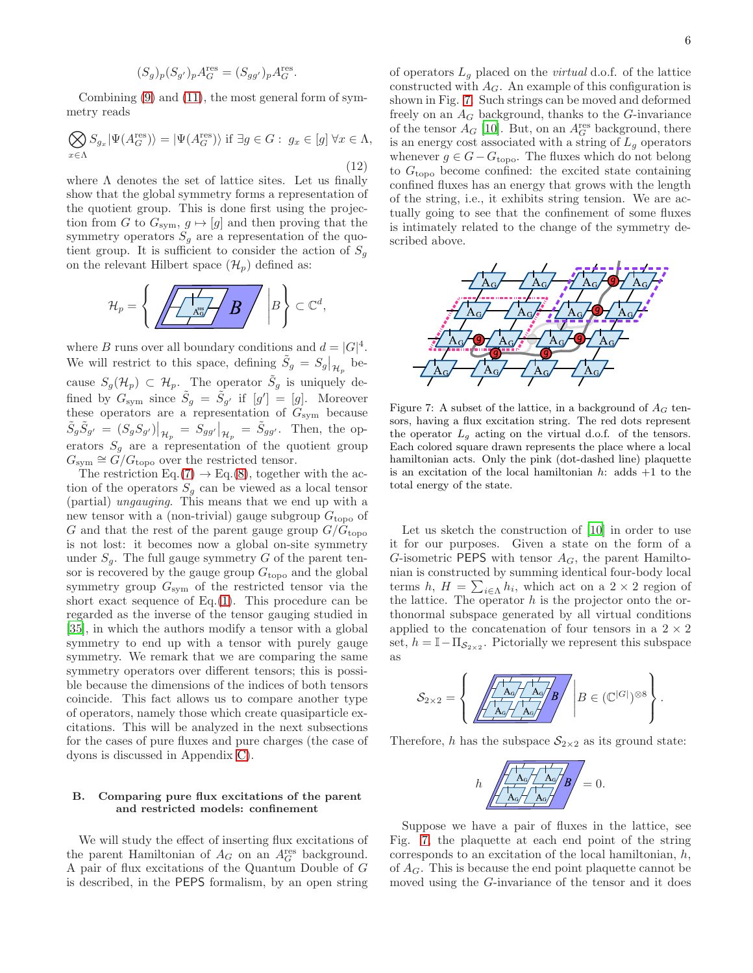$$
(S_g)_p(S_{g'})_pA^{\rm res}_G=(S_{gg'})_pA^{\rm res}_G.
$$

Combining [\(9\)](#page-4-1) and [\(11\)](#page-4-2), the most general form of symmetry reads

<span id="page-5-1"></span>
$$
\bigotimes_{x \in \Lambda} S_{g_x} |\Psi(A_G^{\text{res}})\rangle = |\Psi(A_G^{\text{res}})\rangle \text{ if } \exists g \in G: g_x \in [g] \,\forall x \in \Lambda,
$$
\n(12)

where  $\Lambda$  denotes the set of lattice sites. Let us finally show that the global symmetry forms a representation of the quotient group. This is done first using the projection from G to  $G_{sym}$ ,  $g \mapsto [g]$  and then proving that the symmetry operators  $S<sub>g</sub>$  are a representation of the quotient group. It is sufficient to consider the action of  $S_q$ on the relevant Hilbert space  $(\mathcal{H}_p)$  defined as:

$$
\mathcal{H}_p = \left\{ \left. \left/ \begin{array}{c|c} \hline \begin{matrix} \overline{1} & \overline{1} \\ \hline \end{matrix} & \begin{matrix} B \end{matrix} \end{array} \right| B \right\} \subset \mathbb{C}^d, \right.
$$

where B runs over all boundary conditions and  $d = |G|^4$ . We will restrict to this space, defining  $\tilde{S}_g = S_g|_{\mathcal{H}_p}$  because  $S_g(\mathcal{H}_p) \subset \mathcal{H}_p$ . The operator  $\tilde{S}_g$  is uniquely defined by  $G_{sym}$  since  $\tilde{S}_g = \tilde{S}_{g'}$  if  $[g'] = [g]$ . Moreover these operators are a representation of  $G_{sym}$  because  $\tilde{S}_g \tilde{S}_{g'} = (S_g S_{g'})\big|_{\mathcal{H}_p} = S_{gg'}\big|_{\mathcal{H}_p} = \tilde{S}_{gg'}.$  Then, the operators  $S_g$  are a representation of the quotient group  $G_{sym} \cong \tilde{G}/G_{\text{topo}}$  over the restricted tensor.

The restriction Eq.[\(7\)](#page-3-3)  $\rightarrow$  Eq.[\(8\)](#page-3-4), together with the action of the operators  $S<sub>q</sub>$  can be viewed as a local tensor (partial) ungauging. This means that we end up with a new tensor with a (non-trivial) gauge subgroup  $G_{\text{topo}}$  of G and that the rest of the parent gauge group  $G/G_{\text{topo}}$ is not lost: it becomes now a global on-site symmetry under  $S_q$ . The full gauge symmetry G of the parent tensor is recovered by the gauge group  $G_{\text{topo}}$  and the global symmetry group  $G_{sym}$  of the restricted tensor via the short exact sequence of  $Eq.(1)$  $Eq.(1)$ . This procedure can be regarded as the inverse of the tensor gauging studied in [\[35\]](#page-24-26), in which the authors modify a tensor with a global symmetry to end up with a tensor with purely gauge symmetry. We remark that we are comparing the same symmetry operators over different tensors; this is possible because the dimensions of the indices of both tensors coincide. This fact allows us to compare another type of operators, namely those which create quasiparticle excitations. This will be analyzed in the next subsections for the cases of pure fluxes and pure charges (the case of dyons is discussed in Appendix [C\)](#page-20-1).

# B. Comparing pure flux excitations of the parent and restricted models: confinement

We will study the effect of inserting flux excitations of the parent Hamiltonian of  $A_G$  on an  $A_G^{\text{res}}$  background. A pair of flux excitations of the Quantum Double of G is described, in the PEPS formalism, by an open string

of operators  $L_g$  placed on the *virtual* d.o.f. of the lattice constructed with  $A_G$ . An example of this configuration is shown in Fig. [7.](#page-5-0) Such strings can be moved and deformed freely on an  $A_G$  background, thanks to the G-invariance of the tensor  $A_G$  [\[10](#page-24-6)]. But, on an  $A_G^{\text{res}}$  background, there is an energy cost associated with a string of  $L_g$  operators whenever  $g \in G - G_{\text{topo}}$ . The fluxes which do not belong to  $G_{\text{topo}}$  become confined: the excited state containing confined fluxes has an energy that grows with the length of the string, i.e., it exhibits string tension. We are actually going to see that the confinement of some fluxes is intimately related to the change of the symmetry described above.



<span id="page-5-0"></span>Figure 7: A subset of the lattice, in a background of  $A_G$  tensors, having a flux excitation string. The red dots represent the operator  $L_q$  acting on the virtual d.o.f. of the tensors. Each colored square drawn represents the place where a local hamiltonian acts. Only the pink (dot-dashed line) plaquette is an excitation of the local hamiltonian  $h$ : adds  $+1$  to the total energy of the state.

Let us sketch the construction of [\[10\]](#page-24-6) in order to use it for our purposes. Given a state on the form of a G-isometric PEPS with tensor  $A_G$ , the parent Hamiltonian is constructed by summing identical four-body local terms h,  $H = \sum_{i \in \Lambda} h_i$ , which act on a 2 × 2 region of the lattice. The operator  $h$  is the projector onto the orthonormal subspace generated by all virtual conditions applied to the concatenation of four tensors in a  $2 \times 2$ set,  $h = \mathbb{I} - \Pi_{\mathcal{S}_{2 \times 2}}$ . Pictorially we represent this subspace as

$$
\mathcal{S}_{2\times 2}=\left\{\left.\sqrt{\frac{\left|\overline{A_{\mathsf{G}}}\right|^{1}\overline{A_{\mathsf{G}}}}{\left|\overline{A_{\mathsf{G}}}\right|^{1}\overline{A_{\mathsf{G}}}}\right|}B\right|B\in(\mathbb{C}^{|G|})^{\otimes 8}\right\}.
$$

Therefore, h has the subspace  $S_{2\times 2}$  as its ground state:

$$
h \sqrt{\frac{\left|A_0\right| + \left|A_0\right|}{\left|A_0\right| + \left|A_0\right|}} B = 0.
$$

Suppose we have a pair of fluxes in the lattice, see Fig. [7,](#page-5-0) the plaquette at each end point of the string corresponds to an excitation of the local hamiltonian,  $h$ , of  $A_G$ . This is because the end point plaquette cannot be moved using the G-invariance of the tensor and it does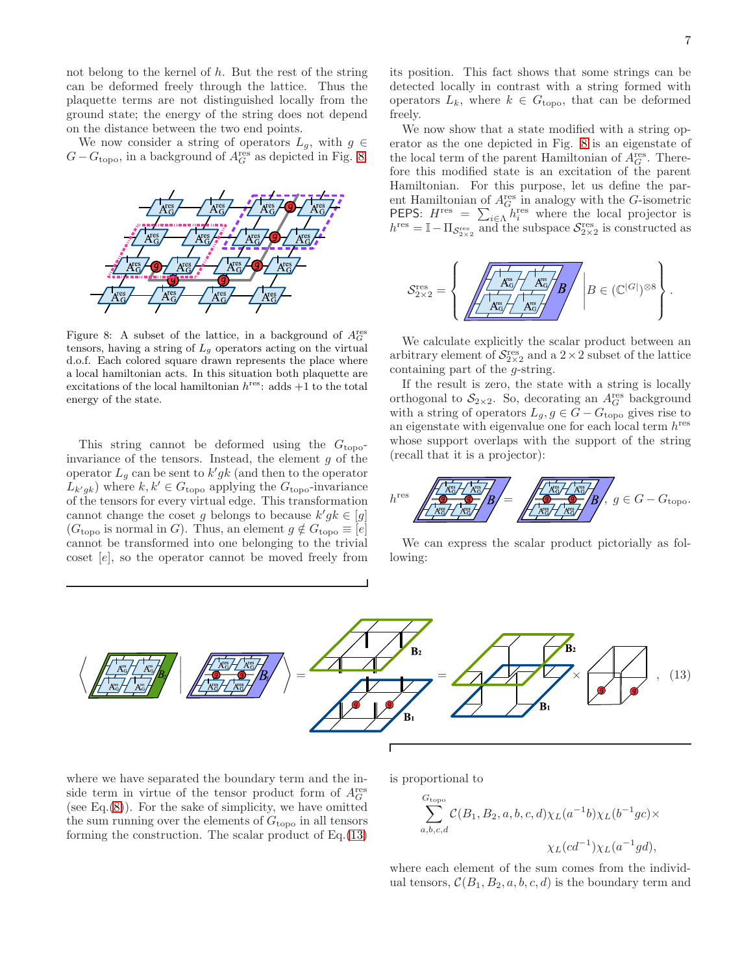not belong to the kernel of  $h$ . But the rest of the string can be deformed freely through the lattice. Thus the plaquette terms are not distinguished locally from the ground state; the energy of the string does not depend on the distance between the two end points.

We now consider a string of operators  $L_q$ , with  $q \in$  $G - G_{\text{topo}}$ , in a background of  $A_G^{\text{res}}$  as depicted in Fig. [8.](#page-6-0)



<span id="page-6-0"></span>Figure 8: A subset of the lattice, in a background of  $A_G^{\text{res}}$ tensors, having a string of  $L<sub>g</sub>$  operators acting on the virtual d.o.f. Each colored square drawn represents the place where a local hamiltonian acts. In this situation both plaquette are excitations of the local hamiltonian  $h^{\text{res}}$ : adds  $+1$  to the total energy of the state.

This string cannot be deformed using the  $G_{\text{topo}}$ invariance of the tensors. Instead, the element  $g$  of the operator  $L_g$  can be sent to  $k'g k$  (and then to the operator  $L_{k'gk}$ ) where  $k, k' \in G_{\text{topo}}$  applying the  $G_{\text{topo}}$ -invariance of the tensors for every virtual edge. This transformation cannot change the coset g belongs to because  $k'g k \in [g]$  $(G<sub>topo</sub>$  is normal in G). Thus, an element  $g \notin G<sub>topo</sub> \equiv [e]$ cannot be transformed into one belonging to the trivial coset [e], so the operator cannot be moved freely from its position. This fact shows that some strings can be detected locally in contrast with a string formed with operators  $L_k$ , where  $k \in G_{\text{topo}}$ , that can be deformed freely.

We now show that a state modified with a string operator as the one depicted in Fig. [8](#page-6-0) is an eigenstate of the local term of the parent Hamiltonian of  $A_G^{\text{res}}$ . Therefore this modified state is an excitation of the parent Hamiltonian. For this purpose, let us define the parent Hamiltonian of  $A_G^{\text{res}}$  in analogy with the G-isometric **PEPS:**  $H^{\text{res}} = \sum_{i \in \Lambda} h_i^{\text{res}}$  where the local projector is  $h^{\text{res}} = \mathbb{I} - \Pi_{\mathcal{S}_{2\times 2}^{\text{res}}}$  and the subspace  $\mathcal{S}_{2\times 2}^{\text{res}}$  is constructed as

$$
\mathcal{S}^{\mathrm{res}}_{2\times 2} = \left\{\left|\frac{\sqrt{\frac{1}{A_{\mathbb{G}}^{\mathrm{es}}}/\sqrt{\frac{A_{\mathbb{G}}^{\mathrm{es}}}{A_{\mathbb{G}}^{\mathrm{es}}}}}}{\sqrt{\frac{A_{\mathbb{G}}^{\mathrm{es}}}{A_{\mathbb{G}}^{\mathrm{es}}}/\sqrt{\frac{A_{\mathbb{G}}^{\mathrm{es}}}{A_{\mathbb{G}}^{\mathrm{es}}}}}}\right|B\in(\mathbb{C}^{|G|})^{\otimes 8}\right\}.
$$

We calculate explicitly the scalar product between an arbitrary element of  $S_{2\times 2}^{\text{res}}$  and a  $2\times 2$  subset of the lattice containing part of the g-string.

If the result is zero, the state with a string is locally orthogonal to  $S_{2\times 2}$ . So, decorating an  $A_G^{\text{res}}$  background with a string of operators  $L_g, g \in G - G_{\text{topo}}$  gives rise to an eigenstate with eigenvalue one for each local term  $h^{\text{res}}$ whose support overlaps with the support of the string (recall that it is a projector):



We can express the scalar product pictorially as following:

<span id="page-6-1"></span>

where we have separated the boundary term and the inside term in virtue of the tensor product form of  $A_G^{\text{res}}$ (see Eq. $(8)$ ). For the sake of simplicity, we have omitted the sum running over the elements of  $G_{\text{topo}}$  in all tensors forming the construction. The scalar product of  $Eq.(13)$  $Eq.(13)$ 

is proportional to

$$
\sum_{a,b,c,d}^{G_{\text{topo}}} C(B_1, B_2, a, b, c, d) \chi_L(a^{-1}b) \chi_L(b^{-1}gc) \times
$$
  

$$
\chi_L(cd^{-1}) \chi_L(a^{-1}gd),
$$

where each element of the sum comes from the individual tensors,  $C(B_1, B_2, a, b, c, d)$  is the boundary term and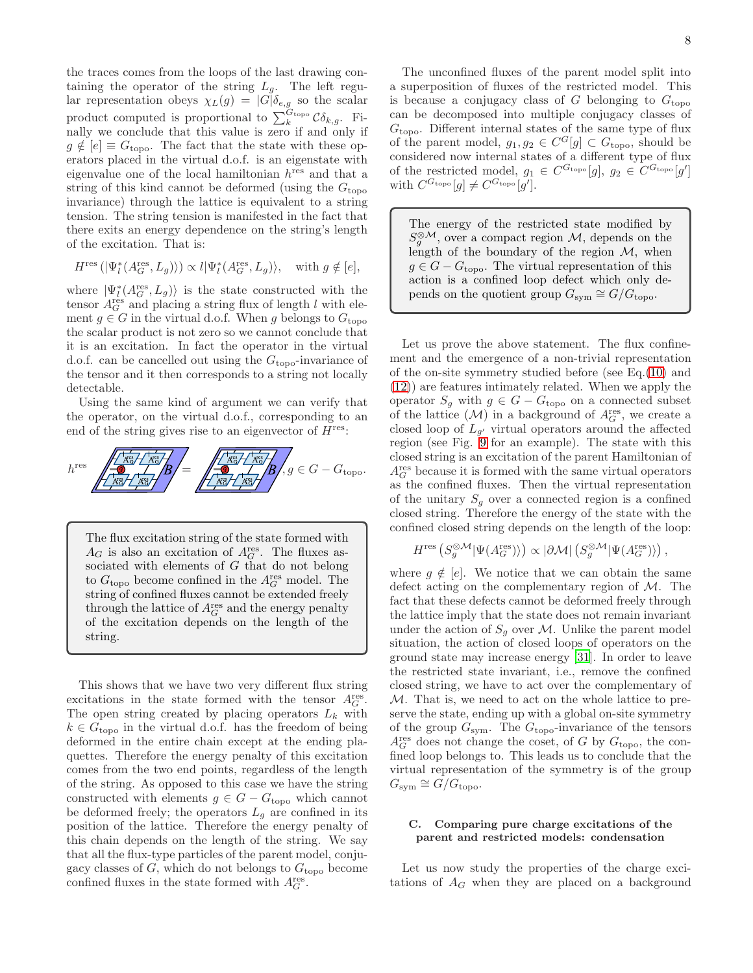the traces comes from the loops of the last drawing containing the operator of the string  $L_g$ . The left regular representation obeys  $\chi_L(g) = |G|\delta_{e,g}$  so the scalar product computed is proportional to  $\sum_{k}^{G_{\text{topo}}} \mathcal{C} \delta_{k,g}$ . Finally we conclude that this value is zero if and only if  $g \notin [e] \equiv G_{\text{topo}}$ . The fact that the state with these operators placed in the virtual d.o.f. is an eigenstate with eigenvalue one of the local hamiltonian  $h^{\text{res}}$  and that a string of this kind cannot be deformed (using the  $G_{\text{topo}}$ invariance) through the lattice is equivalent to a string tension. The string tension is manifested in the fact that there exits an energy dependence on the string's length of the excitation. That is:

$$
H^{\text{res}}\left(|\Psi_l^*(A_G^{\text{res}}, L_g)\rangle\right) \propto l|\Psi_l^*(A_G^{\text{res}}, L_g)\rangle, \quad \text{with } g \notin [e],
$$

where  $|\Psi_l^*(A_G^{\text{res}}, L_g)\rangle$  is the state constructed with the tensor  $A_G^{\text{res}}$  and placing a string flux of length l with element  $g \in G$  in the virtual d.o.f. When g belongs to  $G_{\text{topo}}$ the scalar product is not zero so we cannot conclude that it is an excitation. In fact the operator in the virtual d.o.f. can be cancelled out using the  $G_{\text{topo}}$ -invariance of the tensor and it then corresponds to a string not locally detectable.

Using the same kind of argument we can verify that the operator, on the virtual d.o.f., corresponding to an end of the string gives rise to an eigenvector of  $H<sup>res</sup>$ :



The flux excitation string of the state formed with  $A_G$  is also an excitation of  $A_G^{\text{res}}$ . The fluxes associated with elements of G that do not belong to  $G_{\text{topo}}$  become confined in the  $A_G^{\text{res}}$  model. The string of confined fluxes cannot be extended freely through the lattice of  $A_G^{\text{res}}$  and the energy penalty of the excitation depends on the length of the string.

This shows that we have two very different flux string excitations in the state formed with the tensor  $A_G^{\text{res}}$ . The open string created by placing operators  $L_k$  with  $k \in G_{\text{topo}}$  in the virtual d.o.f. has the freedom of being deformed in the entire chain except at the ending plaquettes. Therefore the energy penalty of this excitation comes from the two end points, regardless of the length of the string. As opposed to this case we have the string constructed with elements  $g \in G - G_{\text{topo}}$  which cannot be deformed freely; the operators  $L_q$  are confined in its position of the lattice. Therefore the energy penalty of this chain depends on the length of the string. We say that all the flux-type particles of the parent model, conjugacy classes of  $G$ , which do not belongs to  $G_{\text{topo}}$  become confined fluxes in the state formed with  $A_G^{\text{res}}$ .

The unconfined fluxes of the parent model split into a superposition of fluxes of the restricted model. This is because a conjugacy class of  $G$  belonging to  $G_{\text{topo}}$ can be decomposed into multiple conjugacy classes of  $G_{\text{topo}}$ . Different internal states of the same type of flux of the parent model,  $g_1, g_2 \in C^G[g] \subset G_{\text{topo}}$ , should be considered now internal states of a different type of flux of the restricted model,  $g_1 \in C^{G_{\text{topo}}}[g]$ ,  $g_2 \in C^{G_{\text{topo}}}[g']$ with  $C^{G_{\text{topo}}}[g] \neq C^{G_{\text{topo}}}[g']$ .

The energy of the restricted state modified by  $S_g^{\otimes M}$ , over a compact region M, depends on the length of the boundary of the region  $M$ , when  $g \in G - G_{\text{topo}}$ . The virtual representation of this action is a confined loop defect which only depends on the quotient group  $G_{sym} \cong G/G_{topo}$ .

Let us prove the above statement. The flux confinement and the emergence of a non-trivial representation of the on-site symmetry studied before (see Eq.[\(10\)](#page-4-3) and [\(12\)](#page-5-1)) are features intimately related. When we apply the operator  $S_g$  with  $g \in G - G_{\text{topo}}$  on a connected subset of the lattice  $(M)$  in a background of  $A_G^{\text{res}}$ , we create a closed loop of  $L_{g'}$  virtual operators around the affected region (see Fig. [9](#page-8-0) for an example). The state with this closed string is an excitation of the parent Hamiltonian of  $A_G^{\text{res}}$  because it is formed with the same virtual operators as the confined fluxes. Then the virtual representation of the unitary  $S<sub>q</sub>$  over a connected region is a confined closed string. Therefore the energy of the state with the confined closed string depends on the length of the loop:

$$
H^{\text{res}}\left(S_g^{\otimes \mathcal{M}}|\Psi(A_G^{\text{res}})\rangle\right) \propto |\partial \mathcal{M}| \left(S_g^{\otimes \mathcal{M}}|\Psi(A_G^{\text{res}})\rangle\right),
$$

where  $g \notin [e]$ . We notice that we can obtain the same defect acting on the complementary region of  $M$ . The fact that these defects cannot be deformed freely through the lattice imply that the state does not remain invariant under the action of  $S_g$  over M. Unlike the parent model situation, the action of closed loops of operators on the ground state may increase energy [\[31\]](#page-24-10). In order to leave the restricted state invariant, i.e., remove the confined closed string, we have to act over the complementary of M. That is, we need to act on the whole lattice to preserve the state, ending up with a global on-site symmetry of the group  $G_{\text{sym}}$ . The  $G_{\text{topo}}$ -invariance of the tensors  $A_G^{\text{res}}$  does not change the coset, of G by  $G_{\text{topo}}$ , the confined loop belongs to. This leads us to conclude that the virtual representation of the symmetry is of the group  $G_{\text{sym}} \cong G/G_{\text{topo}}.$ 

# C. Comparing pure charge excitations of the parent and restricted models: condensation

Let us now study the properties of the charge excitations of  $A_G$  when they are placed on a background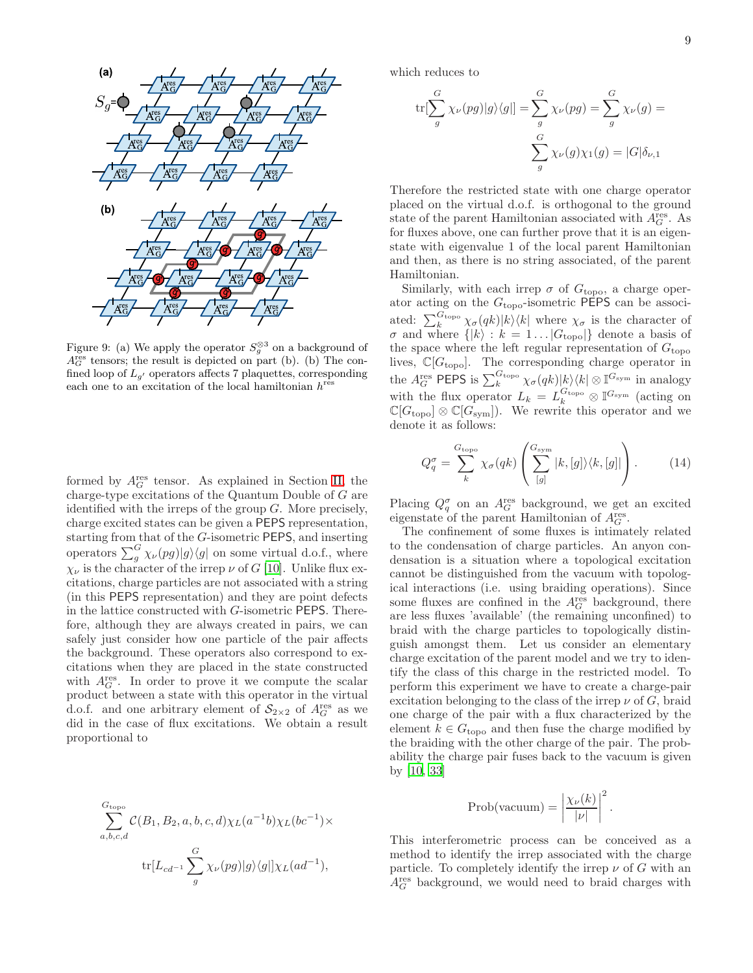

<span id="page-8-0"></span>Figure 9: (a) We apply the operator  $S_g^{\otimes 3}$  on a background of  $A_G^{\text{res}}$  tensors; the result is depicted on part (b). (b) The confined loop of  $L_{q'}$  operators affects 7 plaquettes, corresponding each one to an excitation of the local hamiltonian  $h^{\text{res}}$ 

formed by  $A_G^{\text{res}}$  tensor. As explained in Section [II,](#page-1-1) the charge-type excitations of the Quantum Double of G are identified with the irreps of the group  $G$ . More precisely, charge excited states can be given a PEPS representation, starting from that of the G-isometric PEPS, and inserting operators  $\sum_{g}^{G} \chi_{\nu}(pg)|g\rangle\langle g|$  on some virtual d.o.f., where  $\chi_{\nu}$  is the character of the irrep  $\nu$  of G [\[10](#page-24-6)]. Unlike flux excitations, charge particles are not associated with a string (in this PEPS representation) and they are point defects in the lattice constructed with G-isometric PEPS. Therefore, although they are always created in pairs, we can safely just consider how one particle of the pair affects the background. These operators also correspond to excitations when they are placed in the state constructed with  $A_G^{\text{res}}$ . In order to prove it we compute the scalar product between a state with this operator in the virtual d.o.f. and one arbitrary element of  $S_{2\times 2}$  of  $A_G^{\text{res}}$  as we did in the case of flux excitations. We obtain a result proportional to

$$
\sum_{a,b,c,d}^{G_{\text{topo}}} C(B_1, B_2, a, b, c, d) \chi_L(a^{-1}b) \chi_L(bc^{-1}) \times
$$
  

$$
\text{tr}[L_{cd^{-1}} \sum_g^G \chi_{\nu}(pg) |g\rangle\langle g|] \chi_L(ad^{-1}),
$$

which reduces to

$$
\text{tr}[\sum_{g}^{G} \chi_{\nu}(pg)|g\rangle\langle g|] = \sum_{g}^{G} \chi_{\nu}(pg) = \sum_{g}^{G} \chi_{\nu}(g) = \sum_{g}^{G} \chi_{\nu}(g)\chi_{1}(g) = |G|\delta_{\nu,1}
$$

Therefore the restricted state with one charge operator placed on the virtual d.o.f. is orthogonal to the ground state of the parent Hamiltonian associated with  $A_G^{\text{res}}$ . As for fluxes above, one can further prove that it is an eigenstate with eigenvalue 1 of the local parent Hamiltonian and then, as there is no string associated, of the parent Hamiltonian.

Similarly, with each irrep  $\sigma$  of  $G_{\text{topo}}$ , a charge operator acting on the  $G_{\text{topo}}$ -isometric PEPS can be associated:  $\sum_{k}^{G_{\text{topo}}} \chi_{\sigma}(qk)|k\rangle\langle k|$  where  $\chi_{\sigma}$  is the character of  $\sigma$  and where  $\{|k\rangle : k = 1...|G_{\text{topo}}|\}$  denote a basis of the space where the left regular representation of  $G_{\text{topo}}$ lives,  $\mathbb{C}[G_{\text{topo}}]$ . The corresponding charge operator in the  $A_G^{\text{res}}$  PEPS is  $\sum_k^{G_{\text{topo}}} \chi_{\sigma}(qk) |k\rangle\langle k| \otimes \mathbb{I}^{G_{\text{sym}}}$  in analogy with the flux operator  $L_k = L_k^{G_{\text{topo}}} \otimes \mathbb{I}^{G_{\text{sym}}}$  (acting on  $\mathbb{C}[G_{\text{topo}}] \otimes \mathbb{C}[G_{\text{sym}}]$ . We rewrite this operator and we denote it as follows:

<span id="page-8-1"></span>
$$
Q_q^{\sigma} = \sum_{k}^{G_{\text{topo}}} \chi_{\sigma}(qk) \left( \sum_{[g]}^{G_{\text{sym}}} |k, [g] \rangle \langle k, [g]| \right). \tag{14}
$$

Placing  $Q_q^{\sigma}$  on an  $A_G^{\text{res}}$  background, we get an excited eigenstate of the parent Hamiltonian of  $A_G^{\text{res}}$ .

The confinement of some fluxes is intimately related to the condensation of charge particles. An anyon condensation is a situation where a topological excitation cannot be distinguished from the vacuum with topological interactions (i.e. using braiding operations). Since some fluxes are confined in the  $A_G^{\text{res}}$  background, there are less fluxes 'available' (the remaining unconfined) to braid with the charge particles to topologically distinguish amongst them. Let us consider an elementary charge excitation of the parent model and we try to identify the class of this charge in the restricted model. To perform this experiment we have to create a charge-pair excitation belonging to the class of the irrep  $\nu$  of G, braid one charge of the pair with a flux characterized by the element  $k \in G_{\text{topo}}$  and then fuse the charge modified by the braiding with the other charge of the pair. The probability the charge pair fuses back to the vacuum is given by [\[10,](#page-24-6) [33\]](#page-24-24)

$$
\text{Prob}(\text{vacuum}) = \left| \frac{\chi_{\nu}(k)}{|\nu|} \right|^2.
$$

This interferometric process can be conceived as a method to identify the irrep associated with the charge particle. To completely identify the irrep  $\nu$  of G with an  $A_G^{\rm res}$  background, we would need to braid charges with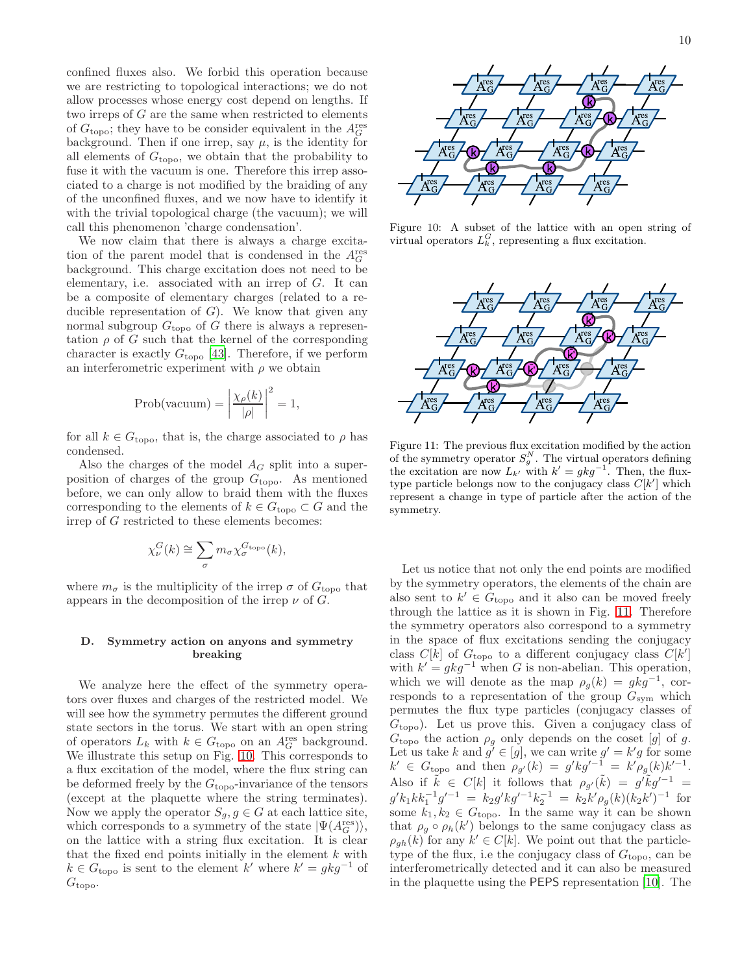confined fluxes also. We forbid this operation because we are restricting to topological interactions; we do not allow processes whose energy cost depend on lengths. If two irreps of G are the same when restricted to elements of  $G_{\text{topo}}$ ; they have to be consider equivalent in the  $A_G^{\text{res}}$ background. Then if one irrep, say  $\mu$ , is the identity for all elements of  $G_{\text{topo}}$ , we obtain that the probability to fuse it with the vacuum is one. Therefore this irrep associated to a charge is not modified by the braiding of any of the unconfined fluxes, and we now have to identify it with the trivial topological charge (the vacuum); we will call this phenomenon 'charge condensation'.

We now claim that there is always a charge excitation of the parent model that is condensed in the  $A_G^{\text{res}}$ background. This charge excitation does not need to be elementary, i.e. associated with an irrep of G. It can be a composite of elementary charges (related to a reducible representation of  $G$ ). We know that given any normal subgroup  $G_{\text{topo}}$  of G there is always a representation  $\rho$  of G such that the kernel of the corresponding character is exactly  $G_{\text{topo}}$  [\[43](#page-24-27)]. Therefore, if we perform an interferometric experiment with  $\rho$  we obtain

$$
Prob(\text{vacuum}) = \left| \frac{\chi_{\rho}(k)}{|\rho|} \right|^2 = 1,
$$

for all  $k \in G_{\text{topo}}$ , that is, the charge associated to  $\rho$  has condensed.

Also the charges of the model  $A_G$  split into a superposition of charges of the group  $G_{\text{topo}}$ . As mentioned before, we can only allow to braid them with the fluxes corresponding to the elements of  $k \in G_{\text{topo}} \subset G$  and the irrep of G restricted to these elements becomes:

$$
\chi_{\nu}^G(k) \cong \sum_{\sigma} m_{\sigma} \chi_{\sigma}^{G_{\rm topo}}(k),
$$

where  $m_{\sigma}$  is the multiplicity of the irrep  $\sigma$  of  $G_{\text{topo}}$  that appears in the decomposition of the irrep  $\nu$  of  $G$ .

# D. Symmetry action on anyons and symmetry breaking

We analyze here the effect of the symmetry operators over fluxes and charges of the restricted model. We will see how the symmetry permutes the different ground state sectors in the torus. We start with an open string of operators  $L_k$  with  $k \in G$ <sub>topo</sub> on an  $A_G^{\text{res}}$  background. We illustrate this setup on Fig. [10.](#page-9-0) This corresponds to a flux excitation of the model, where the flux string can be deformed freely by the  $G_{\text{topo}}$ -invariance of the tensors (except at the plaquette where the string terminates). Now we apply the operator  $S_g, g \in G$  at each lattice site, which corresponds to a symmetry of the state  $|\Psi(A_G^{\text{res}})\rangle$ , on the lattice with a string flux excitation. It is clear that the fixed end points initially in the element  $k$  with  $k \in G_{\text{topo}}$  is sent to the element  $k'$  where  $k' = gkg^{-1}$  of  $G_{\text{topo}}$ .



Figure 10: A subset of the lattice with an open string of virtual operators  $L_k^G$ , representing a flux excitation.

<span id="page-9-0"></span>

<span id="page-9-1"></span>Figure 11: The previous flux excitation modified by the action of the symmetry operator  $S_g^N$ . The virtual operators defining the excitation are now  $L_{k'}$  with  $k' = gkg^{-1}$ . Then, the fluxtype particle belongs now to the conjugacy class  $C[k']$  which represent a change in type of particle after the action of the symmetry.

Let us notice that not only the end points are modified by the symmetry operators, the elements of the chain are also sent to  $k' \in G_{\text{topo}}$  and it also can be moved freely through the lattice as it is shown in Fig. [11.](#page-9-1) Therefore the symmetry operators also correspond to a symmetry in the space of flux excitations sending the conjugacy class  $C[k]$  of  $G_{\text{topo}}$  to a different conjugacy class  $C[k']$ with  $k' = gkg^{-1}$  when G is non-abelian. This operation, which we will denote as the map  $\rho_g(k) = gkg^{-1}$ , corresponds to a representation of the group  $G_{sym}$  which permutes the flux type particles (conjugacy classes of  $G<sub>topo</sub>$ ). Let us prove this. Given a conjugacy class of  $G_{\text{topo}}$  the action  $\rho_g$  only depends on the coset [g] of g. Let us take k and  $g' \in [g]$ , we can write  $g' = k'g$  for some  $k' \in G_{\text{topo}}$  and then  $\rho_{g'}(k) = g' k g'^{-1} = k' \rho_g(k) k'^{-1}$ . Also if  $\tilde{k} \in C[k]$  it follows that  $\rho_{g'}(\tilde{k}) = g'\tilde{k}g'^{-1} =$  $g'k_1kk_1^{-1}g'^{-1} = k_2g'kg'^{-1}k_2^{-1} = k_2k'\rho_g(k)(k_2k')^{-1}$  for some  $k_1, k_2 \in G_{\text{topo}}$ . In the same way it can be shown that  $\rho_g \circ \rho_h(k')$  belongs to the same conjugacy class as  $\rho_{gh}(k)$  for any  $k' \in C[k]$ . We point out that the particletype of the flux, i.e the conjugacy class of  $G_{\text{topo}}$ , can be interferometrically detected and it can also be measured in the plaquette using the PEPS representation [\[10](#page-24-6)]. The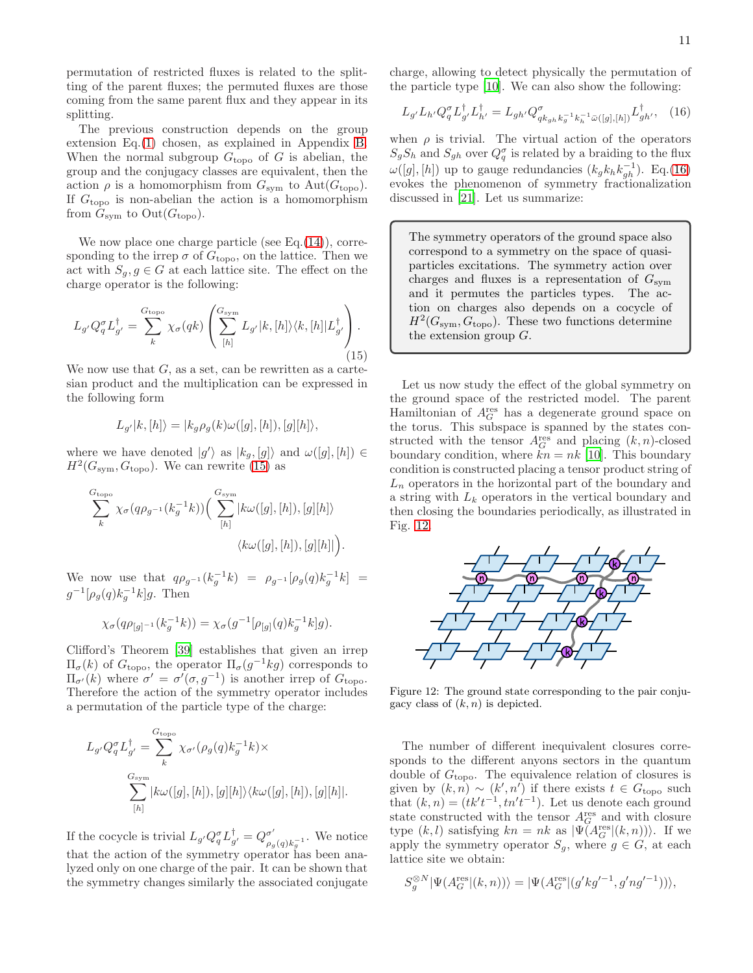permutation of restricted fluxes is related to the splitting of the parent fluxes; the permuted fluxes are those coming from the same parent flux and they appear in its splitting.

The previous construction depends on the group extension Eq.[\(1\)](#page-1-3) chosen, as explained in Appendix [B.](#page-20-0) When the normal subgroup  $G_{\text{topo}}$  of G is abelian, the group and the conjugacy classes are equivalent, then the action  $\rho$  is a homomorphism from  $G_{sym}$  to  $Aut(G_{topo})$ . If  $G_{\text{topo}}$  is non-abelian the action is a homomorphism from  $G_{sym}$  to  $Out(G_{topo})$ .

We now place one charge particle (see Eq. $(14)$ ), corresponding to the irrep  $\sigma$  of  $G_{\text{topo}}$ , on the lattice. Then we act with  $S_q, g \in G$  at each lattice site. The effect on the charge operator is the following:

<span id="page-10-0"></span>
$$
L_{g'}Q_q^{\sigma}L_{g'}^{\dagger} = \sum_{k}^{G_{\text{topo}}} \chi_{\sigma}(qk) \left( \sum_{[h]}^{G_{\text{sym}}} L_{g'}|k,[h] \rangle \langle k,[h]|L_{g'}^{\dagger} \right). \tag{15}
$$

We now use that  $G$ , as a set, can be rewritten as a cartesian product and the multiplication can be expressed in the following form

$$
L_{g'}|k,[h]\rangle=|k_g\rho_g(k)\omega([g],[h]),[g][h]\rangle,
$$

where we have denoted  $|g'\rangle$  as  $|k_g,[g]\rangle$  and  $\omega([g],[h]) \in$  $H^2(G_{sym}, G_{topo})$ . We can rewrite [\(15\)](#page-10-0) as

$$
\sum_{k}^{G_{\text{topo}}} \chi_{\sigma}(q\rho_{g^{-1}}(k_g^{-1}k)) \Big( \sum_{[h]}^{G_{\text{sym}}} \left| k\omega([g],[h]), [g][h] \right\rangle
$$
  

$$
\langle k\omega([g],[h]), [g][h] \right).
$$

We now use that  $q\rho_{g^{-1}}(k_g^{-1}k) = \rho_{g^{-1}}[\rho_g(q)k_g^{-1}k] =$  $g^{-1}[\rho_g(q)k_g^{-1}k]g$ . Then

$$
\chi_{\sigma}(q\rho_{[g]^{-1}}(k_g^{-1}k)) = \chi_{\sigma}(g^{-1}[\rho_{[g]}(q)k_g^{-1}k]g).
$$

Clifford's Theorem [\[39\]](#page-24-28) establishes that given an irrep  $\Pi_{\sigma}(k)$  of  $G_{\text{topo}}$ , the operator  $\Pi_{\sigma}(g^{-1}kg)$  corresponds to  $\Pi_{\sigma'}(k)$  where  $\sigma' = \sigma'(\sigma, g^{-1})$  is another irrep of  $G_{\text{topo}}$ . Therefore the action of the symmetry operator includes a permutation of the particle type of the charge:

$$
L_{g'}Q_q^{\sigma}L_{g'}^{\dagger} = \sum_{k}^{G_{\text{topo}}} \chi_{\sigma'}(\rho_g(q)k_g^{-1}k) \times
$$
  

$$
\sum_{[h]}^{G_{\text{sym}}} |k\omega([g],[h]),[g][h]\rangle \langle k\omega([g],[h]),[g][h]|.
$$

If the cocycle is trivial  $L_{g'}Q_q^{\sigma}L_{g'}^{\dagger} = Q_{\rho_c}^{\sigma'}$  $\sigma'_{\rho_g(q)k_g^{-1}}$ . We notice that the action of the symmetry operator has been analyzed only on one charge of the pair. It can be shown that the symmetry changes similarly the associated conjugate charge, allowing to detect physically the permutation of the particle type [\[10](#page-24-6)]. We can also show the following:

<span id="page-10-1"></span>
$$
L_{g'} L_{h'} Q_q^{\sigma} L_{g'}^{\dagger} L_{h'}^{\dagger} = L_{gh'} Q_{q k_{gh} k_g^{-1} k_h^{-1} \bar{\omega}([g], [h])}^{\dagger} L_{gh'}^{\dagger}, \quad (16)
$$

when  $\rho$  is trivial. The virtual action of the operators  $S_gS_h$  and  $S_{gh}$  over  $Q_q^{\sigma}$  is related by a braiding to the flux  $\omega([g], [h])$  up to gauge redundancies  $(k_g k_h k_{gh}^{-1})$ . Eq.[\(16\)](#page-10-1) evokes the phenomenon of symmetry fractionalization discussed in [\[21\]](#page-24-14). Let us summarize:

The symmetry operators of the ground space also correspond to a symmetry on the space of quasiparticles excitations. The symmetry action over charges and fluxes is a representation of  $G_{\text{sym}}$ and it permutes the particles types. The action on charges also depends on a cocycle of  $H^2(G_{sym}, G_{topo})$ . These two functions determine the extension group  $G$ .

Let us now study the effect of the global symmetry on the ground space of the restricted model. The parent Hamiltonian of  $A_G^{\text{res}}$  has a degenerate ground space on the torus. This subspace is spanned by the states constructed with the tensor  $A_G^{\text{res}}$  and placing  $(k, n)$ -closed boundary condition, where  $kn = nk$  [\[10](#page-24-6)]. This boundary condition is constructed placing a tensor product string of  $L_n$  operators in the horizontal part of the boundary and a string with  $L_k$  operators in the vertical boundary and then closing the boundaries periodically, as illustrated in Fig. [12.](#page-10-2)



<span id="page-10-2"></span>Figure 12: The ground state corresponding to the pair conjugacy class of  $(k, n)$  is depicted.

The number of different inequivalent closures corresponds to the different anyons sectors in the quantum double of  $G_{\text{topo}}$ . The equivalence relation of closures is given by  $(k,n) \sim (k',n')$  if there exists  $t \in G_{\text{topo}}$  such that  $(k, n) = (tk't^{-1}, tn't^{-1})$ . Let us denote each ground state constructed with the tensor  $A_G^{\text{res}}$  and with closure type  $(k, l)$  satisfying  $kn = nk$  as  $|\Psi(A_G^{\text{res}}|(k, n))\rangle$ . If we apply the symmetry operator  $S_g$ , where  $g \in G$ , at each lattice site we obtain:

$$
S_g^{\otimes N}|\Psi(A_G^{\text{res}}|(k,n))\rangle = |\Psi(A_G^{\text{res}}|(g'kg'^{-1}, g'ng'^{-1}))\rangle,
$$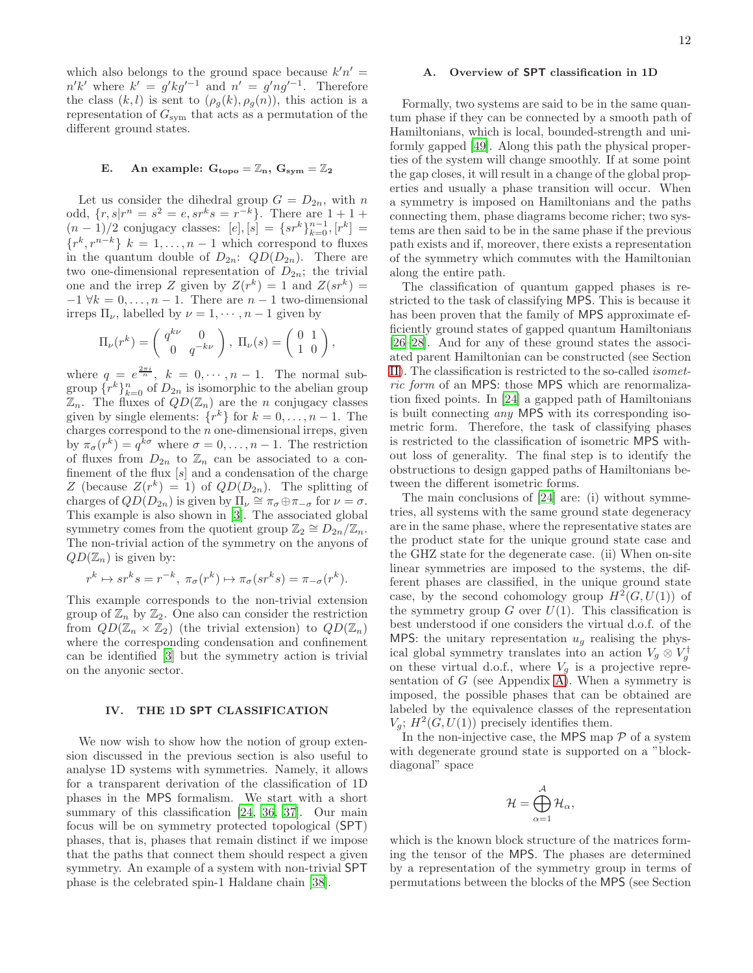which also belongs to the ground space because  $k'n' =$  $n'k'$  where  $k' = g'kg'^{-1}$  and  $n' = g'ng'^{-1}$ . Therefore the class  $(k, l)$  is sent to  $(\rho_g(k), \rho_g(n))$ , this action is a representation of  $G_{sym}$  that acts as a permutation of the different ground states.

# E. An example:  $G_{\text{topo}} = \mathbb{Z}_n$ ,  $G_{\text{sym}} = \mathbb{Z}_2$

Let us consider the dihedral group  $G = D_{2n}$ , with n odd,  $\{r, s|r^n = s^2 = e, sr^k s = r^{-k}\}.$  There are  $1 + 1 +$  $(n-1)/2$  conjugacy classes:  $[e], [s] = \{sr^k\}_{k=0}^{n-1}, [r^k] =$  $\{r^k, r^{n-k}\}\;k=1,\ldots,n-1$  which correspond to fluxes in the quantum double of  $D_{2n}$ :  $QD(D_{2n})$ . There are two one-dimensional representation of  $D_{2n}$ ; the trivial one and the irrep Z given by  $Z(r^k) = 1$  and  $Z(sr^k) =$  $-1 \forall k = 0, \ldots, n-1$ . There are  $n-1$  two-dimensional irreps  $\Pi_{\nu}$ , labelled by  $\nu = 1, \dots, n-1$  given by

$$
\Pi_{\nu}(r^k) = \begin{pmatrix} q^{k\nu} & 0\\ 0 & q^{-k\nu} \end{pmatrix}, \ \Pi_{\nu}(s) = \begin{pmatrix} 0 & 1\\ 1 & 0 \end{pmatrix},
$$

where  $q = e^{\frac{2\pi i}{n}}$ ,  $k = 0, \dots, n-1$ . The normal subgroup  $\{r^k\}_{k=0}^n$  of  $D_{2n}$  is isomorphic to the abelian group  $\mathbb{Z}_n$ . The fluxes of  $QD(\mathbb{Z}_n)$  are the *n* conjugacy classes given by single elements:  $\{r^k\}$  for  $k = 0, \ldots, n - 1$ . The charges correspond to the  $n$  one-dimensional irreps, given by  $\pi_{\sigma}(r^k) = q^{k\sigma}$  where  $\sigma = 0, \ldots, n-1$ . The restriction of fluxes from  $D_{2n}$  to  $\mathbb{Z}_n$  can be associated to a confinement of the flux  $[s]$  and a condensation of the charge Z (because  $Z(r^k) = 1$ ) of  $QD(D_{2n})$ . The splitting of charges of  $QD(D_{2n})$  is given by  $\Pi_{\nu} \cong \pi_{\sigma} \oplus \pi_{-\sigma}$  for  $\nu = \sigma$ . This example is also shown in [\[3](#page-24-2)]. The associated global symmetry comes from the quotient group  $\mathbb{Z}_2 \cong D_{2n}/\mathbb{Z}_n$ . The non-trivial action of the symmetry on the anyons of  $QD(\mathbb{Z}_n)$  is given by:

$$
r^{k} \mapsto sr^{k} s = r^{-k}, \ \pi_{\sigma}(r^{k}) \mapsto \pi_{\sigma}(sr^{k} s) = \pi_{-\sigma}(r^{k}).
$$

This example corresponds to the non-trivial extension group of  $\mathbb{Z}_n$  by  $\mathbb{Z}_2$ . One also can consider the restriction from  $QD(\mathbb{Z}_n \times \mathbb{Z}_2)$  (the trivial extension) to  $QD(\mathbb{Z}_n)$ where the corresponding condensation and confinement can be identified [\[3\]](#page-24-2) but the symmetry action is trivial on the anyonic sector.

# <span id="page-11-0"></span>IV. THE 1D SPT CLASSIFICATION

We now wish to show how the notion of group extension discussed in the previous section is also useful to analyse 1D systems with symmetries. Namely, it allows for a transparent derivation of the classification of 1D phases in the MPS formalism. We start with a short summary of this classification [\[24,](#page-24-17) [36](#page-24-29), [37\]](#page-24-30). Our main focus will be on symmetry protected topological (SPT) phases, that is, phases that remain distinct if we impose that the paths that connect them should respect a given symmetry. An example of a system with non-trivial SPT phase is the celebrated spin-1 Haldane chain [\[38\]](#page-24-31).

# A. Overview of SPT classification in 1D

Formally, two systems are said to be in the same quantum phase if they can be connected by a smooth path of Hamiltonians, which is local, bounded-strength and uniformly gapped [\[49](#page-25-0)]. Along this path the physical properties of the system will change smoothly. If at some point the gap closes, it will result in a change of the global properties and usually a phase transition will occur. When a symmetry is imposed on Hamiltonians and the paths connecting them, phase diagrams become richer; two systems are then said to be in the same phase if the previous path exists and if, moreover, there exists a representation of the symmetry which commutes with the Hamiltonian along the entire path.

The classification of quantum gapped phases is restricted to the task of classifying MPS. This is because it has been proven that the family of MPS approximate efficiently ground states of gapped quantum Hamiltonians [\[26](#page-24-19)[–28\]](#page-24-20). And for any of these ground states the associated parent Hamiltonian can be constructed (see Section [II\)](#page-1-1). The classification is restricted to the so-called isometric form of an MPS: those MPS which are renormalization fixed points. In [\[24\]](#page-24-17) a gapped path of Hamiltonians is built connecting any MPS with its corresponding isometric form. Therefore, the task of classifying phases is restricted to the classification of isometric MPS without loss of generality. The final step is to identify the obstructions to design gapped paths of Hamiltonians between the different isometric forms.

The main conclusions of [\[24\]](#page-24-17) are: (i) without symmetries, all systems with the same ground state degeneracy are in the same phase, where the representative states are the product state for the unique ground state case and the GHZ state for the degenerate case. (ii) When on-site linear symmetries are imposed to the systems, the different phases are classified, in the unique ground state case, by the second cohomology group  $H^2(G, U(1))$  of the symmetry group  $G$  over  $U(1)$ . This classification is best understood if one considers the virtual d.o.f. of the MPS: the unitary representation  $u_q$  realising the physical global symmetry translates into an action  $V_g \otimes V_g^{\dagger}$ on these virtual d.o.f., where  $V_g$  is a projective representation of  $G$  (see Appendix [A\)](#page-19-0). When a symmetry is imposed, the possible phases that can be obtained are labeled by the equivalence classes of the representation  $V_g$ ;  $H^2(G, U(1))$  precisely identifies them.

In the non-injective case, the MPS map  $P$  of a system with degenerate ground state is supported on a "blockdiagonal" space

$$
\mathcal{H}=\bigoplus_{\alpha=1}^{\mathcal{A}}\mathcal{H}_{\alpha},
$$

which is the known block structure of the matrices forming the tensor of the MPS. The phases are determined by a representation of the symmetry group in terms of permutations between the blocks of the MPS (see Section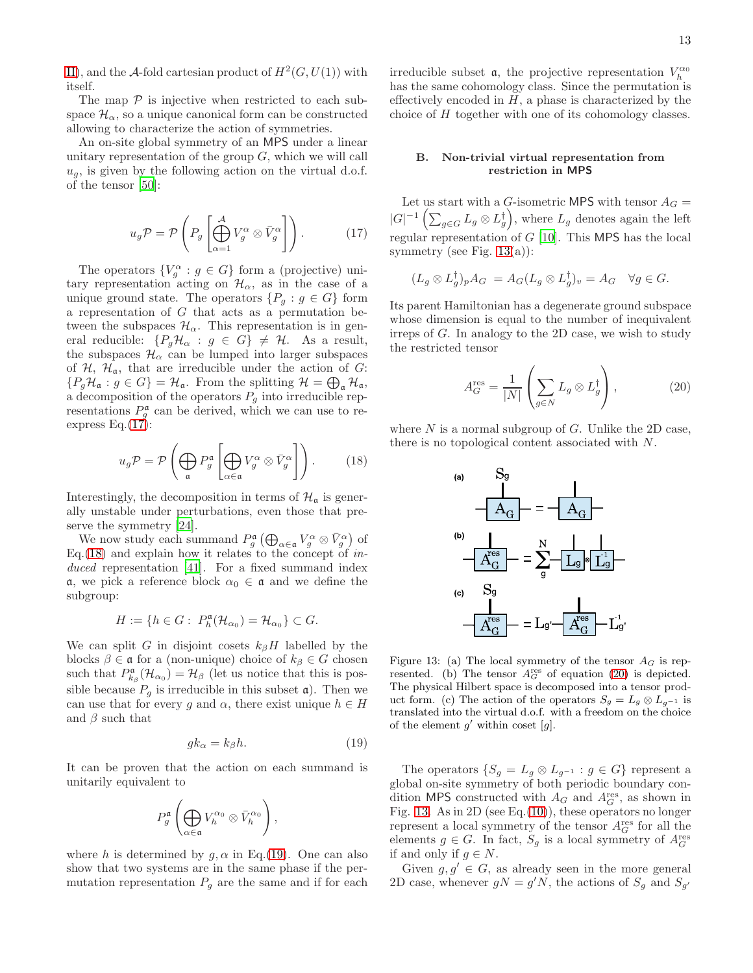[II\)](#page-1-1), and the A-fold cartesian product of  $H^2(G, U(1))$  with itself.

The map  $P$  is injective when restricted to each subspace  $\mathcal{H}_{\alpha}$ , so a unique canonical form can be constructed allowing to characterize the action of symmetries.

An on-site global symmetry of an MPS under a linear unitary representation of the group  $G$ , which we will call  $u_q$ , is given by the following action on the virtual d.o.f. of the tensor [\[50](#page-25-1)]:

<span id="page-12-0"></span>
$$
u_g \mathcal{P} = \mathcal{P}\left(P_g \left[\bigoplus_{\alpha=1}^{\mathcal{A}} V_g^{\alpha} \otimes \bar{V}_g^{\alpha}\right]\right). \tag{17}
$$

The operators  $\{V_g^{\alpha} : g \in G\}$  form a (projective) unitary representation acting on  $\mathcal{H}_{\alpha}$ , as in the case of a unique ground state. The operators  $\{P_g : g \in G\}$  form a representation of  $G$  that acts as a permutation between the subspaces  $\mathcal{H}_{\alpha}$ . This representation is in general reducible:  $\{P_g\mathcal{H}_\alpha : g \in G\} \neq \mathcal{H}$ . As a result, the subspaces  $\mathcal{H}_{\alpha}$  can be lumped into larger subspaces of  $H$ ,  $H_a$ , that are irreducible under the action of G:  $\{P_g\mathcal{H}_\mathfrak{a} : g \in G\} = \mathcal{H}_\mathfrak{a}$ . From the splitting  $\mathcal{H} = \bigoplus_\mathfrak{a} \mathcal{H}_\mathfrak{a}$ , a decomposition of the operators  $P_g$  into irreducible representations  $P_g^{\mathfrak{a}}$  can be derived, which we can use to reexpress Eq. $(17)$ :

<span id="page-12-1"></span>
$$
u_g \mathcal{P} = \mathcal{P}\left(\bigoplus_{\mathfrak{a}} P_g^{\mathfrak{a}} \left[\bigoplus_{\alpha \in \mathfrak{a}} V_g^{\alpha} \otimes \bar{V}_g^{\alpha}\right]\right).
$$
 (18)

Interestingly, the decomposition in terms of  $\mathcal{H}_{\alpha}$  is generally unstable under perturbations, even those that pre-serve the symmetry [\[24\]](#page-24-17).

We now study each summand  $P_g^{\mathfrak{a}}(\bigoplus_{\alpha \in \mathfrak{a}} V_g^{\alpha} \otimes \bar{V}_g^{\alpha})$  of Eq.  $(18)$  and explain how it relates to the concept of *in*-duced representation [\[41](#page-24-32)]. For a fixed summand index  $α$ , we pick a reference block  $α$ <sup>0</sup> ∈  $α$  and we define the subgroup:

$$
H := \{ h \in G : P_h^{\mathfrak{a}}(\mathcal{H}_{\alpha_0}) = \mathcal{H}_{\alpha_0} \} \subset G.
$$

We can split G in disjoint cosets  $k_{\beta}H$  labelled by the blocks  $\beta \in \mathfrak{a}$  for a (non-unique) choice of  $k_{\beta} \in G$  chosen such that  $P_{k_{\beta}}^{\mathfrak{a}}(\mathcal{H}_{\alpha_0}) = \mathcal{H}_{\beta}$  (let us notice that this is possible because  $P_q$  is irreducible in this subset  $\mathfrak{a}$ ). Then we can use that for every g and  $\alpha$ , there exist unique  $h \in H$ and  $\beta$  such that

<span id="page-12-2"></span>
$$
gk_{\alpha} = k_{\beta}h. \tag{19}
$$

It can be proven that the action on each summand is unitarily equivalent to

$$
P_g^{\mathfrak{a}}\left(\bigoplus_{\alpha \in \mathfrak{a}} V_h^{\alpha_0} \otimes \bar{V}_h^{\alpha_0}\right),
$$

where h is determined by  $g, \alpha$  in Eq.[\(19\)](#page-12-2). One can also show that two systems are in the same phase if the permutation representation  $P_g$  are the same and if for each

irreducible subset **a**, the projective representation  $V_h^{\alpha_0}$ has the same cohomology class. Since the permutation is effectively encoded in  $H$ , a phase is characterized by the choice of H together with one of its cohomology classes.

# B. Non-trivial virtual representation from restriction in MPS

Let us start with a G-isometric MPS with tensor  $A_G =$  $|G|^{-1}\left(\sum_{g\in G}L_g\otimes L_g^{\dagger}\right),$  where  $L_g$  denotes again the left regular representation of  $G$  [\[10\]](#page-24-6). This MPS has the local symmetry (see Fig.  $13(a)$  $13(a)$ ):

$$
(L_g \otimes L_g^{\dagger})_p A_G = A_G (L_g \otimes L_g^{\dagger})_v = A_G \quad \forall g \in G.
$$

Its parent Hamiltonian has a degenerate ground subspace whose dimension is equal to the number of inequivalent irreps of G. In analogy to the 2D case, we wish to study the restricted tensor

<span id="page-12-4"></span>
$$
A_G^{\text{res}} = \frac{1}{|N|} \left( \sum_{g \in N} L_g \otimes L_g^{\dagger} \right), \tag{20}
$$

where  $N$  is a normal subgroup of  $G$ . Unlike the 2D case, there is no topological content associated with N.



<span id="page-12-3"></span>Figure 13: (a) The local symmetry of the tensor  $A_G$  is represented. (b) The tensor  $A_G^{\text{res}}$  of equation [\(20\)](#page-12-4) is depicted. The physical Hilbert space is decomposed into a tensor product form. (c) The action of the operators  $S_g = L_g \otimes L_{g^{-1}}$  is translated into the virtual d.o.f. with a freedom on the choice of the element  $g'$  within coset  $[g]$ .

The operators  $\{S_g = L_g \otimes L_{g^{-1}} : g \in G\}$  represent a global on-site symmetry of both periodic boundary condition MPS constructed with  $A_G$  and  $A_G^{\text{res}}$ , as shown in Fig. [13.](#page-12-3) As in 2D (see Eq. $(10)$ ), these operators no longer represent a local symmetry of the tensor  $A_G^{\text{res}}$  for all the elements  $g \in G$ . In fact,  $S_g$  is a local symmetry of  $A_G^{\text{res}}$ if and only if  $g \in N$ .

Given  $g, g' \in G$ , as already seen in the more general 2D case, whenever  $gN = g'N$ , the actions of  $S_g$  and  $S_{g'}$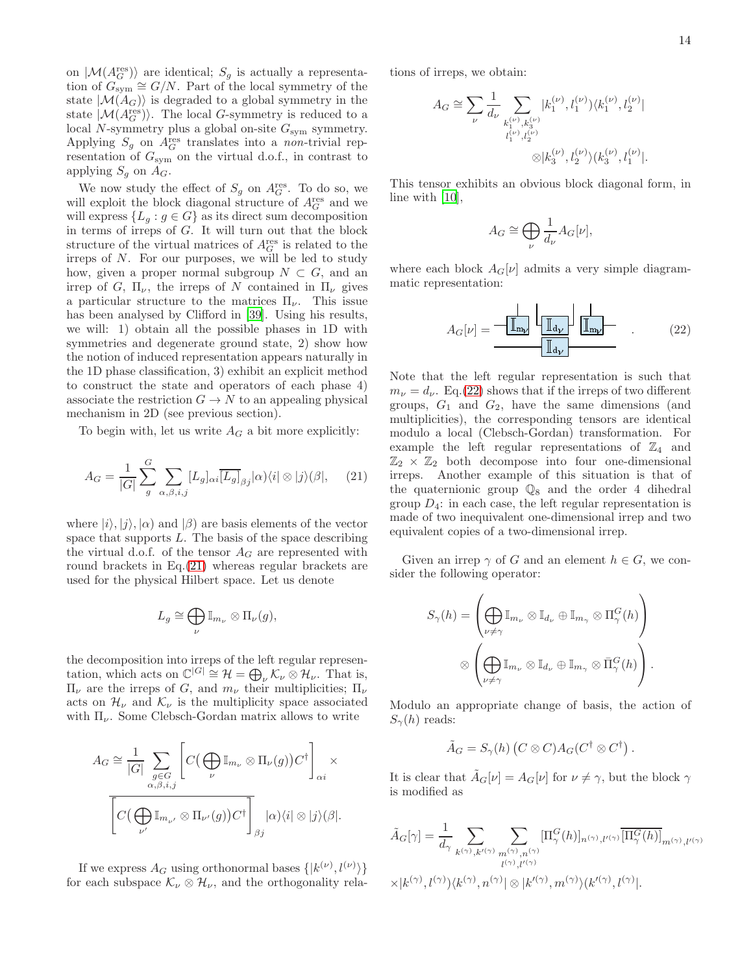on  $\vert \mathcal{M}(A_G^{\text{res}})\rangle$  are identical;  $S_g$  is actually a representation of  $G_{sym}^{\bullet\prime\prime\prime}\cong G/N$ . Part of the local symmetry of the state  $|\mathcal{M}(A_G)\rangle$  is degraded to a global symmetry in the state  $|M(A_G^{\text{res}})\rangle$ . The local G-symmetry is reduced to a local N-symmetry plus a global on-site  $G_{sym}$  symmetry. Applying  $S_g$  on  $A_G^{\text{res}}$  translates into a non-trivial representation of  $G_{sym}$  on the virtual d.o.f., in contrast to applying  $S_g$  on  $A_G$ .

We now study the effect of  $S_g$  on  $A_G^{\text{res}}$ . To do so, we will exploit the block diagonal structure of  $A_G^{\text{res}}$  and we will express  $\{L_g : g \in G\}$  as its direct sum decomposition in terms of irreps of  $G$ . It will turn out that the block structure of the virtual matrices of  $A_G^{\text{res}}$  is related to the irreps of N. For our purposes, we will be led to study how, given a proper normal subgroup  $N \subset G$ , and an irrep of G,  $\Pi_{\nu}$ , the irreps of N contained in  $\Pi_{\nu}$  gives a particular structure to the matrices  $\Pi_{\nu}$ . This issue has been analysed by Clifford in [\[39\]](#page-24-28). Using his results, we will: 1) obtain all the possible phases in 1D with symmetries and degenerate ground state, 2) show how the notion of induced representation appears naturally in the 1D phase classification, 3) exhibit an explicit method to construct the state and operators of each phase 4) associate the restriction  $G \to N$  to an appealing physical mechanism in 2D (see previous section).

To begin with, let us write  $A_G$  a bit more explicitly:

<span id="page-13-0"></span>
$$
A_G = \frac{1}{|G|} \sum_{g}^{G} \sum_{\alpha,\beta,i,j} [L_g]_{\alpha i} \overline{[L_g]}_{\beta j} |\alpha\rangle \langle i| \otimes |j\rangle \langle \beta|, \quad (21)
$$

where  $|i\rangle, |j\rangle, |\alpha\rangle$  and  $|\beta\rangle$  are basis elements of the vector space that supports  $L$ . The basis of the space describing the virtual d.o.f. of the tensor  $A_G$  are represented with round brackets in Eq.[\(21\)](#page-13-0) whereas regular brackets are used for the physical Hilbert space. Let us denote

$$
L_g \cong \bigoplus_{\nu} \mathbb{I}_{m_{\nu}} \otimes \Pi_{\nu}(g),
$$

the decomposition into irreps of the left regular representation, which acts on  $\mathbb{C}^{|G|} \cong \mathcal{H} = \bigoplus_{\nu} \mathcal{K}_{\nu} \otimes \mathcal{H}_{\nu}$ . That is,  $\Pi_{\nu}$  are the irreps of *G*, and  $m_{\nu}$  their multiplicities;  $\Pi_{\nu}$ acts on  $\mathcal{H}_{\nu}$  and  $\mathcal{K}_{\nu}$  is the multiplicity space associated with  $\Pi_{\nu}$ . Some Clebsch-Gordan matrix allows to write

$$
A_G \cong \frac{1}{|G|} \sum_{\substack{g \in G \\ \alpha, \beta, i,j}} \left[ C(\bigoplus_{\nu} \mathbb{I}_{m_{\nu}} \otimes \Pi_{\nu}(g)) C^{\dagger} \right]_{\alpha i} \times \left[ C(\bigoplus_{\nu'} \mathbb{I}_{m_{\nu'}} \otimes \Pi_{\nu'}(g)) C^{\dagger} \right]_{\beta j} |\alpha\rangle\langle i| \otimes |j\rangle\langle\beta|.
$$

If we express  $A_G$  using orthonormal bases  $\{|k^{(\nu)}, l^{(\nu)}\rangle\}$ for each subspace  $\mathcal{K}_{\nu} \otimes \mathcal{H}_{\nu}$ , and the orthogonality relations of irreps, we obtain:

$$
\begin{split} A_G &\cong \sum_{\nu} \frac{1}{d_{\nu}} \sum_{\substack{k_1^{(\nu)}, k_3^{(\nu)} \\ l_1^{(\nu)}, l_2^{(\nu)}}} |k_1^{(\nu)}, l_1^{(\nu)}\rangle \langle k_1^{(\nu)}, l_2^{(\nu)}| \\ &\otimes |k_3^{(\nu)}, l_2^{(\nu)}\rangle \langle k_3^{(\nu)}, l_1^{(\nu)}|. \end{split}
$$

This tensor exhibits an obvious block diagonal form, in line with [\[10](#page-24-6)],

$$
A_G \cong \bigoplus_{\nu} \frac{1}{d_{\nu}} A_G[\nu],
$$

where each block  $A_G[\nu]$  admits a very simple diagrammatic representation:

<span id="page-13-1"></span>
$$
A_G[\nu] = \frac{\boxed{\mathbb{I}_{\text{myl}}}}{\boxed{\mathbb{I}_{\text{d\nu}}}} \frac{\boxed{\mathbb{I}_{\text{m\nu}}}}{\boxed{\mathbb{I}_{\text{m\nu}}}} \qquad (22)
$$

Note that the left regular representation is such that  $m_{\nu} = d_{\nu}$ . Eq.[\(22\)](#page-13-1) shows that if the irreps of two different groups,  $G_1$  and  $G_2$ , have the same dimensions (and multiplicities), the corresponding tensors are identical modulo a local (Clebsch-Gordan) transformation. For example the left regular representations of  $\mathbb{Z}_4$  and  $\mathbb{Z}_2 \times \mathbb{Z}_2$  both decompose into four one-dimensional irreps. Another example of this situation is that of the quaternionic group  $\mathbb{Q}_8$  and the order 4 dihedral group  $D_4$ : in each case, the left regular representation is made of two inequivalent one-dimensional irrep and two equivalent copies of a two-dimensional irrep.

Given an irrep  $\gamma$  of G and an element  $h \in G$ , we consider the following operator:

$$
S_{\gamma}(h) = \left(\bigoplus_{\nu \neq \gamma} \mathbb{I}_{m_{\nu}} \otimes \mathbb{I}_{d_{\nu}} \oplus \mathbb{I}_{m_{\gamma}} \otimes \Pi_{\gamma}^{G}(h)\right)
$$

$$
\otimes \left(\bigoplus_{\nu \neq \gamma} \mathbb{I}_{m_{\nu}} \otimes \mathbb{I}_{d_{\nu}} \oplus \mathbb{I}_{m_{\gamma}} \otimes \bar{\Pi}_{\gamma}^{G}(h)\right).
$$

Modulo an appropriate change of basis, the action of  $S_{\gamma}(h)$  reads:

$$
\tilde{A}_G = S_{\gamma}(h) (C \otimes C) A_G (C^{\dagger} \otimes C^{\dagger}).
$$

It is clear that  $A_G[\nu] = A_G[\nu]$  for  $\nu \neq \gamma$ , but the block  $\gamma$ is modified as

$$
\tilde{A}_{G}[\gamma] = \frac{1}{d_{\gamma}} \sum_{k^{(\gamma)}, k'^{(\gamma)}} \sum_{\substack{n^{(\gamma)}, n^{(\gamma)} \\ l^{(\gamma)}, l'^{(\gamma)}}} \left[\Pi_{\gamma}^{G}(h)\right]_{n^{(\gamma)}, l'^{(\gamma)}} \left[\Pi_{\gamma}^{G}(h)\right]_{m^{(\gamma)}, l'^{(\gamma)}}
$$
\n
$$
\times |k^{(\gamma)}, l^{(\gamma)}\rangle\langle k^{(\gamma)}, n^{(\gamma)}| \otimes |k'^{(\gamma)}, m^{(\gamma)}\rangle\langle k'^{(\gamma)}, l^{(\gamma)}|.
$$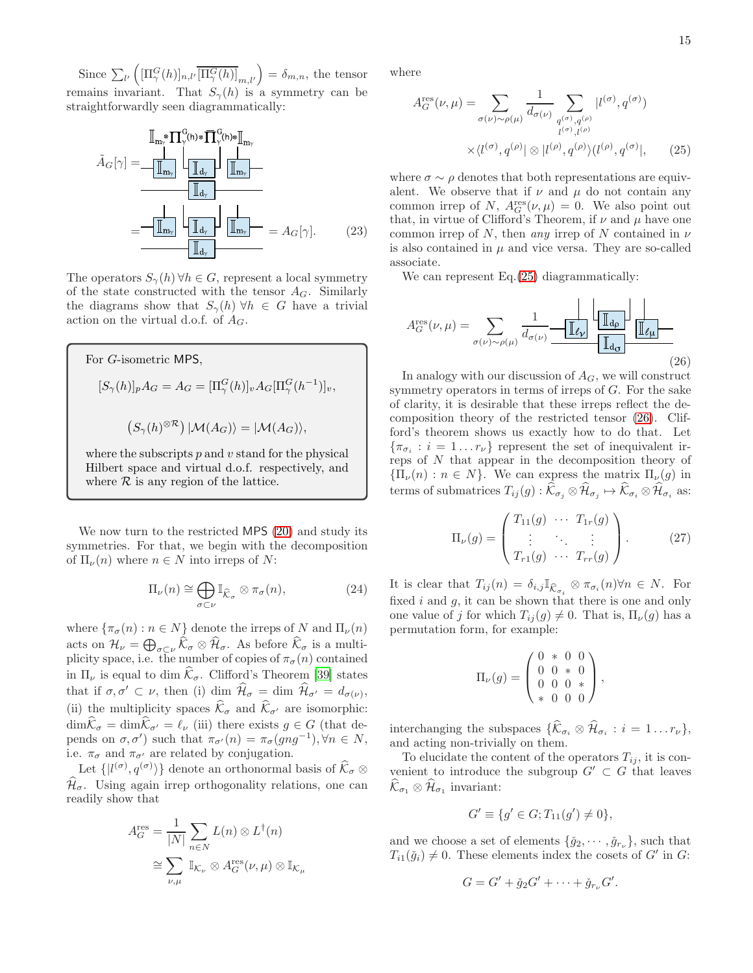Since  $\sum_{l'} \left( [\Pi_{\gamma}^{G}(h)]_{n,l'} \overline{[\Pi_{\gamma}^{G}(h)]}_{m,l'} \right) = \delta_{m,n}$ , the tensor remains invariant. That  $S_{\gamma}(h)$  is a symmetry can be straightforwardly seen diagrammatically:



The operators  $S_{\gamma}(h)$   $\forall h \in G$ , represent a local symmetry of the state constructed with the tensor  $A_G$ . Similarly the diagrams show that  $S_{\gamma}(h)$   $\forall h \in G$  have a trivial action on the virtual d.o.f. of  $A_G$ .

For *G*-isometric MPS,  
\n
$$
[S_{\gamma}(h)]_p A_G = A_G = [\Pi_{\gamma}^G(h)]_v A_G [\Pi_{\gamma}^G(h^{-1})]_v,
$$
\n
$$
(S_{\gamma}(h)^{\otimes R}) | \mathcal{M}(A_G) \rangle = | \mathcal{M}(A_G) \rangle,
$$

where the subscripts  $p$  and  $v$  stand for the physical Hilbert space and virtual d.o.f. respectively, and where  $R$  is any region of the lattice.

We now turn to the restricted MPS [\(20\)](#page-12-4) and study its symmetries. For that, we begin with the decomposition of  $\Pi_{\nu}(n)$  where  $n \in N$  into irreps of N:

<span id="page-14-3"></span>
$$
\Pi_{\nu}(n) \cong \bigoplus_{\sigma \subset \nu} \mathbb{I}_{\widehat{\mathcal{K}}_{\sigma}} \otimes \pi_{\sigma}(n),\tag{24}
$$

where  $\{\pi_{\sigma}(n) : n \in N\}$  denote the irreps of N and  $\Pi_{\nu}(n)$ acts on  $\mathcal{H}_{\nu} = \bigoplus_{\sigma \subset \nu} \widehat{\mathcal{K}}_{\sigma} \otimes \widehat{\mathcal{H}}_{\sigma}$ . As before  $\widehat{\mathcal{K}}_{\sigma}$  is a multiplicity space, i.e. the number of copies of  $\pi_{\sigma}(n)$  contained in  $\Pi_{\nu}$  is equal to dim  $\hat{\mathcal{K}}_{\sigma}$ . Clifford's Theorem [\[39\]](#page-24-28) states that if  $\sigma, \sigma' \subset \nu$ , then (i) dim  $\hat{\mathcal{H}}_{\sigma} = \dim \hat{\mathcal{H}}_{\sigma'} = d_{\sigma(\nu)},$ (ii) the multiplicity spaces  $\widehat{\mathcal{K}}_{\sigma}$  and  $\widehat{\mathcal{K}}_{\sigma'}$  are isomorphic:  $\dim\widehat{\mathcal{K}}_{\sigma} = \dim\widehat{\mathcal{K}}_{\sigma'} = \ell_{\nu}$  (iii) there exists  $g \in G$  (that depends on  $\sigma$ ,  $\sigma'$ ) such that  $\pi_{\sigma'}(n) = \pi_{\sigma}(gng^{-1}), \forall n \in N$ , i.e.  $\pi_{\sigma}$  and  $\pi_{\sigma'}$  are related by conjugation.

Let  $\{|l^{(\sigma)}, q^{(\sigma)}\rangle\}$  denote an orthonormal basis of  $\widehat{\mathcal{K}}_{\sigma} \otimes$  $\widehat{\mathcal{H}}_{\sigma}$ . Using again irrep orthogonality relations, one can readily show that

$$
A_G^{\text{res}} = \frac{1}{|N|} \sum_{n \in N} L(n) \otimes L^{\dagger}(n)
$$

$$
\cong \sum_{\nu,\mu} \mathbb{I}_{\mathcal{K}_\nu} \otimes A_G^{\text{res}}(\nu,\mu) \otimes \mathbb{I}_{\mathcal{K}_\mu}
$$

where

<span id="page-14-0"></span>
$$
A_G^{\text{res}}(\nu,\mu) = \sum_{\sigma(\nu) \sim \rho(\mu)} \frac{1}{d_{\sigma(\nu)}} \sum_{\substack{q^{(\sigma)}, q^{(\rho)} \\ l^{(\sigma)}, l^{(\rho)}}} |l^{(\sigma)}, q^{(\sigma)})
$$

$$
\times \langle l^{(\sigma)}, q^{(\rho)} | \otimes |l^{(\rho)}, q^{(\rho)}\rangle (l^{(\rho)}, q^{(\sigma)} |, \qquad (25)
$$

<span id="page-14-4"></span>where  $\sigma \sim \rho$  denotes that both representations are equivalent. We observe that if  $\nu$  and  $\mu$  do not contain any common irrep of N,  $A_G^{\text{res}}(\nu,\mu) = 0$ . We also point out that, in virtue of Clifford's Theorem, if  $\nu$  and  $\mu$  have one common irrep of N, then *any* irrep of N contained in  $\nu$ is also contained in  $\mu$  and vice versa. They are so-called associate.

We can represent Eq.  $(25)$  diagrammatically:

<span id="page-14-1"></span>
$$
A_G^{\text{res}}(\nu,\mu) = \sum_{\sigma(\nu) \sim \rho(\mu)} \frac{1}{d_{\sigma(\nu)}} \underbrace{-\mathbb{I}_{\ell_{\mathcal{V}}}} \underbrace{\mathbb{I}_{d_{\rho}} \mathbb{I}_{d_{\mathcal{U}}}} \mathbb{I}_{\ell_{\mathcal{U}}}.
$$
\n(26)

In analogy with our discussion of  $A_G$ , we will construct symmetry operators in terms of irreps of  $G$ . For the sake of clarity, it is desirable that these irreps reflect the decomposition theory of the restricted tensor [\(26\)](#page-14-1). Clifford's theorem shows us exactly how to do that. Let  $\{\pi_{\sigma_i} : i = 1 \dots r_{\nu}\}\$  represent the set of inequivalent irreps of N that appear in the decomposition theory of  ${\{\Pi_\nu(n): n \in N\}}$ . We can express the matrix  ${\Pi_\nu(g)}$  in terms of submatrices  $T_{ij}(g) : \mathcal{K}_{\sigma_j} \otimes \mathcal{H}_{\sigma_j} \mapsto \mathcal{K}_{\sigma_i} \otimes \mathcal{H}_{\sigma_i}$  as:

<span id="page-14-2"></span>
$$
\Pi_{\nu}(g) = \begin{pmatrix} T_{11}(g) & \cdots & T_{1r}(g) \\ \vdots & \ddots & \vdots \\ T_{r1}(g) & \cdots & T_{rr}(g) \end{pmatrix} . \tag{27}
$$

It is clear that  $T_{ij}(n) = \delta_{i,j} \mathbb{I}_{\widehat{\mathcal{K}}_{\sigma_i}} \otimes \pi_{\sigma_i}(n) \forall n \in N$ . For fixed  $i$  and  $g$ , it can be shown that there is one and only one value of j for which  $T_{ij}(g) \neq 0$ . That is,  $\Pi_{\nu}(g)$  has a permutation form, for example:

$$
\Pi_{\nu}(g) = \begin{pmatrix} 0 & * & 0 & 0 \\ 0 & 0 & * & 0 \\ 0 & 0 & 0 & * \\ * & 0 & 0 & 0 \end{pmatrix},
$$

interchanging the subspaces  $\{\mathcal{K}_{\sigma_i} \otimes \mathcal{H}_{\sigma_i} : i = 1 \dots r_{\nu}\},\$ and acting non-trivially on them.

To elucidate the content of the operators  $T_{ij}$ , it is convenient to introduce the subgroup  $G' \subset G$  that leaves  $\mathcal{K}_{\sigma_1} \otimes \mathcal{H}_{\sigma_1}$  invariant:

$$
G' \equiv \{ g' \in G; T_{11}(g') \neq 0 \},\
$$

and we choose a set of elements  $\{\check{g}_2, \cdots, \check{g}_{r_{\nu}}\}\)$ , such that  $T_{i1}(\check{g}_i) \neq 0$ . These elements index the cosets of  $G'$  in  $G$ :

$$
G = G' + \check{g}_2 G' + \cdots + \check{g}_{r_{\nu}} G'.
$$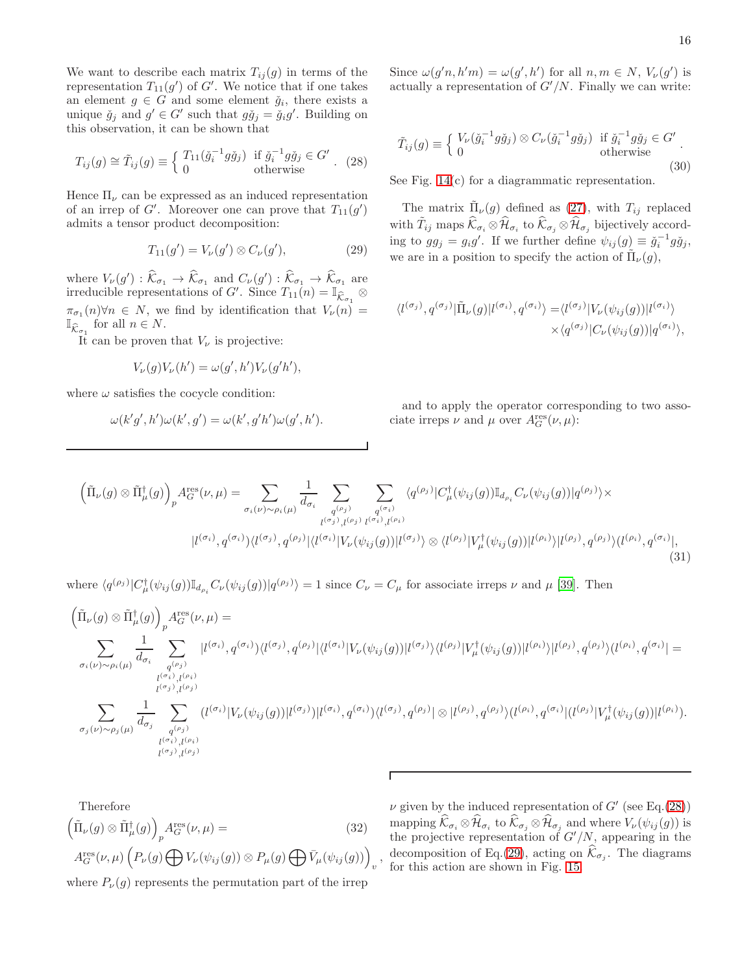We want to describe each matrix  $T_{ij}(g)$  in terms of the representation  $T_{11}(g')$  of G'. We notice that if one takes an element  $g \in G$  and some element  $\check{g}_i$ , there exists a unique  $\check{g}_j$  and  $g' \in G'$  such that  $g\check{g}_j = \check{g}_i g'$ . Building on this observation, it can be shown that

<span id="page-15-0"></span>
$$
T_{ij}(g) \cong \tilde{T}_{ij}(g) \equiv \begin{cases} T_{11}(\tilde{g}_i^{-1}g\tilde{g}_j) & \text{if } \tilde{g}_i^{-1}g\tilde{g}_j \in G' \\ 0 & \text{otherwise} \end{cases} . \tag{28}
$$

Hence  $\Pi_{\nu}$  can be expressed as an induced representation of an irrep of  $G'$ . Moreover one can prove that  $T_{11}(g')$ admits a tensor product decomposition:

<span id="page-15-1"></span>
$$
T_{11}(g') = V_{\nu}(g') \otimes C_{\nu}(g'), \tag{29}
$$

where  $V_{\nu}(g') : \hat{\mathcal{K}}_{\sigma_1} \to \hat{\mathcal{K}}_{\sigma_1}$  and  $C_{\nu}(g') : \hat{\mathcal{K}}_{\sigma_1} \to \hat{\mathcal{K}}_{\sigma_1}$  are irreducible representations of G'. Since  $T_{11}(n) = \mathbb{I}_{\widehat{\mathcal{K}}_{\sigma_1}} \otimes$  $\pi_{\sigma_1}(n) \forall n \in N$ , we find by identification that  $V_\nu(n) =$  $\mathbb{I}_{\widehat{\mathcal{K}}_{\sigma_1}}$  for all  $n \in N$ .

It can be proven that  $V_{\nu}$  is projective:

$$
V_{\nu}(g)V_{\nu}(h') = \omega(g',h')V_{\nu}(g'h'),
$$

where  $\omega$  satisfies the cocycle condition:

$$
\omega(k'g',h')\omega(k',g') = \omega(k',g'h')\omega(g',h').
$$

Since  $\omega(g'n, h'm) = \omega(g', h')$  for all  $n, m \in N$ ,  $V_{\nu}(g')$  is actually a representation of  $G'/N$ . Finally we can write:

<span id="page-15-2"></span>
$$
\tilde{T}_{ij}(g) \equiv \begin{cases} V_{\nu}(\check{g}_i^{-1}g\check{g}_j) \otimes C_{\nu}(\check{g}_i^{-1}g\check{g}_j) & \text{if } \check{g}_i^{-1}g\check{g}_j \in G' \\ 0 & \text{otherwise} \end{cases} .
$$
\n(30)

See Fig.  $14(c)$  $14(c)$  for a diagrammatic representation.

The matrix  $\tilde{\Pi}_{\nu}(g)$  defined as [\(27\)](#page-14-2), with  $T_{ij}$  replaced with  $\tilde{T}_{ij}$  maps  $\widehat{\mathcal{K}}_{\sigma_i} \otimes \widehat{\mathcal{H}}_{\sigma_i}$  to  $\widehat{\mathcal{K}}_{\sigma_j} \otimes \widehat{\mathcal{H}}_{\sigma_j}$  bijectively according to  $gg_j = g_i g'$ . If we further define  $\psi_{ij}(g) \equiv \check{g}_i^{-1} g \check{g}_j$ , we are in a position to specify the action of  $\tilde{\Pi}_{\nu}(g)$ ,

$$
\langle l^{(\sigma_j)}, q^{(\sigma_j)} | \tilde{\Pi}_{\nu}(g) | l^{(\sigma_i)}, q^{(\sigma_i)} \rangle = \langle l^{(\sigma_j)} | V_{\nu}(\psi_{ij}(g)) | l^{(\sigma_i)} \rangle \times \langle q^{(\sigma_j)} | C_{\nu}(\psi_{ij}(g)) | q^{(\sigma_i)} \rangle,
$$

and to apply the operator corresponding to two associate irreps  $\nu$  and  $\mu$  over  $A_G^{\text{res}}(\nu,\mu)$ :

<span id="page-15-3"></span>
$$
\left(\tilde{\Pi}_{\nu}(g) \otimes \tilde{\Pi}^{\dagger}_{\mu}(g)\right)_{p} A_{G}^{\text{res}}(\nu,\mu) = \sum_{\sigma_{i}(\nu) \sim \rho_{i}(\mu)} \frac{1}{d_{\sigma_{i}}} \sum_{\substack{q^{(\sigma_{j})} \\ l^{(\sigma_{j})}, l^{(\rho_{j})} \ l^{(\sigma_{i})}, l^{(\rho_{i})}}} \sum_{\substack{q^{(\sigma_{i})} \\ l^{(\sigma_{j})}, l^{(\rho_{j})} \ l^{(\sigma_{i})}, l^{(\rho_{i})}}} \langle q^{(\rho_{j})} | C^{\dagger}_{\mu}(\psi_{ij}(g)) \mathbb{I}_{d_{\rho_{i}}} C_{\nu}(\psi_{ij}(g)) | q^{(\rho_{j})} \rangle \times \n|l^{(\sigma_{i})}, q^{(\sigma_{i})} \rangle \langle l^{(\sigma_{j})}, q^{(\rho_{j})} | \langle l^{(\sigma_{i})} | V_{\nu}(\psi_{ij}(g)) | l^{(\sigma_{j})} \rangle \otimes \langle l^{(\rho_{j})} | V_{\mu}^{\dagger}(\psi_{ij}(g)) | l^{(\rho_{i})} \rangle | l^{(\rho_{j})}, q^{(\rho_{j})} \rangle \langle l^{(\rho_{i})}, q^{(\sigma_{i})} |, \tag{31}
$$

where  $\langle q^{(\rho_j)}|C^{\dagger}_{\mu}(\psi_{ij}(g))\mathbb{I}_{d_{\rho_i}}C_{\nu}(\psi_{ij}(g))|q^{(\rho_j)}\rangle = 1$  since  $C_{\nu} = C_{\mu}$  for associate irreps  $\nu$  and  $\mu$  [\[39\]](#page-24-28). Then

$$
\left(\tilde{\Pi}_{\nu}(g) \otimes \tilde{\Pi}_{\mu}^{\dagger}(g)\right)_{p} A_{G}^{\text{res}}(\nu,\mu) =
$$
\n
$$
\sum_{\sigma_{i}(\nu) \sim \rho_{i}(\mu)} \frac{1}{d_{\sigma_{i}}} \sum_{\substack{q^{(\rho_{j})} \\ l^{(\sigma_{i})}, l^{(\rho_{i})} \\ l^{(\sigma_{j})}, l^{(\rho_{j})}}} |l^{(\sigma_{i})}, q^{(\sigma_{i})}| \langle l^{(\sigma_{j})}, q^{(\rho_{j})}| \langle l^{(\sigma_{i})} | V_{\nu}(\psi_{ij}(g))|l^{(\sigma_{j})} \rangle \langle l^{(\rho_{j})} |V_{\mu}^{\dagger}(\psi_{ij}(g))|l^{(\rho_{i})} \rangle |l^{(\rho_{j})}, q^{(\rho_{j})} \rangle \langle l^{(\rho_{i})}, q^{(\sigma_{i})}| =
$$
\n
$$
\sum_{\substack{q^{(\sigma_{i})}, l^{(\rho_{i})} \\ l^{(\sigma_{j})}, l^{(\rho_{j})}}} \frac{1}{d_{\sigma_{j}}} \sum_{\substack{q^{(\rho_{j})} \\ l^{(\sigma_{i})}, l^{(\rho_{i})} \\ l^{(\sigma_{j})}, l^{(\rho_{i})}}} (l^{(\sigma_{i})} |V_{\nu}(\psi_{ij}(g))|l^{(\sigma_{j})})|l^{(\sigma_{i})}, q^{(\sigma_{i})} \rangle \langle l^{(\sigma_{j})}, q^{(\rho_{j})}| \otimes |l^{(\rho_{j})}, q^{(\rho_{j})} \rangle \langle l^{(\rho_{i})}, q^{(\sigma_{i})}| (l^{(\rho_{j})} | V_{\mu}^{\dagger}(\psi_{ij}(g))|l^{(\rho_{i})}).
$$

Therefore  
\n
$$
\left(\tilde{\Pi}_{\nu}(g) \otimes \tilde{\Pi}_{\mu}^{\dagger}(g)\right)_{p} A_{G}^{\text{res}}(\nu, \mu) =
$$
\n
$$
A_{G}^{\text{res}}(\nu, \mu) \left(P_{\nu}(g) \bigoplus V_{\nu}(\psi_{ij}(g)) \otimes P_{\mu}(g) \bigoplus \tilde{V}_{\mu}(\psi_{ij}(g))\right)_{v},
$$
\n(32)

where  $P_{\nu}(g)$  represents the permutation part of the irrep

<span id="page-15-4"></span> $\nu$  given by the induced representation of  $G'$  (see Eq.[\(28\)](#page-15-0)) mapping  $\mathcal{K}_{\sigma_i} \otimes \mathcal{H}_{\sigma_i}$  to  $\mathcal{K}_{\sigma_j} \otimes \mathcal{H}_{\sigma_j}$  and where  $V_{\nu} (\psi_{ij} (g))$  is the projective representation of  $G'/N$ , appearing in the decomposition of Eq.[\(29\)](#page-15-1), acting on  $\mathcal{K}_{\sigma_j}$ . The diagrams for this action are shown in Fig. [15.](#page-16-1)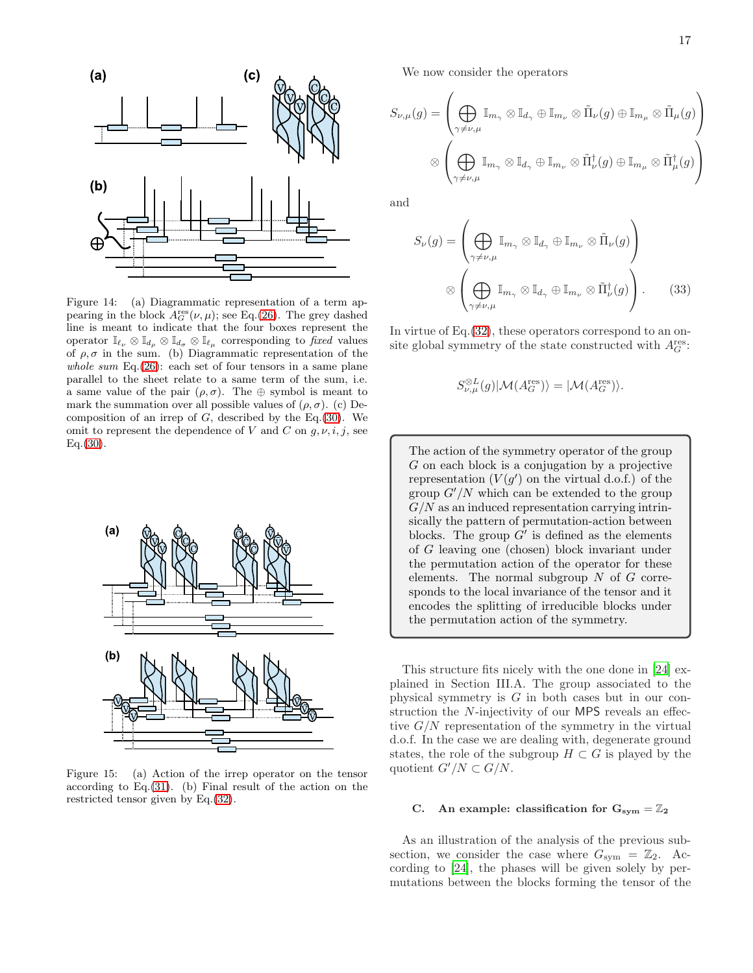

<span id="page-16-0"></span>Figure 14: (a) Diagrammatic representation of a term appearing in the block  $A_G^{\text{res}}(\nu,\mu)$ ; see Eq.[\(26\)](#page-14-1). The grey dashed line is meant to indicate that the four boxes represent the operator  $\mathbb{I}_{\ell_{\nu}} \otimes \mathbb{I}_{d_{\rho}} \otimes \mathbb{I}_{d_{\sigma}} \otimes \mathbb{I}_{\ell_{\mu}}$  corresponding to *fixed* values of  $\rho, \sigma$  in the sum. (b) Diagrammatic representation of the *whole sum* Eq.[\(26\)](#page-14-1): each set of four tensors in a same plane parallel to the sheet relate to a same term of the sum, i.e. a same value of the pair  $(\rho, \sigma)$ . The  $\oplus$  symbol is meant to mark the summation over all possible values of  $(\rho, \sigma)$ . (c) Decomposition of an irrep of  $G$ , described by the Eq.[\(30\)](#page-15-2). We omit to represent the dependence of V and C on  $q, \nu, i, j$ , see  $Eq.(30).$  $Eq.(30).$  $Eq.(30).$ 



<span id="page-16-1"></span>Figure 15: (a) Action of the irrep operator on the tensor according to Eq.[\(31\)](#page-15-3). (b) Final result of the action on the restricted tensor given by Eq.[\(32\)](#page-15-4).

We now consider the operators

$$
S_{\nu,\mu}(g) = \left(\bigoplus_{\gamma \neq \nu,\mu} \mathbb{I}_{m_{\gamma}} \otimes \mathbb{I}_{d_{\gamma}} \oplus \mathbb{I}_{m_{\nu}} \otimes \tilde{\Pi}_{\nu}(g) \oplus \mathbb{I}_{m_{\mu}} \otimes \tilde{\Pi}_{\mu}(g)\right)
$$

$$
\otimes \left(\bigoplus_{\gamma \neq \nu,\mu} \mathbb{I}_{m_{\gamma}} \otimes \mathbb{I}_{d_{\gamma}} \oplus \mathbb{I}_{m_{\nu}} \otimes \tilde{\Pi}_{\nu}^{\dagger}(g) \oplus \mathbb{I}_{m_{\mu}} \otimes \tilde{\Pi}_{\mu}^{\dagger}(g)\right)
$$

and

$$
S_{\nu}(g) = \left(\bigoplus_{\gamma \neq \nu,\mu} \mathbb{I}_{m_{\gamma}} \otimes \mathbb{I}_{d_{\gamma}} \oplus \mathbb{I}_{m_{\nu}} \otimes \tilde{\Pi}_{\nu}(g)\right)
$$

$$
\otimes \left(\bigoplus_{\gamma \neq \nu,\mu} \mathbb{I}_{m_{\gamma}} \otimes \mathbb{I}_{d_{\gamma}} \oplus \mathbb{I}_{m_{\nu}} \otimes \tilde{\Pi}_{\nu}^{\dagger}(g)\right).
$$
(33)

In virtue of Eq.[\(32\)](#page-15-4), these operators correspond to an onsite global symmetry of the state constructed with  $A_G^{\text{res}}$ :

<span id="page-16-2"></span>
$$
S_{\nu,\mu}^{\otimes L}(g)|\mathcal{M}(A_G^{\text{res}})\rangle = |\mathcal{M}(A_G^{\text{res}})\rangle.
$$

The action of the symmetry operator of the group G on each block is a conjugation by a projective representation  $(V(g')$  on the virtual d.o.f.) of the group  $G'/N$  which can be extended to the group  $G/N$  as an induced representation carrying intrinsically the pattern of permutation-action between blocks. The group  $G'$  is defined as the elements of G leaving one (chosen) block invariant under the permutation action of the operator for these elements. The normal subgroup  $N$  of  $G$  corresponds to the local invariance of the tensor and it encodes the splitting of irreducible blocks under the permutation action of the symmetry.

This structure fits nicely with the one done in [\[24](#page-24-17)] explained in Section III.A. The group associated to the physical symmetry is G in both cases but in our construction the N-injectivity of our MPS reveals an effective  $G/N$  representation of the symmetry in the virtual d.o.f. In the case we are dealing with, degenerate ground states, the role of the subgroup  $H \subset G$  is played by the quotient  $G'/N \subset G/N$ .

### C. An example: classification for  $G_{sym} = \mathbb{Z}_2$

As an illustration of the analysis of the previous subsection, we consider the case where  $G_{sym} = \mathbb{Z}_2$ . According to [\[24](#page-24-17)], the phases will be given solely by permutations between the blocks forming the tensor of the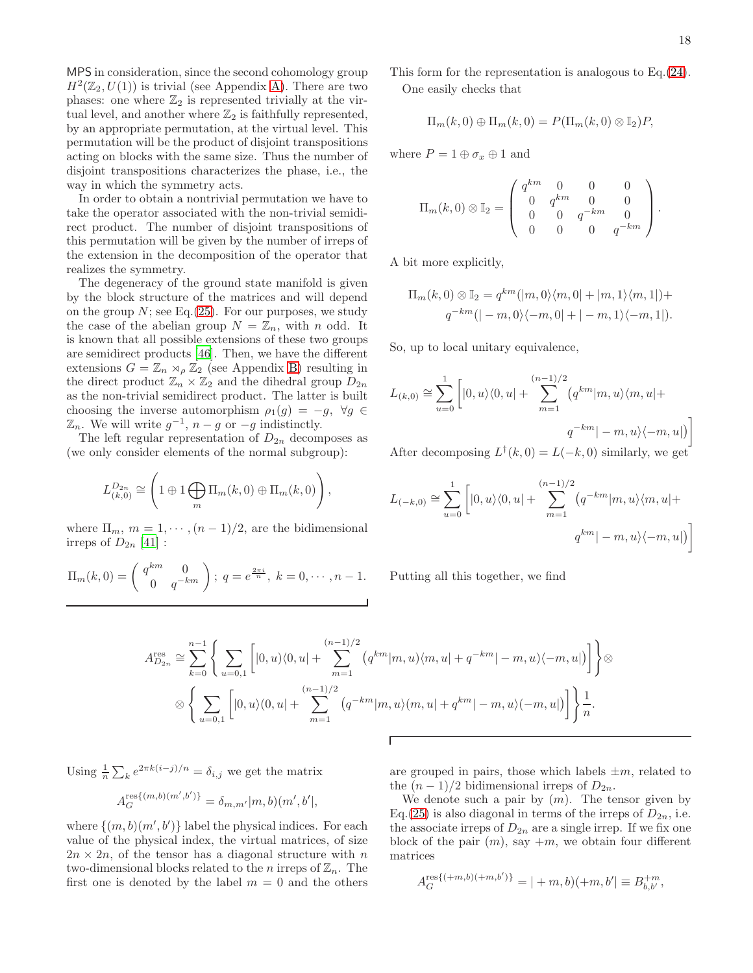MPS in consideration, since the second cohomology group  $H^2(\mathbb{Z}_2, U(1))$  is trivial (see Appendix [A\)](#page-19-0). There are two phases: one where  $\mathbb{Z}_2$  is represented trivially at the virtual level, and another where  $\mathbb{Z}_2$  is faithfully represented, by an appropriate permutation, at the virtual level. This permutation will be the product of disjoint transpositions acting on blocks with the same size. Thus the number of disjoint transpositions characterizes the phase, i.e., the way in which the symmetry acts.

In order to obtain a nontrivial permutation we have to take the operator associated with the non-trivial semidirect product. The number of disjoint transpositions of this permutation will be given by the number of irreps of the extension in the decomposition of the operator that realizes the symmetry.

The degeneracy of the ground state manifold is given by the block structure of the matrices and will depend on the group  $N$ ; see Eq.[\(25\)](#page-14-0). For our purposes, we study the case of the abelian group  $N = \mathbb{Z}_n$ , with n odd. It is known that all possible extensions of these two groups are semidirect products [\[46](#page-24-33)]. Then, we have the different extensions  $G = \mathbb{Z}_n \rtimes_{\rho} \mathbb{Z}_2$  (see Appendix [B\)](#page-20-0) resulting in the direct product  $\mathbb{Z}_n \times \mathbb{Z}_2$  and the dihedral group  $D_{2n}$ as the non-trivial semidirect product. The latter is built choosing the inverse automorphism  $\rho_1(g) = -g$ ,  $\forall g \in$  $\mathbb{Z}_n$ . We will write  $g^{-1}$ ,  $n-g$  or  $-g$  indistinctly.

The left regular representation of  $D_{2n}$  decomposes as (we only consider elements of the normal subgroup):

$$
L_{(k,0)}^{D_{2n}} \cong \left(1 \oplus 1 \bigoplus_{m} \Pi_m(k,0) \oplus \Pi_m(k,0)\right),\,
$$

where  $\Pi_m$ ,  $m = 1, \dots, (n-1)/2$ , are the bidimensional irreps of  $D_{2n}$  [\[41\]](#page-24-32) :

$$
\Pi_m(k,0) = \begin{pmatrix} q^{km} & 0 \\ 0 & q^{-km} \end{pmatrix}; q = e^{\frac{2\pi i}{n}}, k = 0, \cdots, n-1.
$$

This form for the representation is analogous to Eq.[\(24\)](#page-14-3). One easily checks that

$$
\Pi_m(k,0) \oplus \Pi_m(k,0) = P(\Pi_m(k,0) \otimes \mathbb{I}_2)P,
$$

where  $P = 1 \oplus \sigma_x \oplus 1$  and

$$
\Pi_m(k,0) \otimes \mathbb{I}_2 = \begin{pmatrix} q^{km} & 0 & 0 & 0 \\ 0 & q^{km} & 0 & 0 \\ 0 & 0 & q^{-km} & 0 \\ 0 & 0 & 0 & q^{-km} \end{pmatrix}.
$$

A bit more explicitly,

$$
\Pi_m(k,0) \otimes \mathbb{I}_2 = q^{km}(|m,0\rangle\langle m,0|+|m,1\rangle\langle m,1|)+
$$
  

$$
q^{-km}(|-m,0\rangle\langle -m,0|+|-m,1\rangle\langle -m,1|).
$$

So, up to local unitary equivalence,

$$
L_{(k,0)} \cong \sum_{u=0}^{1} \left[ |0, u\rangle\langle 0, u| + \sum_{m=1}^{(n-1)/2} \left( q^{km} |m, u\rangle\langle m, u| + \right. \right. \\qquad \qquad \left. q^{-km} |-m, u\rangle\langle -m, u| \right) \right]
$$

After decomposing  $L^{\dagger}(k,0) = L(-k,0)$  similarly, we get

$$
L_{(-k,0)} \cong \sum_{u=0}^{1} \left[ |0, u\rangle\langle0, u| + \sum_{m=1}^{(n-1)/2} \left( q^{-km} |m, u\rangle\langle m, u| + \right. \right. \\qquad \qquad \left. q^{km} |-m, u\rangle\langle-m, u| \right) \right]
$$

Putting all this together, we find

$$
A_{D_{2n}}^{\text{res}} \cong \sum_{k=0}^{n-1} \left\{ \sum_{u=0,1} \left[ |0, u\rangle\langle0, u| + \sum_{m=1}^{(n-1)/2} (q^{km} |m, u\rangle\langle m, u| + q^{-km} | -m, u\rangle\langle -m, u|) \right] \right\} \otimes
$$
  

$$
\otimes \left\{ \sum_{u=0,1} \left[ |0, u\rangle\langle0, u| + \sum_{m=1}^{(n-1)/2} (q^{-km} |m, u\rangle\langle m, u| + q^{km} | -m, u\rangle\langle -m, u|) \right] \right\} \frac{1}{n}.
$$

Г

A

Using  $\frac{1}{n} \sum_{k} e^{2\pi k(i-j)/n} = \delta_{i,j}$  we get the matrix

$$
A_G^{\text{res}\{(m,b)(m',b')\}} = \delta_{m,m'}|m,b)(m',b'|,
$$

where  $\{(m, b)(m', b')\}$  label the physical indices. For each value of the physical index, the virtual matrices, of size  $2n \times 2n$ , of the tensor has a diagonal structure with n two-dimensional blocks related to the *n* irreps of  $\mathbb{Z}_n$ . The first one is denoted by the label  $m = 0$  and the others are grouped in pairs, those which labels  $\pm m$ , related to the  $(n-1)/2$  bidimensional irreps of  $D_{2n}$ .

We denote such a pair by  $(m)$ . The tensor given by Eq.[\(25\)](#page-14-0) is also diagonal in terms of the irreps of  $D_{2n}$ , i.e. the associate irreps of  $D_{2n}$  are a single irrep. If we fix one block of the pair  $(m)$ , say  $+m$ , we obtain four different matrices

$$
A_G^{\text{res}\{(+m,b)(+m,b')\}} = |+m,b)(+m,b'| \equiv B_{b,b'}^{+m},
$$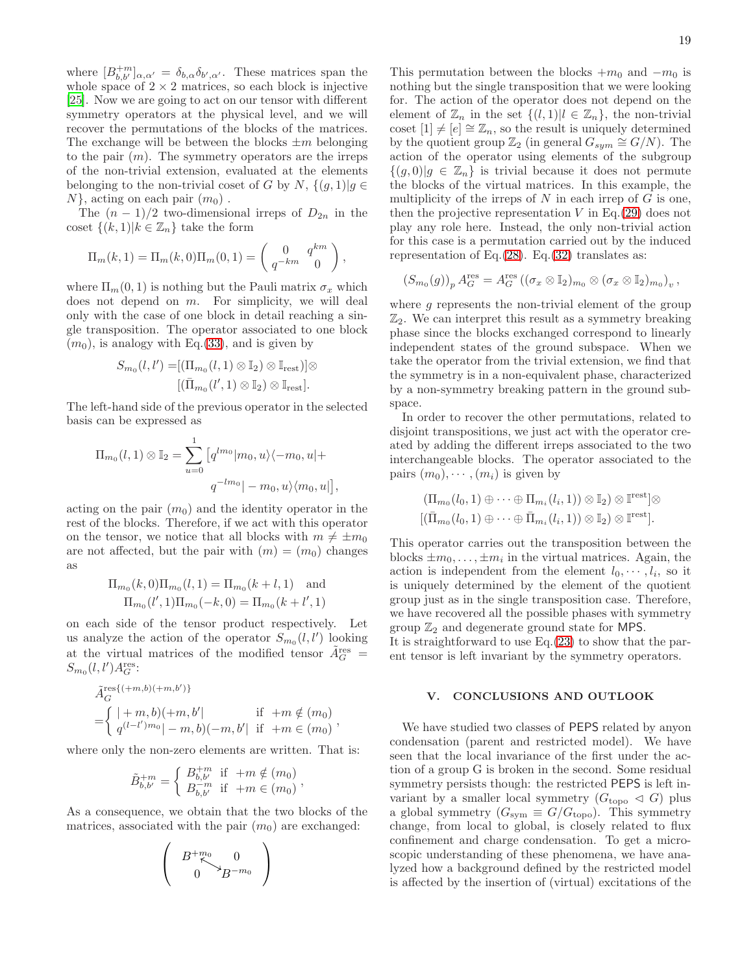where  $[B^{+m}_{b,b'}]_{\alpha,\alpha'} = \delta_{b,\alpha} \delta_{b',\alpha'}$ . These matrices span the whole space of  $2 \times 2$  matrices, so each block is injective [\[25\]](#page-24-18). Now we are going to act on our tensor with different symmetry operators at the physical level, and we will recover the permutations of the blocks of the matrices. The exchange will be between the blocks  $\pm m$  belonging to the pair  $(m)$ . The symmetry operators are the irreps of the non-trivial extension, evaluated at the elements belonging to the non-trivial coset of G by N,  $\{(q, 1)|q \in$  $N\}$ , acting on each pair  $(m_0)$ .

The  $(n-1)/2$  two-dimensional irreps of  $D_{2n}$  in the coset  $\{(k, 1)|k \in \mathbb{Z}_n\}$  take the form

$$
\Pi_m(k,1) = \Pi_m(k,0)\Pi_m(0,1) = \begin{pmatrix} 0 & q^{km} \\ q^{-km} & 0 \end{pmatrix},
$$

where  $\Pi_m(0,1)$  is nothing but the Pauli matrix  $\sigma_x$  which does not depend on  $m$ . For simplicity, we will deal only with the case of one block in detail reaching a single transposition. The operator associated to one block  $(m_0)$ , is analogy with Eq.[\(33\)](#page-16-2), and is given by

$$
S_{m_0}(l,l') = [(\Pi_{m_0}(l,1) \otimes \mathbb{I}_2) \otimes \mathbb{I}_{\text{rest}})] \otimes [(\bar{\Pi}_{m_0}(l',1) \otimes \mathbb{I}_2) \otimes \mathbb{I}_{\text{rest}}].
$$

The left-hand side of the previous operator in the selected basis can be expressed as

$$
\Pi_{m_0}(l,1) \otimes \mathbb{I}_2 = \sum_{u=0}^1 \left[ q^{lm_0} | m_0, u \rangle \langle -m_0, u | + \right. \\
\left. q^{-lm_0} | -m_0, u \rangle \langle m_0, u | \right]
$$

,

,

acting on the pair  $(m_0)$  and the identity operator in the rest of the blocks. Therefore, if we act with this operator on the tensor, we notice that all blocks with  $m \neq \pm m_0$ are not affected, but the pair with  $(m) = (m_0)$  changes as

$$
\Pi_{m_0}(k,0)\Pi_{m_0}(l,1) = \Pi_{m_0}(k+l,1) \text{ and}
$$
  

$$
\Pi_{m_0}(l',1)\Pi_{m_0}(-k,0) = \Pi_{m_0}(k+l',1)
$$

on each side of the tensor product respectively. Let us analyze the action of the operator  $S_{m_0}(l, l')$  looking at the virtual matrices of the modified tensor  $\tilde{A}^{\text{res}}_G =$  $S_{m_0}(l, l')A_G^{\text{res}}$ :

$$
\tilde{A}_{G}^{\text{res}\{(+m,b)(+m,b')\}}=\begin{cases} |+m,b)(+m,b'| & \text{if } +m \notin (m_0) \\ q^{(l-l')m_0}|-m,b)(-m,b'| & \text{if } +m \in (m_0) \end{cases}
$$

where only the non-zero elements are written. That is:

$$
\tilde{B}_{b,b'}^{+m} = \begin{cases} B_{b,b'}^{+m} & \text{if } +m \notin (m_0) \\ B_{b,b'}^{-m} & \text{if } +m \in (m_0) \end{cases},
$$

As a consequence, we obtain that the two blocks of the matrices, associated with the pair  $(m_0)$  are exchanged:

$$
\left(\begin{array}{c}B^{+m_0}_{\quad\, \nwarrow} 0\\0\end{array}\right)
$$

This permutation between the blocks  $+m_0$  and  $-m_0$  is nothing but the single transposition that we were looking for. The action of the operator does not depend on the element of  $\mathbb{Z}_n$  in the set  $\{(l, 1)|l \in \mathbb{Z}_n\}$ , the non-trivial coset  $[1] \neq [e] \cong \mathbb{Z}_n$ , so the result is uniquely determined by the quotient group  $\mathbb{Z}_2$  (in general  $G_{sym} \cong G/N$ ). The action of the operator using elements of the subgroup  ${(g, 0)|g \in \mathbb{Z}_n}$  is trivial because it does not permute the blocks of the virtual matrices. In this example, the multiplicity of the irreps of  $N$  in each irrep of  $G$  is one, then the projective representation  $V$  in Eq. [\(29\)](#page-15-1) does not play any role here. Instead, the only non-trivial action for this case is a permutation carried out by the induced representation of Eq. $(28)$ . Eq. $(32)$  translates as:

$$
(S_{m_0}(g))_p A_G^{\text{res}} = A_G^{\text{res}} \left( (\sigma_x \otimes \mathbb{I}_2)_{m_0} \otimes (\sigma_x \otimes \mathbb{I}_2)_{m_0} \right)_v,
$$

where  $g$  represents the non-trivial element of the group  $\mathbb{Z}_2$ . We can interpret this result as a symmetry breaking phase since the blocks exchanged correspond to linearly independent states of the ground subspace. When we take the operator from the trivial extension, we find that the symmetry is in a non-equivalent phase, characterized by a non-symmetry breaking pattern in the ground subspace.

In order to recover the other permutations, related to disjoint transpositions, we just act with the operator created by adding the different irreps associated to the two interchangeable blocks. The operator associated to the pairs  $(m_0), \cdots, (m_i)$  is given by

$$
(\Pi_{m_0}(l_0,1) \oplus \cdots \oplus \Pi_{m_i}(l_i,1)) \otimes \mathbb{I}_2) \otimes \mathbb{I}^{\text{rest}}] \otimes
$$
  

$$
[(\bar{\Pi}_{m_0}(l_0,1) \oplus \cdots \oplus \bar{\Pi}_{m_i}(l_i,1)) \otimes \mathbb{I}_2) \otimes \mathbb{I}^{\text{rest}}].
$$

This operator carries out the transposition between the blocks  $\pm m_0, \ldots, \pm m_i$  in the virtual matrices. Again, the action is independent from the element  $l_0, \dots, l_i$ , so it is uniquely determined by the element of the quotient group just as in the single transposition case. Therefore, we have recovered all the possible phases with symmetry group  $\mathbb{Z}_2$  and degenerate ground state for MPS.

It is straightforward to use  $Eq.(23)$  $Eq.(23)$  to show that the parent tensor is left invariant by the symmetry operators.

# <span id="page-18-0"></span>V. CONCLUSIONS AND OUTLOOK

We have studied two classes of PEPS related by anyon condensation (parent and restricted model). We have seen that the local invariance of the first under the action of a group G is broken in the second. Some residual symmetry persists though: the restricted PEPS is left invariant by a smaller local symmetry  $(G_{\text{topo}} \triangleleft G)$  plus a global symmetry  $(G_{sym} \equiv G/G_{topo})$ . This symmetry change, from local to global, is closely related to flux confinement and charge condensation. To get a microscopic understanding of these phenomena, we have analyzed how a background defined by the restricted model is affected by the insertion of (virtual) excitations of the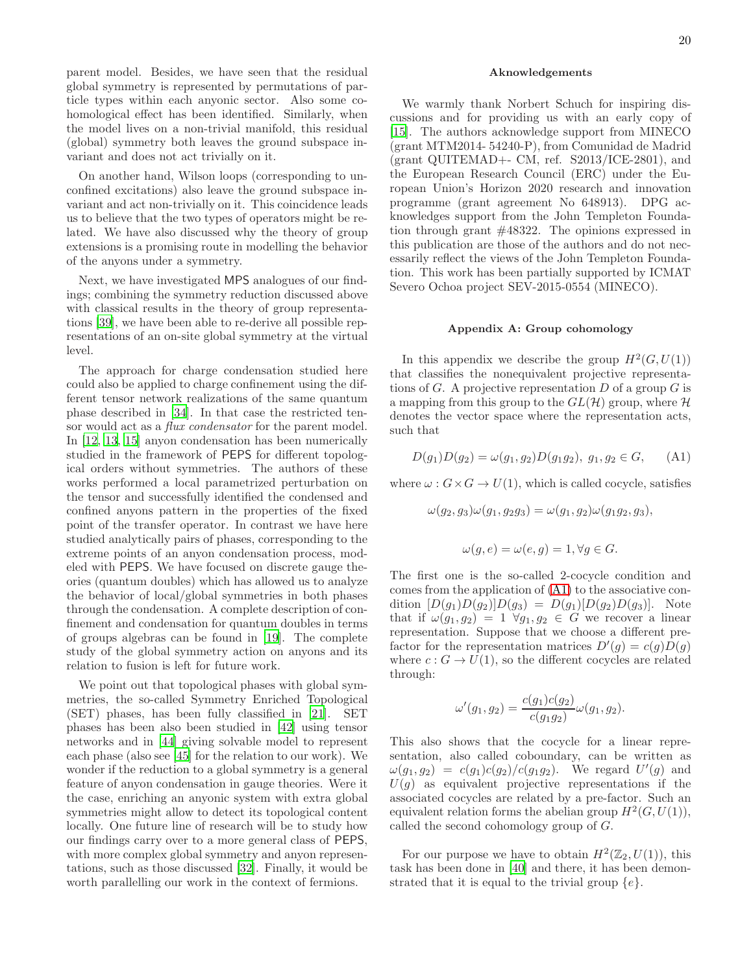parent model. Besides, we have seen that the residual global symmetry is represented by permutations of particle types within each anyonic sector. Also some cohomological effect has been identified. Similarly, when the model lives on a non-trivial manifold, this residual (global) symmetry both leaves the ground subspace invariant and does not act trivially on it.

On another hand, Wilson loops (corresponding to unconfined excitations) also leave the ground subspace invariant and act non-trivially on it. This coincidence leads us to believe that the two types of operators might be related. We have also discussed why the theory of group extensions is a promising route in modelling the behavior of the anyons under a symmetry.

Next, we have investigated MPS analogues of our findings; combining the symmetry reduction discussed above with classical results in the theory of group representations [\[39\]](#page-24-28), we have been able to re-derive all possible representations of an on-site global symmetry at the virtual level.

The approach for charge condensation studied here could also be applied to charge confinement using the different tensor network realizations of the same quantum phase described in [\[34\]](#page-24-25). In that case the restricted tensor would act as a *flux condensator* for the parent model. In [\[12](#page-24-8), [13,](#page-24-34) [15\]](#page-24-35) anyon condensation has been numerically studied in the framework of PEPS for different topological orders without symmetries. The authors of these works performed a local parametrized perturbation on the tensor and successfully identified the condensed and confined anyons pattern in the properties of the fixed point of the transfer operator. In contrast we have here studied analytically pairs of phases, corresponding to the extreme points of an anyon condensation process, modeled with PEPS. We have focused on discrete gauge theories (quantum doubles) which has allowed us to analyze the behavior of local/global symmetries in both phases through the condensation. A complete description of confinement and condensation for quantum doubles in terms of groups algebras can be found in [\[19\]](#page-24-12). The complete study of the global symmetry action on anyons and its relation to fusion is left for future work.

We point out that topological phases with global symmetries, the so-called Symmetry Enriched Topological (SET) phases, has been fully classified in [\[21\]](#page-24-14). SET phases has been also been studied in [\[42\]](#page-24-36) using tensor networks and in [\[44\]](#page-24-37) giving solvable model to represent each phase (also see [\[45\]](#page-24-38) for the relation to our work). We wonder if the reduction to a global symmetry is a general feature of anyon condensation in gauge theories. Were it the case, enriching an anyonic system with extra global symmetries might allow to detect its topological content locally. One future line of research will be to study how our findings carry over to a more general class of PEPS, with more complex global symmetry and anyon representations, such as those discussed [\[32](#page-24-23)]. Finally, it would be worth parallelling our work in the context of fermions.

# Aknowledgements

We warmly thank Norbert Schuch for inspiring discussions and for providing us with an early copy of [\[15\]](#page-24-35). The authors acknowledge support from MINECO (grant MTM2014- 54240-P), from Comunidad de Madrid (grant QUITEMAD+- CM, ref. S2013/ICE-2801), and the European Research Council (ERC) under the European Union's Horizon 2020 research and innovation programme (grant agreement No 648913). DPG acknowledges support from the John Templeton Foundation through grant #48322. The opinions expressed in this publication are those of the authors and do not necessarily reflect the views of the John Templeton Foundation. This work has been partially supported by ICMAT Severo Ochoa project SEV-2015-0554 (MINECO).

# <span id="page-19-0"></span>Appendix A: Group cohomology

In this appendix we describe the group  $H^2(G, U(1))$ that classifies the nonequivalent projective representations of G. A projective representation D of a group G is a mapping from this group to the  $GL(H)$  group, where H denotes the vector space where the representation acts, such that

<span id="page-19-1"></span>
$$
D(g_1)D(g_2) = \omega(g_1, g_2)D(g_1g_2), g_1, g_2 \in G,
$$
 (A1)

where  $\omega$ :  $G \times G \rightarrow U(1)$ , which is called cocycle, satisfies

$$
\omega(g_2, g_3)\omega(g_1, g_2g_3) = \omega(g_1, g_2)\omega(g_1g_2, g_3),
$$
  

$$
\omega(g, e) = \omega(e, g) = 1, \forall g \in G.
$$

The first one is the so-called 2-cocycle condition and comes from the application of [\(A1\)](#page-19-1) to the associative condition  $[D(g_1)D(g_2)]D(g_3) = D(g_1)[D(g_2)D(g_3)]$ . Note that if  $\omega(g_1, g_2) = 1 \ \forall g_1, g_2 \in G$  we recover a linear representation. Suppose that we choose a different prefactor for the representation matrices  $D'(g) = c(g)D(g)$ where  $c: G \to U(1)$ , so the different cocycles are related through:

$$
\omega'(g_1, g_2) = \frac{c(g_1)c(g_2)}{c(g_1g_2)}\omega(g_1, g_2).
$$

This also shows that the cocycle for a linear representation, also called coboundary, can be written as  $\omega(g_1, g_2) = c(g_1)c(g_2)/c(g_1g_2)$ . We regard  $U'(g)$  and  $U(g)$  as equivalent projective representations if the associated cocycles are related by a pre-factor. Such an equivalent relation forms the abelian group  $H^2(G, U(1)),$ called the second cohomology group of G.

For our purpose we have to obtain  $H^2(\mathbb{Z}_2, U(1))$ , this task has been done in [\[40\]](#page-24-39) and there, it has been demonstrated that it is equal to the trivial group  $\{e\}.$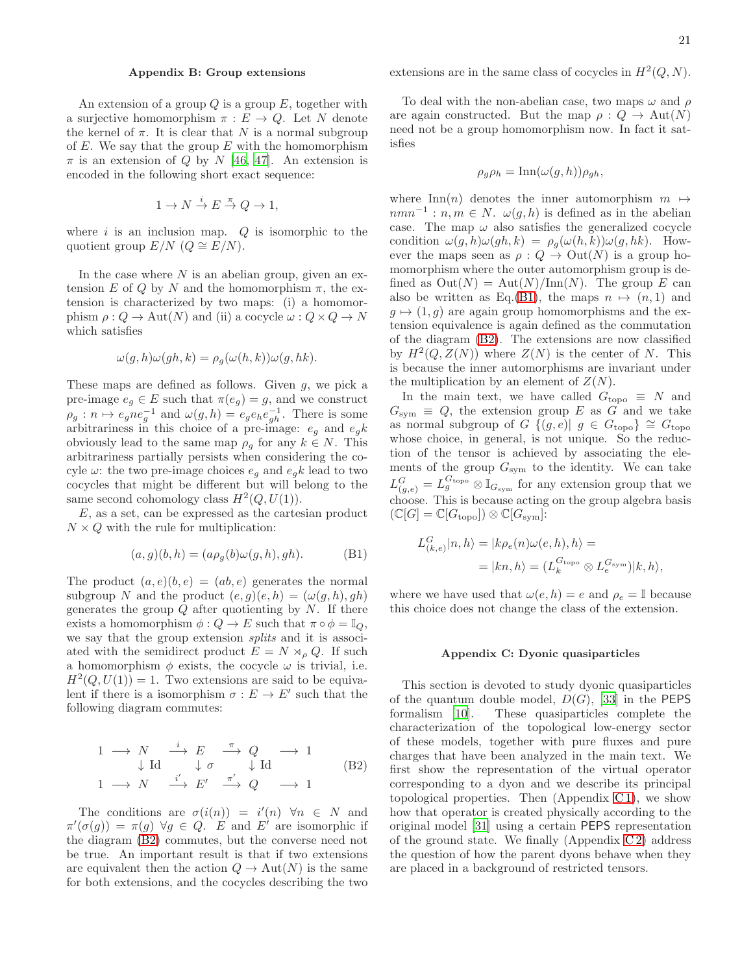# <span id="page-20-0"></span>Appendix B: Group extensions

An extension of a group  $Q$  is a group  $E$ , together with a surjective homomorphism  $\pi : E \to Q$ . Let N denote the kernel of  $\pi$ . It is clear that N is a normal subgroup of  $E$ . We say that the group  $E$  with the homomorphism  $\pi$  is an extension of Q by N [\[46](#page-24-33), [47](#page-24-40)]. An extension is encoded in the following short exact sequence:

$$
1 \to N \stackrel{i}{\to} E \stackrel{\pi}{\to} Q \to 1,
$$

where  $i$  is an inclusion map.  $Q$  is isomorphic to the quotient group  $E/N$  ( $Q \cong E/N$ ).

In the case where  $N$  is an abelian group, given an extension E of Q by N and the homomorphism  $\pi$ , the extension is characterized by two maps: (i) a homomorphism  $\rho: Q \to \text{Aut}(N)$  and (ii) a cocycle  $\omega: Q \times Q \to N$ which satisfies

$$
\omega(g, h)\omega(gh, k) = \rho_g(\omega(h, k))\omega(g, hk).
$$

These maps are defined as follows. Given  $g$ , we pick a pre-image  $e_g \in E$  such that  $\pi(e_g) = g$ , and we construct  $\rho_g: n \mapsto e_g n e_g^{-1}$  and  $\omega(g, h) = e_g e_h e_{gh}^{-1}$ . There is some arbitrariness in this choice of a pre-image:  $e_g$  and  $e_g k$ obviously lead to the same map  $\rho_q$  for any  $k \in N$ . This arbitrariness partially persists when considering the cocyle $\omega\colon$  the two pre-image choices  $e_g$  and  $e_gk$  lead to two cocycles that might be different but will belong to the same second cohomology class  $H^2(Q, U(1))$ .

 $E$ , as a set, can be expressed as the cartesian product  $N \times Q$  with the rule for multiplication:

<span id="page-20-3"></span>
$$
(a,g)(b,h) = (a\rho_g(b)\omega(g,h), gh). \tag{B1}
$$

The product  $(a, e)(b, e) = (ab, e)$  generates the normal subgroup N and the product  $(e, q)(e, h) = (\omega(q, h), gh)$ generates the group  $Q$  after quotienting by  $N$ . If there exists a homomorphism  $\phi: Q \to E$  such that  $\pi \circ \phi = \mathbb{I}_Q$ , we say that the group extension splits and it is associated with the semidirect product  $E = N \rtimes_{\rho} Q$ . If such a homomorphism  $\phi$  exists, the cocycle  $\omega$  is trivial, i.e.  $H^2(Q, U(1)) = 1$ . Two extensions are said to be equivalent if there is a isomorphism  $\sigma : E \to E'$  such that the following diagram commutes:

<span id="page-20-2"></span>
$$
\begin{array}{ccc}\n1 & \longrightarrow & N & \xrightarrow{i} & E & \xrightarrow{\pi} & Q & \longrightarrow 1 \\
\downarrow \text{Id} & & \downarrow \sigma & \downarrow \text{Id} & \\
1 & \longrightarrow & N & \xrightarrow{i'} & E' & \xrightarrow{\pi'} & Q & \longrightarrow 1\n\end{array} \tag{B2}
$$

The conditions are  $\sigma(i(n)) = i'(n) \forall n \in N$  and  $\pi'(\sigma(g)) = \pi(g) \,\,\forall g \in Q$ . E and E' are isomorphic if the diagram [\(B2\)](#page-20-2) commutes, but the converse need not be true. An important result is that if two extensions are equivalent then the action  $Q \to Aut(N)$  is the same for both extensions, and the cocycles describing the two

extensions are in the same class of cocycles in  $H^2(Q, N)$ .

To deal with the non-abelian case, two maps  $\omega$  and  $\rho$ are again constructed. But the map  $\rho: Q \to \text{Aut}(N)$ need not be a group homomorphism now. In fact it satisfies

$$
\rho_g \rho_h = \text{Inn}(\omega(g, h)) \rho_{gh},
$$

where Inn(n) denotes the inner automorphism  $m \mapsto$  $nmn^{-1}: n,m \in N$ .  $\omega(g,h)$  is defined as in the abelian case. The map  $\omega$  also satisfies the generalized cocycle condition  $\omega(g, h)\omega(gh, k) = \rho_g(\omega(h, k))\omega(g, hk)$ . However the maps seen as  $\rho: Q \to \text{Out}(N)$  is a group homomorphism where the outer automorphism group is defined as  $Out(N) = Aut(N)/Inn(N)$ . The group E can also be written as Eq.[\(B1\)](#page-20-3), the maps  $n \mapsto (n, 1)$  and  $g \mapsto (1, g)$  are again group homomorphisms and the extension equivalence is again defined as the commutation of the diagram [\(B2\)](#page-20-2). The extensions are now classified by  $H^2(Q, Z(N))$  where  $Z(N)$  is the center of N. This is because the inner automorphisms are invariant under the multiplication by an element of  $Z(N)$ .

In the main text, we have called  $G_{\text{topo}} \equiv N$  and  $G_{sym} \equiv Q$ , the extension group E as G and we take as normal subgroup of G  $\{(g,e) | g \in G_{\text{topo}}\}\cong G_{\text{topo}}$ whose choice, in general, is not unique. So the reduction of the tensor is achieved by associating the elements of the group  $G_{sym}$  to the identity. We can take  $L_{(g,e)}^G = L_g^{G_{\text{topo}}} \otimes \mathbb{I}_{G_{\text{sym}}}$  for any extension group that we choose. This is because acting on the group algebra basis  $(\mathbb{C}[G] = \mathbb{C}[G_{\text{topo}}]) \otimes \mathbb{C}[G_{\text{sym}}]$ :

$$
L_{(k,e)}^G |n, h\rangle = |k\rho_e(n)\omega(e, h), h\rangle =
$$
  
=  $|kn, h\rangle = (L_k^{G_{\text{top}}}\otimes L_e^{G_{\text{sym}}})|k, h\rangle,$ 

where we have used that  $\omega(e, h) = e$  and  $\rho_e = \mathbb{I}$  because this choice does not change the class of the extension.

### <span id="page-20-1"></span>Appendix C: Dyonic quasiparticles

This section is devoted to study dyonic quasiparticles of the quantum double model,  $D(G)$ , [\[33\]](#page-24-24) in the **PEPS** formalism [\[10](#page-24-6)]. These quasiparticles complete the characterization of the topological low-energy sector of these models, together with pure fluxes and pure charges that have been analyzed in the main text. We first show the representation of the virtual operator corresponding to a dyon and we describe its principal topological properties. Then  $(Appendix C1)$ , we show how that operator is created physically according to the original model [\[31](#page-24-10)] using a certain PEPS representation of the ground state. We finally  $(Appendix C2)$  address the question of how the parent dyons behave when they are placed in a background of restricted tensors.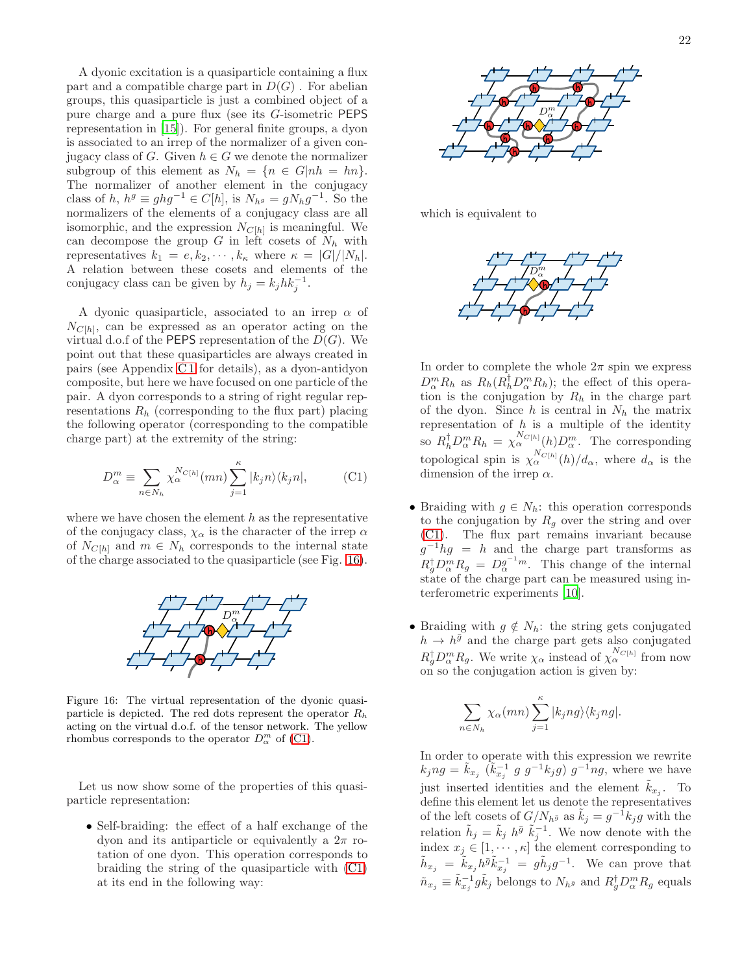A dyonic excitation is a quasiparticle containing a flux part and a compatible charge part in  $D(G)$ . For abelian groups, this quasiparticle is just a combined object of a pure charge and a pure flux (see its G-isometric PEPS representation in [\[15\]](#page-24-35)). For general finite groups, a dyon is associated to an irrep of the normalizer of a given conjugacy class of G. Given  $h \in G$  we denote the normalizer subgroup of this element as  $N_h = \{n \in G | nh = hn\}.$ The normalizer of another element in the conjugacy class of h,  $h^g \equiv ghg^{-1} \in C[h]$ , is  $N_{h^g} = gN_hg^{-1}$ . So the normalizers of the elements of a conjugacy class are all isomorphic, and the expression  $N_{C[h]}$  is meaningful. We can decompose the group  $G$  in left cosets of  $N_h$  with representatives  $k_1 = e, k_2, \cdots, k_\kappa$  where  $\kappa = |G|/|N_h|$ . A relation between these cosets and elements of the conjugacy class can be given by  $h_j = k_j h k_j^{-1}$ .

A dyonic quasiparticle, associated to an irrep  $\alpha$  of  $N_{C[h]}$ , can be expressed as an operator acting on the virtual d.o.f of the **PEPS** representation of the  $D(G)$ . We point out that these quasiparticles are always created in pairs (see Appendix [C 1](#page-22-0) for details), as a dyon-antidyon composite, but here we have focused on one particle of the pair. A dyon corresponds to a string of right regular representations  $R_h$  (corresponding to the flux part) placing the following operator (corresponding to the compatible charge part) at the extremity of the string:

<span id="page-21-1"></span>
$$
D_{\alpha}^{m} \equiv \sum_{n \in N_{h}} \chi_{\alpha}^{N_{C[h]}}(mn) \sum_{j=1}^{\kappa} |k_{j}n\rangle\langle k_{j}n|, \qquad \text{(C1)}
$$

where we have chosen the element  $h$  as the representative of the conjugacy class,  $\chi_{\alpha}$  is the character of the irrep  $\alpha$ of  $N_{C[h]}$  and  $m \in N_h$  corresponds to the internal state of the charge associated to the quasiparticle (see Fig. [16\)](#page-21-0).



<span id="page-21-0"></span>Figure 16: The virtual representation of the dyonic quasiparticle is depicted. The red dots represent the operator  $R_h$ acting on the virtual d.o.f. of the tensor network. The yellow rhombus corresponds to the operator  $D_{\alpha}^{m}$  of [\(C1\)](#page-21-1).

Let us now show some of the properties of this quasiparticle representation:

• Self-braiding: the effect of a half exchange of the dyon and its antiparticle or equivalently a  $2\pi$  rotation of one dyon. This operation corresponds to braiding the string of the quasiparticle with [\(C1\)](#page-21-1) at its end in the following way:



which is equivalent to



In order to complete the whole  $2\pi$  spin we express  $D_{\alpha}^{m}R_{h}$  as  $R_{h}(R_{h}^{\dagger}D_{\alpha}^{m}R_{h})$ ; the effect of this operation is the conjugation by  $R_h$  in the charge part of the dyon. Since  $h$  is central in  $N_h$  the matrix representation of  $h$  is a multiple of the identity so  $R_h^{\dagger} D_{\alpha}^m R_h = \chi_{\alpha}^{N_{C[h]}}(h) D_{\alpha}^m$ . The corresponding topological spin is  $\chi_{\alpha}^{N_{C[h]}}(h)/d_{\alpha}$ , where  $d_{\alpha}$  is the dimension of the irrep  $\alpha$ .

- Braiding with  $g \in N_h$ : this operation corresponds to the conjugation by  $R_q$  over the string and over [\(C1\)](#page-21-1). The flux part remains invariant because  $g^{-1}hg = h$  and the charge part transforms as  $R_g^{\dagger} D_{\alpha}^m R_g = D_{\alpha}^{g^{-1}m}$ . This change of the internal state of the charge part can be measured using interferometric experiments [\[10\]](#page-24-6).
- Braiding with  $g \notin N_h$ : the string gets conjugated  $h \to h^{\bar{g}}$  and the charge part gets also conjugated  $R_g^{\dagger} D_{\alpha}^m R_g$ . We write  $\chi_{\alpha}$  instead of  $\chi_{\alpha}^{N_{C[h]}}$  from now on so the conjugation action is given by:

$$
\sum_{n \in N_h} \chi_\alpha(mn) \sum_{j=1}^\kappa |k_jng\rangle \langle k_jng|.
$$

In order to operate with this expression we rewrite  $k_jng = \tilde{k}_{x_j}$   $(\tilde{k}_{x_j}^{-1} g g^{-1} k_j g) g^{-1}ng$ , where we have just inserted identities and the element  $\tilde{k}_{x_j}$ . To define this element let us denote the representatives of the left cosets of  $G/N_{h^{\bar{g}}}$  as  $\tilde{k}_j = g^{-1}k_j g$  with the relation  $\tilde{h}_j = \tilde{k}_j h^{\bar{g}} \tilde{k}_j^{-1}$ . We now denote with the index  $x_j \in [1, \dots, \kappa]$  the element corresponding to  $\tilde{h}_{x_j} = \tilde{k}_{x_j} h^{\tilde{g}} \tilde{k}_{x_j}^{-1} = g \tilde{h}_j g^{-1}$ . We can prove that  $\tilde{n}_{x_j} \equiv \tilde{k}_{x_j}^{-1} g \tilde{k}_j$  belongs to  $N_{h\bar{g}}$  and  $R_g^{\dagger} D_{\alpha}^{m} R_g$  equals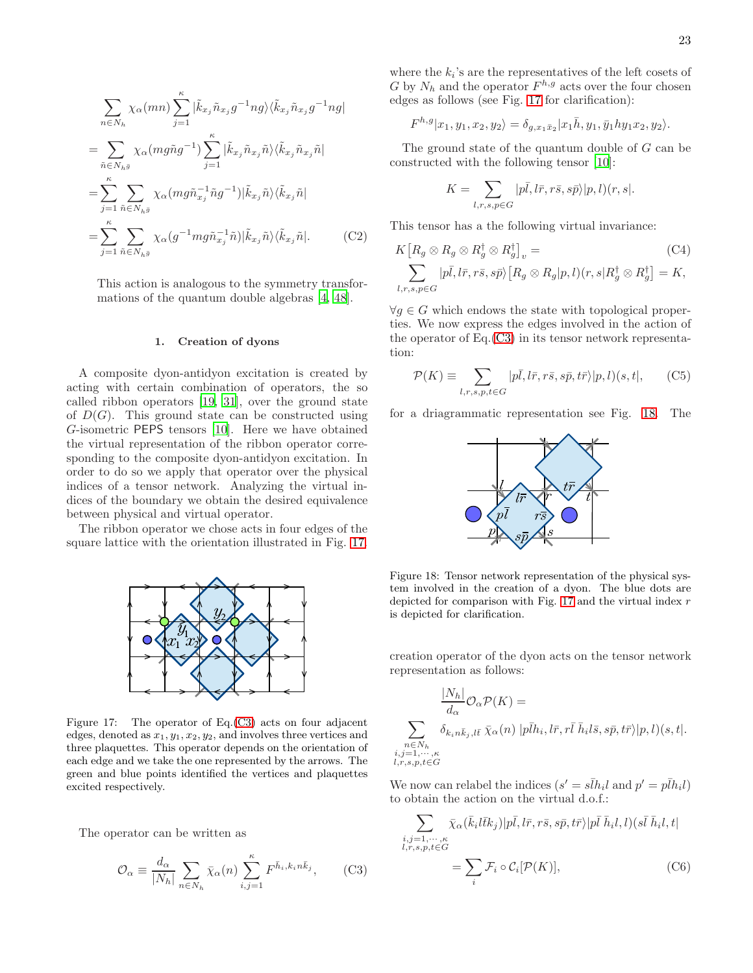$$
\sum_{n \in N_h} \chi_{\alpha}(mn) \sum_{j=1}^{\kappa} |\tilde{k}_{x_j} \tilde{n}_{x_j} g^{-1} ng \rangle \langle \tilde{k}_{x_j} \tilde{n}_{x_j} g^{-1} ng |
$$
  
\n
$$
= \sum_{\tilde{n} \in N_{h\bar{g}}} \chi_{\alpha}(mg\tilde{n}g^{-1}) \sum_{j=1}^{\kappa} |\tilde{k}_{x_j} \tilde{n}_{x_j} \tilde{n} \rangle \langle \tilde{k}_{x_j} \tilde{n}_{x_j} \tilde{n} |
$$
  
\n
$$
= \sum_{j=1}^{\kappa} \sum_{\tilde{n} \in N_{h\bar{g}}} \chi_{\alpha}(mg\tilde{n}_{x_j}^{-1} \tilde{n}g^{-1}) |\tilde{k}_{x_j} \tilde{n} \rangle \langle \tilde{k}_{x_j} \tilde{n} |
$$
  
\n
$$
= \sum_{j=1}^{\kappa} \sum_{\tilde{n} \in N_{h\bar{g}}} \chi_{\alpha}(g^{-1} mg\tilde{n}_{x_j}^{-1} \tilde{n}) |\tilde{k}_{x_j} \tilde{n} \rangle \langle \tilde{k}_{x_j} \tilde{n} |.
$$
 (C2)

This action is analogous to the symmetry transformations of the quantum double algebras [\[4,](#page-24-3) [48\]](#page-24-41).

### <span id="page-22-0"></span>1. Creation of dyons

A composite dyon-antidyon excitation is created by acting with certain combination of operators, the so called ribbon operators [\[19,](#page-24-12) [31\]](#page-24-10), over the ground state of  $D(G)$ . This ground state can be constructed using G-isometric PEPS tensors [\[10\]](#page-24-6). Here we have obtained the virtual representation of the ribbon operator corresponding to the composite dyon-antidyon excitation. In order to do so we apply that operator over the physical indices of a tensor network. Analyzing the virtual indices of the boundary we obtain the desired equivalence between physical and virtual operator.

The ribbon operator we chose acts in four edges of the square lattice with the orientation illustrated in Fig. [17.](#page-22-1)



<span id="page-22-1"></span>Figure 17: The operator of Eq.[\(C3\)](#page-22-2) acts on four adjacent edges, denoted as  $x_1, y_1, x_2, y_2$ , and involves three vertices and three plaquettes. This operator depends on the orientation of each edge and we take the one represented by the arrows. The green and blue points identified the vertices and plaquettes excited respectively.

The operator can be written as

<span id="page-22-2"></span>
$$
\mathcal{O}_{\alpha} \equiv \frac{d_{\alpha}}{|N_h|} \sum_{n \in N_h} \bar{\chi}_{\alpha}(n) \sum_{i,j=1}^{\kappa} F^{\bar{h}_i, k_i n \bar{k}_j}, \qquad \text{(C3)}
$$

where the  $k_i$ 's are the representatives of the left cosets of G by  $N_h$  and the operator  $F^{h,g}$  acts over the four chosen edges as follows (see Fig. [17](#page-22-1) for clarification):

$$
F^{h,g}|x_1, y_1, x_2, y_2\rangle = \delta_{g,x_1\bar{x}_2}|x_1\bar{h}, y_1, \bar{y}_1hy_1x_2, y_2\rangle.
$$

The ground state of the quantum double of G can be constructed with the following tensor [\[10](#page-24-6)]:

<span id="page-22-5"></span>
$$
K=\sum_{l,r,s,p\in G}|p\bar{l},l\bar{r},r\bar{s},s\bar{p}\rangle|p,l)(r,s|.
$$

<span id="page-22-6"></span>This tensor has a the following virtual invariance:

$$
K\left[R_g \otimes R_g \otimes R_g^{\dagger} \otimes R_g^{\dagger}\right]_v =
$$
\n
$$
\sum_{l,r,s,p \in G} |p\bar{l}, l\bar{r}, r\bar{s}, s\bar{p}\rangle \left[R_g \otimes R_g|p,l\right)(r, s|R_g^{\dagger} \otimes R_g^{\dagger}\right] = K,
$$
\n(C4)

 $\forall g \in G$  which endows the state with topological properties. We now express the edges involved in the action of the operator of Eq.[\(C3\)](#page-22-2) in its tensor network representation:

$$
\mathcal{P}(K) \equiv \sum_{l,r,s,p,t \in G} |p\bar{l}, l\bar{r}, r\bar{s}, s\bar{p}, t\bar{r}\rangle |p,l\rangle(s,t|,
$$
 (C5)

for a driagrammatic representation see Fig. [18.](#page-22-3) The



<span id="page-22-3"></span>Figure 18: Tensor network representation of the physical system involved in the creation of a dyon. The blue dots are depicted for comparison with Fig.  $17$  and the virtual index  $r$ is depicted for clarification.

creation operator of the dyon acts on the tensor network representation as follows:

$$
\frac{|N_h|}{d_{\alpha}} \mathcal{O}_{\alpha} \mathcal{P}(K) =
$$
\n
$$
\sum_{\substack{n \in N_h \\ n \in j, 1, \dots, \kappa \\ i, j = 1, \dots, \kappa}} \delta_{k_i n \bar{k}_j, l \bar{t}} \bar{\chi}_{\alpha}(n) |p \bar{l} h_i, l \bar{r}, r \bar{l} \bar{h}_i l \bar{s}, s \bar{p}, t \bar{r} \rangle |p, l)(s, t|.
$$

We now can relabel the indices  $(s' = s\bar{I}h_i l \text{ and } p' = p\bar{I}h_i l)$ to obtain the action on the virtual d.o.f.:

<span id="page-22-4"></span>
$$
\sum_{\substack{i,j=1,\cdots,\kappa\\l,r,s,p,t\in G}} \bar{\chi}_{\alpha}(\bar{k}_i l \bar{t} k_j) |p\bar{l}, l\bar{r}, r\bar{s}, s\bar{p}, t\bar{r}\rangle |p\bar{l} \bar{h}_i l, l)(s\bar{l} \bar{h}_i l, t|= \sum_i \mathcal{F}_i \circ \mathcal{C}_i[\mathcal{P}(K)],
$$
 (C6)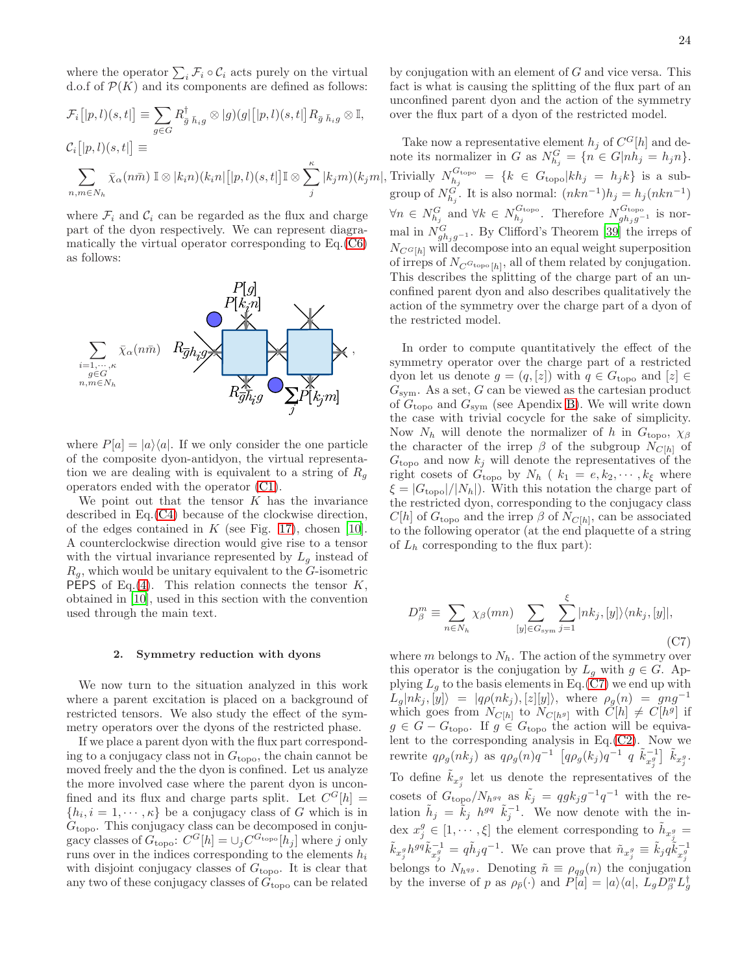where the operator  $\sum_i \mathcal{F}_i \circ \mathcal{C}_i$  acts purely on the virtual d.o.f of  $\mathcal{P}(K)$  and its components are defined as follows:

$$
\mathcal{F}_i\big[|p,l\rangle(s,t|\big] \equiv \sum_{g\in G} R_{\bar{g}\ \bar{h}_ig}^{\dagger}\otimes|g\rangle(g|\big[|p,l\rangle(s,t|\big]R_{\bar{g}\ \bar{h}_ig}\otimes\mathbb{I},
$$
  

$$
\mathcal{C}_i\big[|p,l\rangle(s,t|\big] \equiv
$$
  

$$
\sum_{n,m\in N_h} \bar{\chi}_{\alpha}(n\bar{m}) \mathbb{I}\otimes|k_in\rangle(k_in|\big[|p,l\rangle(s,t|\big]\mathbb{I}\otimes\sum_{j}^{\kappa}|k_jm\rangle(k_jm|)\big]
$$

where  $\mathcal{F}_i$  and  $\mathcal{C}_i$  can be regarded as the flux and charge part of the dyon respectively. We can represent diagramatically the virtual operator corresponding to Eq.[\(C6\)](#page-22-4) as follows:



where  $P[a] = |a\rangle\langle a|$ . If we only consider the one particle of the composite dyon-antidyon, the virtual representation we are dealing with is equivalent to a string of  $R_g$ operators ended with the operator [\(C1\)](#page-21-1).

We point out that the tensor  $K$  has the invariance described in Eq.[\(C4\)](#page-22-5) because of the clockwise direction, of the edges contained in  $K$  (see Fig. [17\)](#page-22-1), chosen [\[10\]](#page-24-6). A counterclockwise direction would give rise to a tensor with the virtual invariance represented by  $L_q$  instead of  $R<sub>g</sub>$ , which would be unitary equivalent to the G-isometric **PEPS** of Eq.[\(4\)](#page-2-2). This relation connects the tensor  $K$ , obtained in [\[10\]](#page-24-6), used in this section with the convention used through the main text.

### <span id="page-23-0"></span>2. Symmetry reduction with dyons

We now turn to the situation analyzed in this work where a parent excitation is placed on a background of restricted tensors. We also study the effect of the symmetry operators over the dyons of the restricted phase.

If we place a parent dyon with the flux part corresponding to a conjugacy class not in  $G_{\text{topo}}$ , the chain cannot be moved freely and the the dyon is confined. Let us analyze the more involved case where the parent dyon is unconfined and its flux and charge parts split. Let  $C^{G}[h] =$  $\{h_i, i = 1, \dots, \kappa\}$  be a conjugacy class of G which is in  $G_{\text{topo}}$ . This conjugacy class can be decomposed in conjugacy classes of  $G_{\text{topo}}$ :  $C^G[h] = \cup_j C^{G_{\text{topo}}}[h_j]$  where j only runs over in the indices corresponding to the elements  $h_i$ with disjoint conjugacy classes of  $G_{\text{topo}}$ . It is clear that any two of these conjugacy classes of  $G_{\text{topo}}$  can be related

by conjugation with an element of  $G$  and vice versa. This fact is what is causing the splitting of the flux part of an unconfined parent dyon and the action of the symmetry over the flux part of a dyon of the restricted model.

 $|k_j m\rangle (k_j m,$  Trivially  $N_{h_j}^{G_{\text{topo}}}$ Take now a representative element  $h_j$  of  $C<sup>G</sup>[h]$  and denote its normalizer in G as  $N_{h_j}^G = \{ n \in G | nh_j = h_j n \}.$  $\mathcal{L}_{h_j}^{\text{Gtopo}} = \{k \in G_{\text{topo}} | kh_j = h_j k\}$  is a subgroup of  $N_{h_j}^G$ . It is also normal:  $(nkn^{-1})h_j = h_j(nkn^{-1})$  $\forall n \in N_{h_j}^G$  and  $\forall k \in N_{h_j}^{G_{\text{topo}}}$  $N_{gh_jg^{-1}}^{G_{\text{topo}}}$ . Therefore  $N_{gh_jg^{-1}}^{G_{\text{topo}}}$  is normal in  $N_{gh_jg^{-1}}^G$ . By Clifford's Theorem [\[39](#page-24-28)] the irreps of  $N_{C^{G}[h]}$  will decompose into an equal weight superposition of irreps of  $N_C \sigma_{\text{topo}[h]}$ , all of them related by conjugation. This describes the splitting of the charge part of an unconfined parent dyon and also describes qualitatively the action of the symmetry over the charge part of a dyon of the restricted model.

> In order to compute quantitatively the effect of the symmetry operator over the charge part of a restricted dyon let us denote  $g = (q, [z])$  with  $q \in G_{\text{topo}}$  and  $[z] \in$  $G_{sym}$ . As a set, G can be viewed as the cartesian product of  $G_{\text{topo}}$  and  $G_{\text{sym}}$  (see Apendix [B\)](#page-20-0). We will write down the case with trivial cocycle for the sake of simplicity. Now  $N_h$  will denote the normalizer of h in  $G_{\text{topo}}$ ,  $\chi_\beta$ the character of the irrep  $\beta$  of the subgroup  $N_{C[h]}$  of  $G_{\text{topo}}$  and now  $k_j$  will denote the representatives of the right cosets of  $G_{\text{topo}}$  by  $N_h$  (  $k_1 = e, k_2, \cdots, k_\xi$  where  $\xi = |G_{\text{topo}}|/|N_h|$ . With this notation the charge part of the restricted dyon, corresponding to the conjugacy class  $C[h]$  of  $G_{\text{topo}}$  and the irrep  $\beta$  of  $N_{C[h]}$ , can be associated to the following operator (at the end plaquette of a string of  $L_h$  corresponding to the flux part):

<span id="page-23-1"></span>
$$
D_{\beta}^{m} \equiv \sum_{n \in N_{h}} \chi_{\beta}(mn) \sum_{[y] \in G_{\text{sym}}} \sum_{j=1}^{\xi} |nk_{j}, [y] \rangle \langle nk_{j}, [y]|,
$$
\n(C7)

where m belongs to  $N_h$ . The action of the symmetry over this operator is the conjugation by  $L_q$  with  $q \in G$ . Applying  $L_g$  to the basis elements in Eq.[\(C7\)](#page-23-1) we end up with  $L_g|nk_j,[y]\rangle = |q\rho(nk_j),[z][y]\rangle,$  where  $\rho_g(n) = gng^{-1}$ which goes from  $N_{C[h]}$  to  $N_{C[h^g]}$  with  $\tilde{C}[h] \neq C[h^g]$  if  $g \in G - G_{\text{topo}}$ . If  $g \in G_{\text{topo}}$  the action will be equivalent to the corresponding analysis in Eq. $(C2)$ . Now we rewrite  $q\rho_g(nk_j)$  as  $q\rho_g(n)q^{-1}$   $\left[ q\rho_g(k_j)q^{-1} \ q \ \tilde{k}_{x_j^g}^{-1} \right] \tilde{k}_{x_j^g}$ . To define  $\tilde{k}_{x_j^g}$  let us denote the representatives of the cosets of  $G_{\text{topo}}/N_{h^{gq}}$  as  $\tilde{k_j} = qg k_j g^{-1}q^{-1}$  with the relation  $\tilde{h}_j = \tilde{k}_j h^{gq} \tilde{k}_j^{-1}$ . We now denote with the index  $x_j^g \in [1, \dots, \xi]$  the element corresponding to  $\tilde{h}_{x_j^g} =$  $\tilde{k}_{x_j^g} h^{gq} \tilde{k}_{x_j^g}^{-1} = q \tilde{h}_j q^{-1}$ . We can prove that  $\tilde{n}_{x_j^g} \equiv \tilde{k}_j q \tilde{k}_{x_j^g}^{-1}$ belongs to  $N_{hqg}$ . Denoting  $\tilde{n} \equiv \rho_{qg}(n)$  the conjugation by the inverse of p as  $\rho_{\bar{p}}(\cdot)$  and  $P[a] = |a\rangle\langle a|, L_g D_\beta^m L_g^\dagger$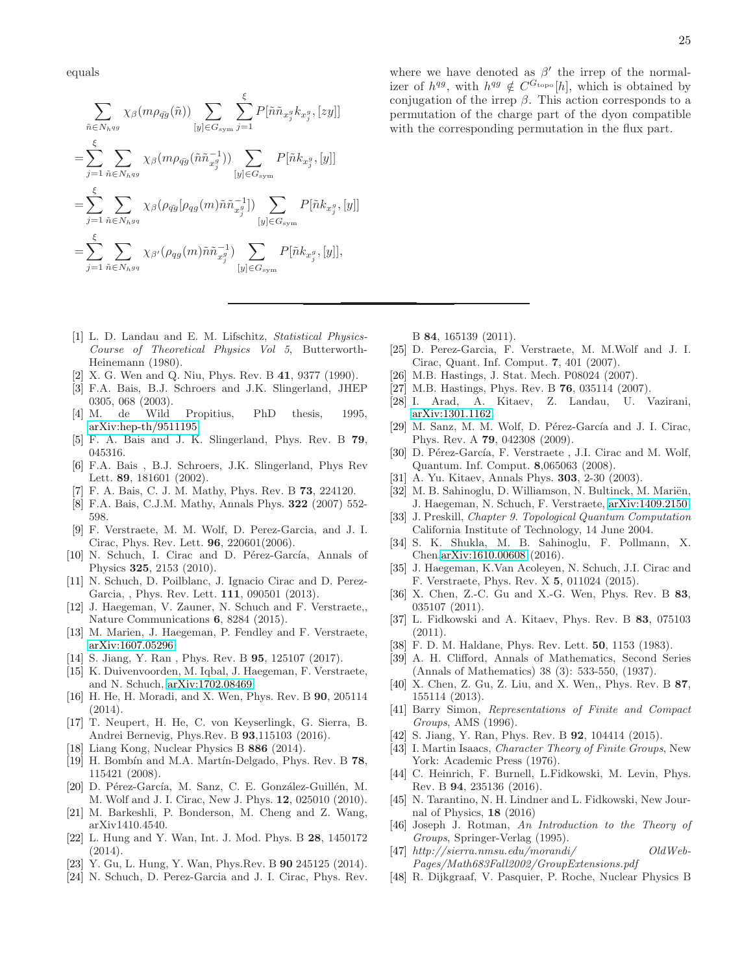equals

$$
\sum_{\tilde{n}\in N_{hqg}} \chi_{\beta}(m\rho_{\tilde{q}g}(\tilde{n})) \sum_{[y]\in G_{\text{sym}}} \sum_{j=1}^{\xi} P[\tilde{n}\tilde{n}_{x_j^g} k_{x_j^g}, [zy]]
$$
  
\n
$$
= \sum_{j=1}^{\xi} \sum_{\tilde{n}\in N_{hqg}} \chi_{\beta}(m\rho_{\tilde{q}g}(\tilde{n}\tilde{n}_{x_j^g}^{-1})) \sum_{[y]\in G_{\text{sym}}} P[\tilde{n}k_{x_j^g}, [y]]
$$
  
\n
$$
= \sum_{j=1}^{\xi} \sum_{\tilde{n}\in N_{hgq}} \chi_{\beta}(\rho_{\tilde{q}g}[\rho_{qg}(m)\tilde{n}\tilde{n}_{x_j^g}^{-1}]) \sum_{[y]\in G_{\text{sym}}} P[\tilde{n}k_{x_j^g}, [y]]
$$
  
\n
$$
= \sum_{j=1}^{\xi} \sum_{\tilde{n}\in N_{hgq}} \chi_{\beta'}(\rho_{qg}(m)\tilde{n}\tilde{n}_{x_j^g}^{-1}) \sum_{[y]\in G_{\text{sym}}} P[\tilde{n}k_{x_j^g}, [y]],
$$

- <span id="page-24-0"></span>[1] L. D. Landau and E. M. Lifschitz, *Statistical Physics-Course of Theoretical Physics Vol 5*, Butterworth-Heinemann (1980).
- <span id="page-24-1"></span>X. G. Wen and Q. Niu, Phys. Rev. B 41, 9377 (1990).
- <span id="page-24-2"></span>[3] F.A. Bais, B.J. Schroers and J.K. Slingerland, JHEP 0305, 068 (2003).
- <span id="page-24-3"></span>[4] M. de Wild Propitius, PhD thesis, 1995, [arXiv:hep-th/9511195.](http://arxiv.org/abs/hep-th/9511195)
- [5] F. A. Bais and J. K. Slingerland, Phys. Rev. B 79, 045316.
- [6] F.A. Bais , B.J. Schroers, J.K. Slingerland, Phys Rev Lett. **89**, 181601 (2002).
- [7] F. A. Bais, C. J. M. Mathy, Phys. Rev. B 73, 224120.
- <span id="page-24-4"></span>[8] F.A. Bais, C.J.M. Mathy, Annals Phys. 322 (2007) 552- 598.
- <span id="page-24-5"></span>[9] F. Verstraete, M. M. Wolf, D. Perez-Garcia, and J. I. Cirac, Phys. Rev. Lett. 96, 220601(2006).
- <span id="page-24-6"></span>[10] N. Schuch, I. Cirac and D. Pérez-García, Annals of Physics 325, 2153 (2010).
- <span id="page-24-7"></span>[11] N. Schuch, D. Poilblanc, J. Ignacio Cirac and D. Perez-Garcia, , Phys. Rev. Lett. 111, 090501 (2013).
- <span id="page-24-8"></span>[12] J. Haegeman, V. Zauner, N. Schuch and F. Verstraete,, Nature Communications 6, 8284 (2015).
- <span id="page-24-34"></span>[13] M. Marien, J. Haegeman, P. Fendley and F. Verstraete, [arXiv:1607.05296.](http://arxiv.org/abs/1607.05296)
- [14] S. Jiang, Y. Ran, Phys. Rev. B **95**, 125107 (2017).
- <span id="page-24-35"></span>[15] K. Duivenvoorden, M. Iqbal, J. Haegeman, F. Verstraete, and N. Schuch, [arXiv:1702.08469.](http://arxiv.org/abs/1702.08469)
- <span id="page-24-9"></span>[16] H. He, H. Moradi, and X. Wen, Phys. Rev. B 90, 205114 (2014).
- <span id="page-24-11"></span>[17] T. Neupert, H. He, C. von Keyserlingk, G. Sierra, B. Andrei Bernevig, Phys.Rev. B 93,115103 (2016).
- [18] Liang Kong, Nuclear Physics B 886 (2014).
- <span id="page-24-12"></span>[19] H. Bombín and M.A. Martín-Delgado, Phys. Rev. B 78, 115421 (2008).
- <span id="page-24-13"></span>[20] D. Pérez-García, M. Sanz, C. E. González-Guillén, M. M. Wolf and J. I. Cirac, New J. Phys. 12, 025010 (2010).
- <span id="page-24-14"></span>[21] M. Barkeshli, P. Bonderson, M. Cheng and Z. Wang, arXiv1410.4540.
- <span id="page-24-15"></span>[22] L. Hung and Y. Wan, Int. J. Mod. Phys. B 28, 1450172 (2014).
- <span id="page-24-16"></span>[23] Y. Gu, L. Hung, Y. Wan, Phys.Rev. B 90 245125 (2014).
- <span id="page-24-17"></span>[24] N. Schuch, D. Perez-Garcia and J. I. Cirac, Phys. Rev.

where we have denoted as  $\beta'$  the irrep of the normalizer of  $h^{qg}$ , with  $h^{qg} \notin C^{G_{\text{topo}}}[h]$ , which is obtained by conjugation of the irrep  $\beta$ . This action corresponds to a permutation of the charge part of the dyon compatible with the corresponding permutation in the flux part.

B 84, 165139 (2011).

- <span id="page-24-18"></span>[25] D. Perez-Garcia, F. Verstraete, M. M.Wolf and J. I. Cirac, Quant. Inf. Comput. 7, 401 (2007).
- <span id="page-24-19"></span>[26] M.B. Hastings, J. Stat. Mech. P08024 (2007).
- [27] M.B. Hastings, Phys. Rev. B **76**, 035114 (2007).
- <span id="page-24-20"></span>[28] I. Arad, A. Kitaev, Z. Landau, U. Vazirani, [arXiv:1301.1162.](http://arxiv.org/abs/1301.1162)
- <span id="page-24-21"></span>[29] M. Sanz, M. M. Wolf, D. Pérez-García and J. I. Cirac, Phys. Rev. A 79, 042308 (2009).
- <span id="page-24-22"></span>[30] D. Pérez-García, F. Verstraete, J.I. Cirac and M. Wolf, Quantum. Inf. Comput. 8,065063 (2008).
- <span id="page-24-10"></span>[31] A. Yu. Kitaev, Annals Phys. 303, 2-30 (2003).
- <span id="page-24-23"></span>[32] M. B. Sahinoglu, D. Williamson, N. Bultinck, M. Mariën, J. Haegeman, N. Schuch, F. Verstraete, [arXiv:1409.2150.](http://arxiv.org/abs/1409.2150)
- <span id="page-24-24"></span>[33] J. Preskill, *Chapter 9. Topological Quantum Computation* California Institute of Technology, 14 June 2004.
- <span id="page-24-25"></span>[34] S. K. Shukla, M. B. Sahinoglu, F. Pollmann, X. Chen[,arXiv:1610.00608](http://arxiv.org/abs/1610.00608) (2016).
- <span id="page-24-26"></span>[35] J. Haegeman, K.Van Acoleyen, N. Schuch, J.I. Cirac and F. Verstraete, Phys. Rev. X 5, 011024 (2015).
- <span id="page-24-29"></span>[36] X. Chen, Z.-C. Gu and X.-G. Wen, Phys. Rev. B 83, 035107 (2011).
- <span id="page-24-30"></span>[37] L. Fidkowski and A. Kitaev, Phys. Rev. B 83, 075103 (2011).
- <span id="page-24-31"></span>[38] F. D. M. Haldane, Phys. Rev. Lett. **50**, 1153 (1983).
- <span id="page-24-28"></span>[39] A. H. Clifford, Annals of Mathematics, Second Series (Annals of Mathematics) 38 (3): 533-550, (1937).
- <span id="page-24-39"></span>[40] X. Chen, Z. Gu, Z. Liu, and X. Wen,, Phys. Rev. B 87, 155114 (2013).
- <span id="page-24-32"></span>[41] Barry Simon, *Representations of Finite and Compact Groups*, AMS (1996).
- <span id="page-24-36"></span>[42] S. Jiang, Y. Ran, Phys. Rev. B 92, 104414 (2015).
- <span id="page-24-27"></span>[43] I. Martin Isaacs, *Character Theory of Finite Groups*, New York: Academic Press (1976).
- <span id="page-24-37"></span>[44] C. Heinrich, F. Burnell, L.Fidkowski, M. Levin, Phys. Rev. B 94, 235136 (2016).
- <span id="page-24-38"></span>[45] N. Tarantino, N. H. Lindner and L. Fidkowski, New Journal of Physics, 18 (2016)
- <span id="page-24-33"></span>[46] Joseph J. Rotman, *An Introduction to the Theory of Groups*, Springer-Verlag (1995).
- <span id="page-24-40"></span>[47] *http://sierra.nmsu.edu/morandi/ OldWeb-Pages/Math683Fall2002/GroupExtensions.pdf*
- <span id="page-24-41"></span>[48] R. Dijkgraaf, V. Pasquier, P. Roche, Nuclear Physics B